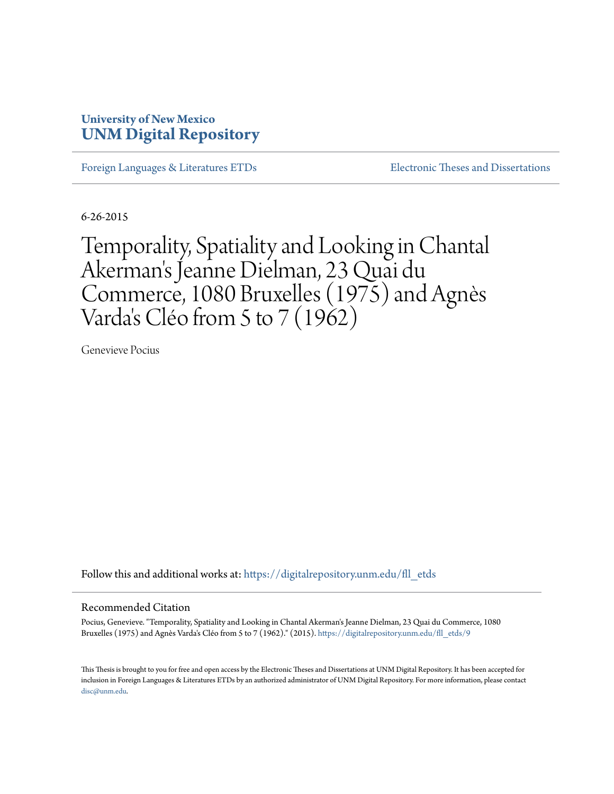# **University of New Mexico [UNM Digital Repository](https://digitalrepository.unm.edu?utm_source=digitalrepository.unm.edu%2Ffll_etds%2F9&utm_medium=PDF&utm_campaign=PDFCoverPages)**

[Foreign Languages & Literatures ETDs](https://digitalrepository.unm.edu/fll_etds?utm_source=digitalrepository.unm.edu%2Ffll_etds%2F9&utm_medium=PDF&utm_campaign=PDFCoverPages) [Electronic Theses and Dissertations](https://digitalrepository.unm.edu/etds?utm_source=digitalrepository.unm.edu%2Ffll_etds%2F9&utm_medium=PDF&utm_campaign=PDFCoverPages)

6-26-2015

Temporality, Spatiality and Looking in Chantal Akerman 's Jeanne Dielman, 23 Quai du Commerce, 1080 Bruxelles (1975) and Agnès Varda 's Cléo from 5 to 7 (1962)

Genevieve Pocius

Follow this and additional works at: [https://digitalrepository.unm.edu/fll\\_etds](https://digitalrepository.unm.edu/fll_etds?utm_source=digitalrepository.unm.edu%2Ffll_etds%2F9&utm_medium=PDF&utm_campaign=PDFCoverPages)

### Recommended Citation

Pocius, Genevieve. "Temporality, Spatiality and Looking in Chantal Akerman's Jeanne Dielman, 23 Quai du Commerce, 1080 Bruxelles (1975) and Agnès Varda's Cléo from 5 to 7 (1962)." (2015). [https://digitalrepository.unm.edu/fll\\_etds/9](https://digitalrepository.unm.edu/fll_etds/9?utm_source=digitalrepository.unm.edu%2Ffll_etds%2F9&utm_medium=PDF&utm_campaign=PDFCoverPages)

This Thesis is brought to you for free and open access by the Electronic Theses and Dissertations at UNM Digital Repository. It has been accepted for inclusion in Foreign Languages & Literatures ETDs by an authorized administrator of UNM Digital Repository. For more information, please contact [disc@unm.edu](mailto:disc@unm.edu).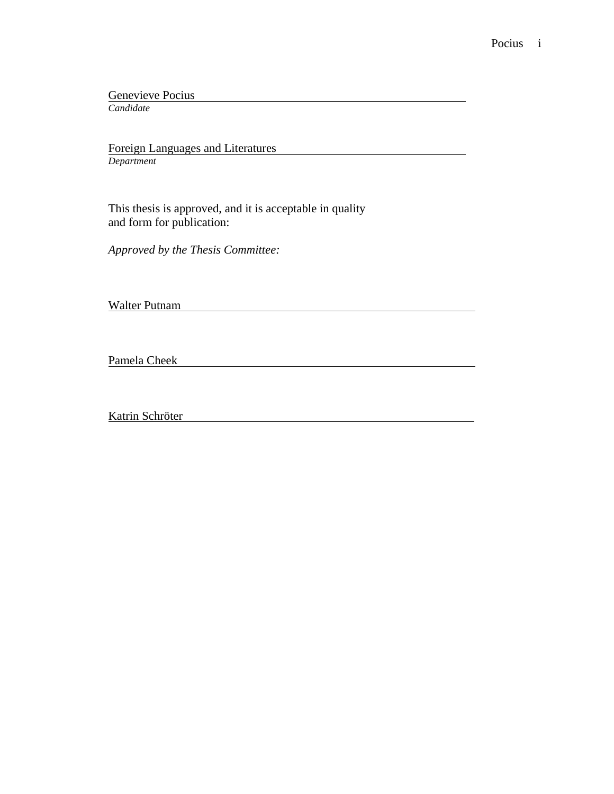Genevieve Pocius

*Candidate*

Foreign Languages and Literatures *Department*

This thesis is approved, and it is acceptable in quality and form for publication:

*Approved by the Thesis Committee:*

Walter Putnam

Pamela Cheek **Pamela Cheek** 

Katrin Schröter National Schröter National Schröder National Schröder National Schröder National Schröder National Schröder National Schröder National Schröder National Schröder National Schröder National Schröder National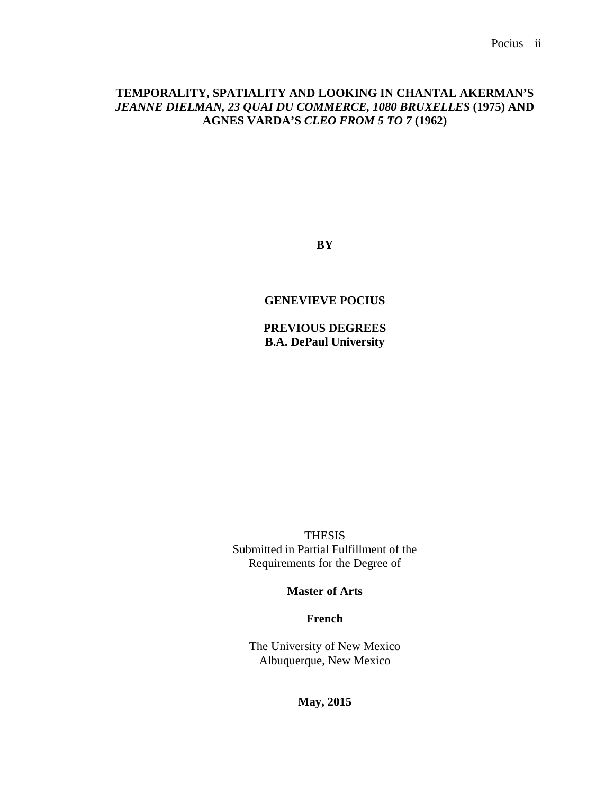# **TEMPORALITY, SPATIALITY AND LOOKING IN CHANTAL AKERMAN'S**  *JEANNE DIELMAN, 23 QUAI DU COMMERCE, 1080 BRUXELLES* **(1975) AND AGNES VARDA'S** *CLEO FROM 5 TO 7* **(1962)**

**BY**

### **GENEVIEVE POCIUS**

**PREVIOUS DEGREES B.A. DePaul University**

THESIS Submitted in Partial Fulfillment of the Requirements for the Degree of

# **Master of Arts**

**French**

The University of New Mexico Albuquerque, New Mexico

**May, 2015**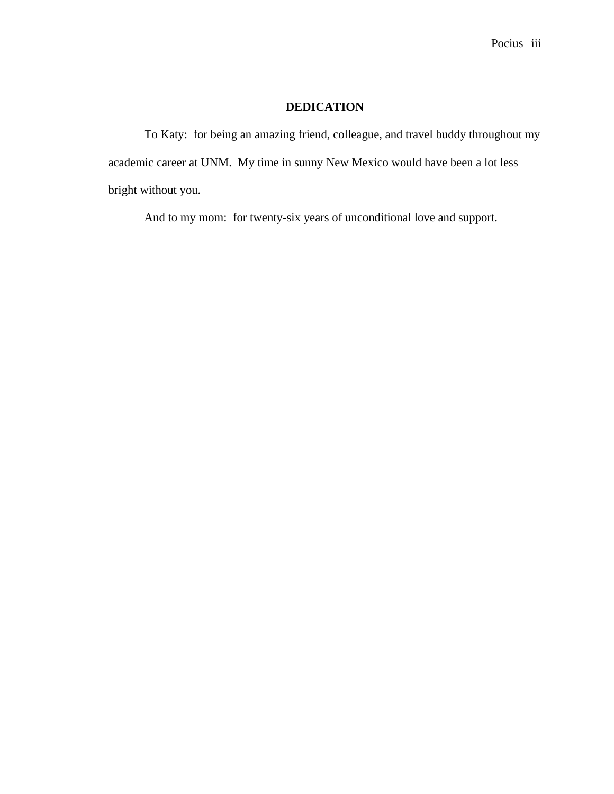# **DEDICATION**

To Katy: for being an amazing friend, colleague, and travel buddy throughout my academic career at UNM. My time in sunny New Mexico would have been a lot less bright without you.

And to my mom: for twenty-six years of unconditional love and support.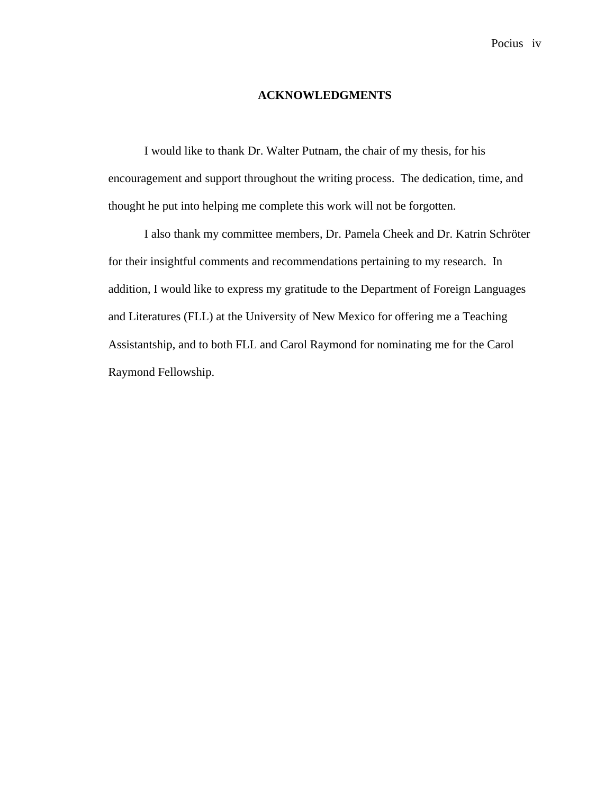### **ACKNOWLEDGMENTS**

I would like to thank Dr. Walter Putnam, the chair of my thesis, for his encouragement and support throughout the writing process. The dedication, time, and thought he put into helping me complete this work will not be forgotten.

I also thank my committee members, Dr. Pamela Cheek and Dr. Katrin Schröter for their insightful comments and recommendations pertaining to my research. In addition, I would like to express my gratitude to the Department of Foreign Languages and Literatures (FLL) at the University of New Mexico for offering me a Teaching Assistantship, and to both FLL and Carol Raymond for nominating me for the Carol Raymond Fellowship.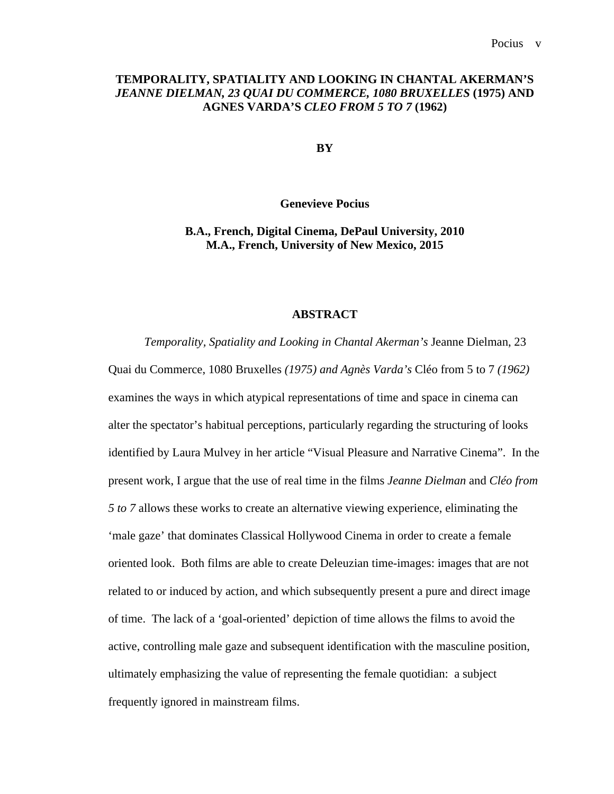## **TEMPORALITY, SPATIALITY AND LOOKING IN CHANTAL AKERMAN'S**  *JEANNE DIELMAN, 23 QUAI DU COMMERCE, 1080 BRUXELLES* **(1975) AND AGNES VARDA'S** *CLEO FROM 5 TO 7* **(1962)**

**BY**

**Genevieve Pocius**

## **B.A., French, Digital Cinema, DePaul University, 2010 M.A., French, University of New Mexico, 2015**

### **ABSTRACT**

*Temporality, Spatiality and Looking in Chantal Akerman's* Jeanne Dielman, 23 Quai du Commerce, 1080 Bruxelles *(1975) and Agnès Varda's* Cléo from 5 to 7 *(1962)* examines the ways in which atypical representations of time and space in cinema can alter the spectator's habitual perceptions, particularly regarding the structuring of looks identified by Laura Mulvey in her article "Visual Pleasure and Narrative Cinema". In the present work, I argue that the use of real time in the films *Jeanne Dielman* and *Cléo from 5 to 7* allows these works to create an alternative viewing experience, eliminating the 'male gaze' that dominates Classical Hollywood Cinema in order to create a female oriented look. Both films are able to create Deleuzian time-images: images that are not related to or induced by action, and which subsequently present a pure and direct image of time. The lack of a 'goal-oriented' depiction of time allows the films to avoid the active, controlling male gaze and subsequent identification with the masculine position, ultimately emphasizing the value of representing the female quotidian: a subject frequently ignored in mainstream films.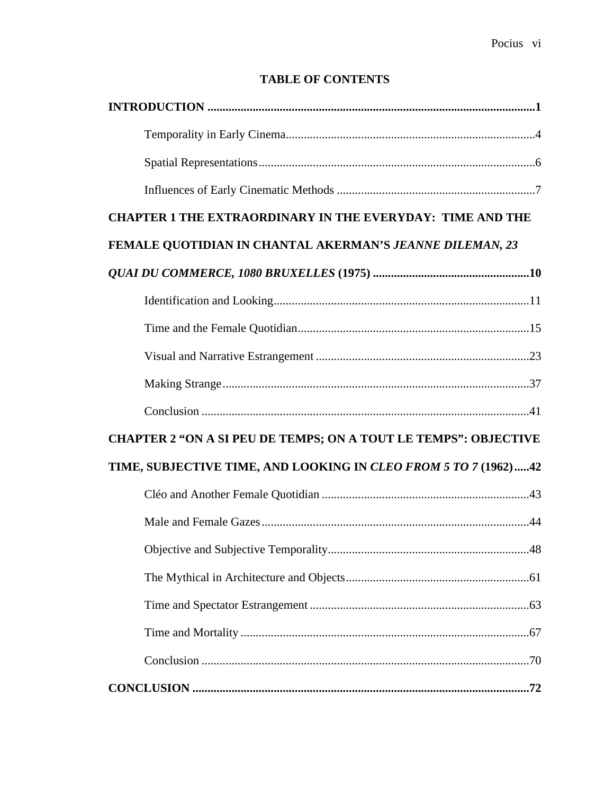# **TABLE OF CONTENTS**

| <b>CHAPTER 1 THE EXTRAORDINARY IN THE EVERYDAY: TIME AND THE</b>       |
|------------------------------------------------------------------------|
| FEMALE QUOTIDIAN IN CHANTAL AKERMAN'S JEANNE DILEMAN, 23               |
|                                                                        |
|                                                                        |
|                                                                        |
|                                                                        |
|                                                                        |
|                                                                        |
| <b>CHAPTER 2 "ON A SI PEU DE TEMPS; ON A TOUT LE TEMPS": OBJECTIVE</b> |
| TIME, SUBJECTIVE TIME, AND LOOKING IN CLEO FROM 5 TO 7 (1962)42        |
|                                                                        |
|                                                                        |
|                                                                        |
|                                                                        |
|                                                                        |
|                                                                        |
|                                                                        |
|                                                                        |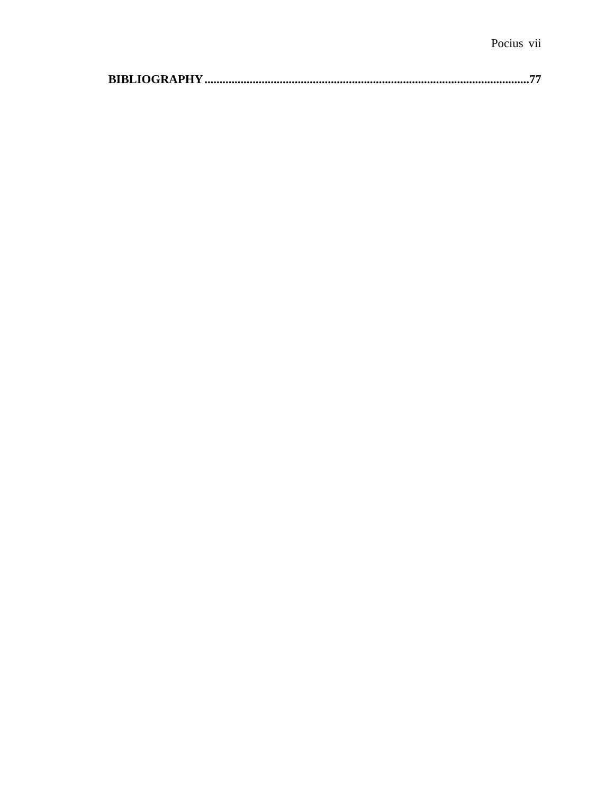|--|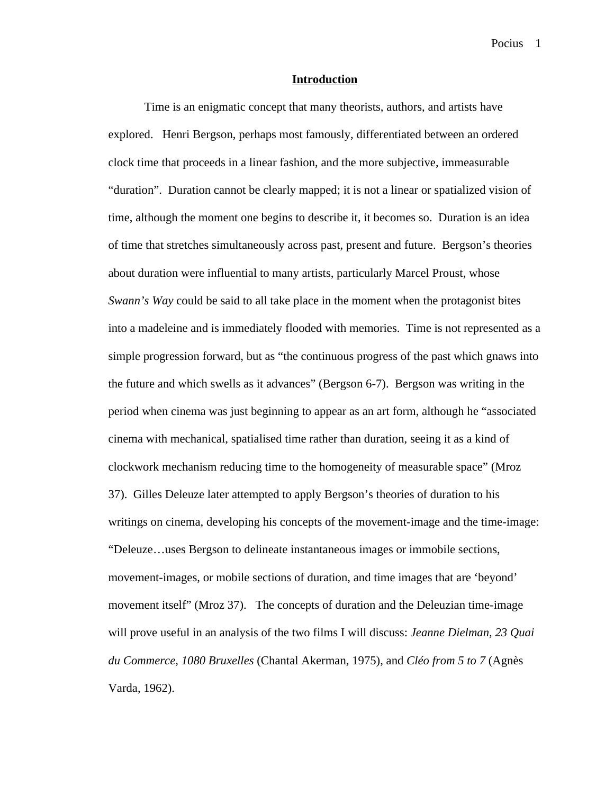### **Introduction**

Time is an enigmatic concept that many theorists, authors, and artists have explored. Henri Bergson, perhaps most famously, differentiated between an ordered clock time that proceeds in a linear fashion, and the more subjective, immeasurable "duration". Duration cannot be clearly mapped; it is not a linear or spatialized vision of time, although the moment one begins to describe it, it becomes so. Duration is an idea of time that stretches simultaneously across past, present and future. Bergson's theories about duration were influential to many artists, particularly Marcel Proust, whose *Swann's Way* could be said to all take place in the moment when the protagonist bites into a madeleine and is immediately flooded with memories. Time is not represented as a simple progression forward, but as "the continuous progress of the past which gnaws into the future and which swells as it advances" (Bergson 6-7). Bergson was writing in the period when cinema was just beginning to appear as an art form, although he "associated cinema with mechanical, spatialised time rather than duration, seeing it as a kind of clockwork mechanism reducing time to the homogeneity of measurable space" (Mroz 37). Gilles Deleuze later attempted to apply Bergson's theories of duration to his writings on cinema, developing his concepts of the movement-image and the time-image: "Deleuze…uses Bergson to delineate instantaneous images or immobile sections, movement-images, or mobile sections of duration, and time images that are 'beyond' movement itself" (Mroz 37). The concepts of duration and the Deleuzian time-image will prove useful in an analysis of the two films I will discuss: *Jeanne Dielman, 23 Quai du Commerce, 1080 Bruxelles* (Chantal Akerman, 1975), and *Cléo from 5 to 7* (Agnès Varda, 1962).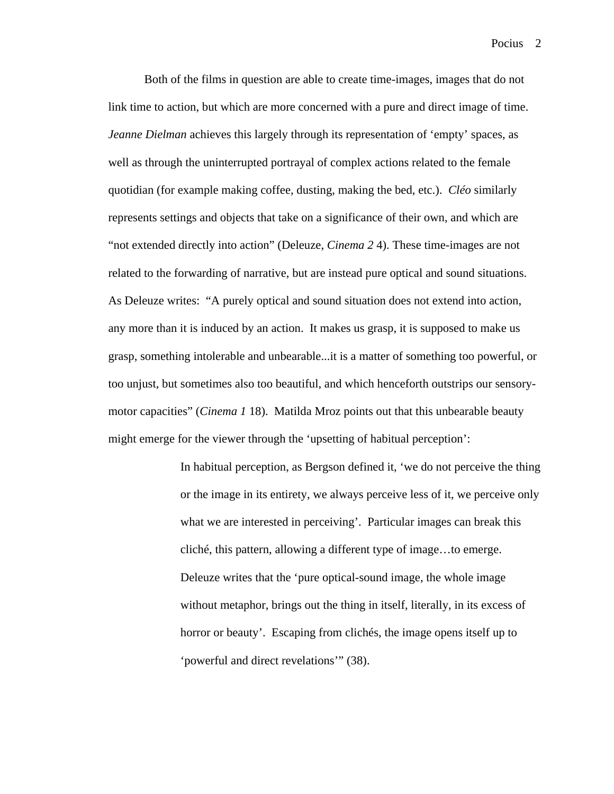Both of the films in question are able to create time-images, images that do not link time to action, but which are more concerned with a pure and direct image of time. *Jeanne Dielman* achieves this largely through its representation of 'empty' spaces, as well as through the uninterrupted portrayal of complex actions related to the female quotidian (for example making coffee, dusting, making the bed, etc.). *Cléo* similarly represents settings and objects that take on a significance of their own, and which are "not extended directly into action" (Deleuze, *Cinema 2* 4). These time-images are not related to the forwarding of narrative, but are instead pure optical and sound situations. As Deleuze writes: "A purely optical and sound situation does not extend into action, any more than it is induced by an action. It makes us grasp, it is supposed to make us grasp, something intolerable and unbearable...it is a matter of something too powerful, or too unjust, but sometimes also too beautiful, and which henceforth outstrips our sensorymotor capacities" (*Cinema 1* 18). Matilda Mroz points out that this unbearable beauty might emerge for the viewer through the 'upsetting of habitual perception':

> In habitual perception, as Bergson defined it, 'we do not perceive the thing or the image in its entirety, we always perceive less of it, we perceive only what we are interested in perceiving'. Particular images can break this cliché, this pattern, allowing a different type of image…to emerge. Deleuze writes that the 'pure optical-sound image, the whole image without metaphor, brings out the thing in itself, literally, in its excess of horror or beauty'. Escaping from clichés, the image opens itself up to 'powerful and direct revelations'" (38).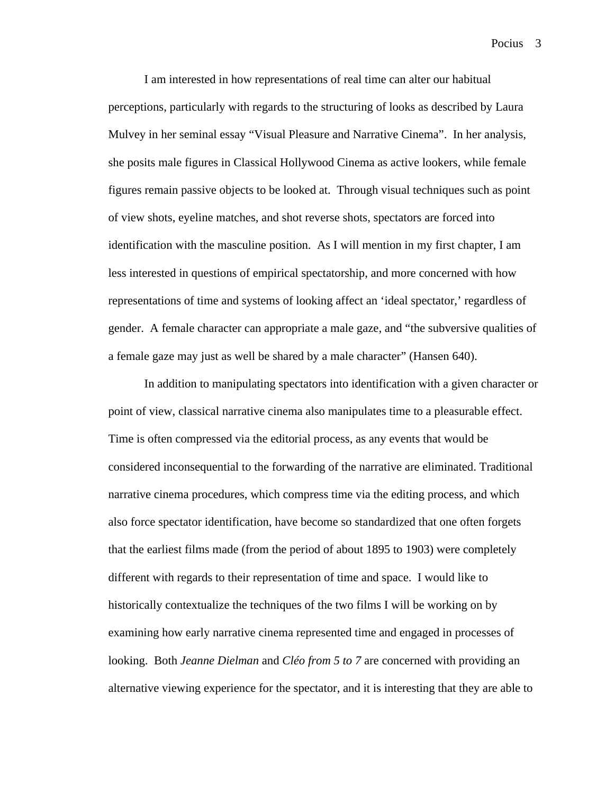I am interested in how representations of real time can alter our habitual perceptions, particularly with regards to the structuring of looks as described by Laura Mulvey in her seminal essay "Visual Pleasure and Narrative Cinema". In her analysis, she posits male figures in Classical Hollywood Cinema as active lookers, while female figures remain passive objects to be looked at. Through visual techniques such as point of view shots, eyeline matches, and shot reverse shots, spectators are forced into identification with the masculine position. As I will mention in my first chapter, I am less interested in questions of empirical spectatorship, and more concerned with how representations of time and systems of looking affect an 'ideal spectator,' regardless of gender. A female character can appropriate a male gaze, and "the subversive qualities of a female gaze may just as well be shared by a male character" (Hansen 640).

In addition to manipulating spectators into identification with a given character or point of view, classical narrative cinema also manipulates time to a pleasurable effect. Time is often compressed via the editorial process, as any events that would be considered inconsequential to the forwarding of the narrative are eliminated. Traditional narrative cinema procedures, which compress time via the editing process, and which also force spectator identification, have become so standardized that one often forgets that the earliest films made (from the period of about 1895 to 1903) were completely different with regards to their representation of time and space. I would like to historically contextualize the techniques of the two films I will be working on by examining how early narrative cinema represented time and engaged in processes of looking. Both *Jeanne Dielman* and *Cléo from 5 to 7* are concerned with providing an alternative viewing experience for the spectator, and it is interesting that they are able to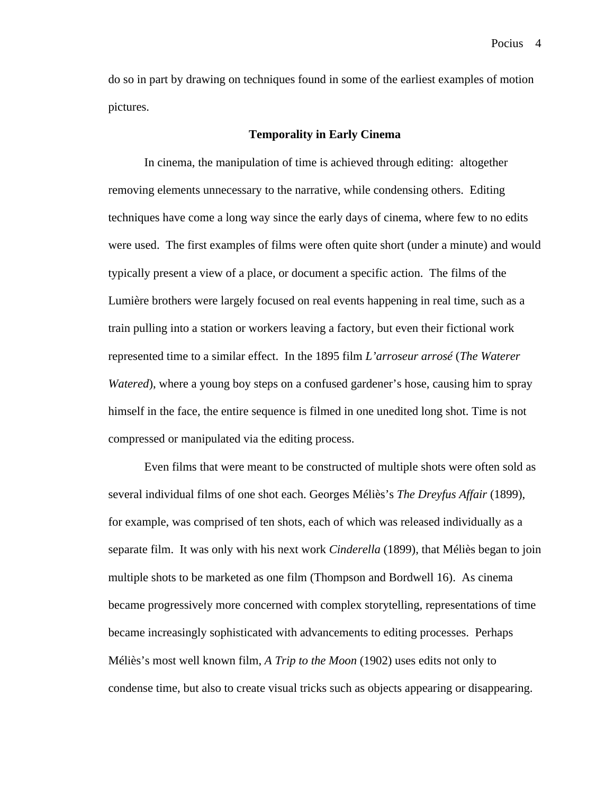Pocius<sub>4</sub>

do so in part by drawing on techniques found in some of the earliest examples of motion pictures.

### **Temporality in Early Cinema**

In cinema, the manipulation of time is achieved through editing: altogether removing elements unnecessary to the narrative, while condensing others. Editing techniques have come a long way since the early days of cinema, where few to no edits were used. The first examples of films were often quite short (under a minute) and would typically present a view of a place, or document a specific action. The films of the Lumière brothers were largely focused on real events happening in real time, such as a train pulling into a station or workers leaving a factory, but even their fictional work represented time to a similar effect. In the 1895 film *L'arroseur arrosé* (*The Waterer Watered*), where a young boy steps on a confused gardener's hose, causing him to spray himself in the face, the entire sequence is filmed in one unedited long shot. Time is not compressed or manipulated via the editing process.

Even films that were meant to be constructed of multiple shots were often sold as several individual films of one shot each. Georges Méliès's *The Dreyfus Affair* (1899), for example, was comprised of ten shots, each of which was released individually as a separate film. It was only with his next work *Cinderella* (1899), that Méliès began to join multiple shots to be marketed as one film (Thompson and Bordwell 16). As cinema became progressively more concerned with complex storytelling, representations of time became increasingly sophisticated with advancements to editing processes. Perhaps Méliès's most well known film, *A Trip to the Moon* (1902) uses edits not only to condense time, but also to create visual tricks such as objects appearing or disappearing.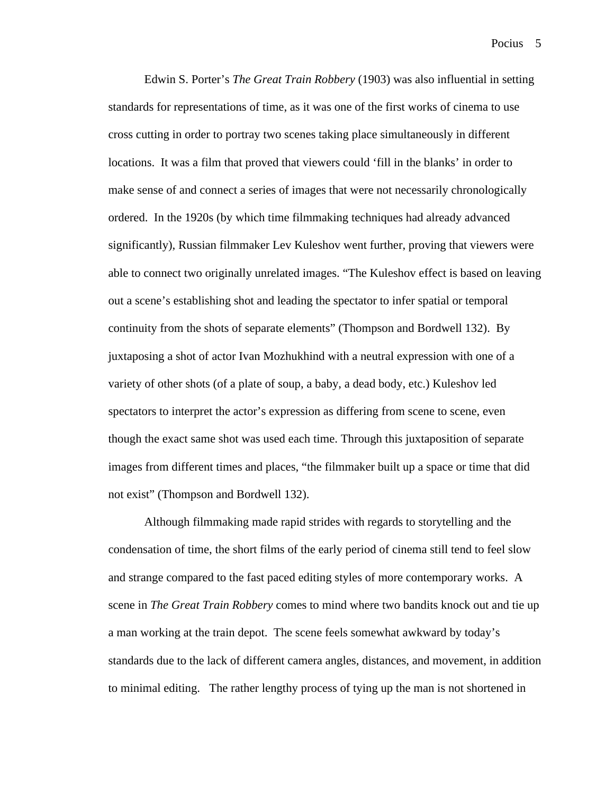Edwin S. Porter's *The Great Train Robbery* (1903) was also influential in setting standards for representations of time, as it was one of the first works of cinema to use cross cutting in order to portray two scenes taking place simultaneously in different locations. It was a film that proved that viewers could 'fill in the blanks' in order to make sense of and connect a series of images that were not necessarily chronologically ordered. In the 1920s (by which time filmmaking techniques had already advanced significantly), Russian filmmaker Lev Kuleshov went further, proving that viewers were able to connect two originally unrelated images. "The Kuleshov effect is based on leaving out a scene's establishing shot and leading the spectator to infer spatial or temporal continuity from the shots of separate elements" (Thompson and Bordwell 132). By juxtaposing a shot of actor Ivan Mozhukhind with a neutral expression with one of a variety of other shots (of a plate of soup, a baby, a dead body, etc.) Kuleshov led spectators to interpret the actor's expression as differing from scene to scene, even though the exact same shot was used each time. Through this juxtaposition of separate images from different times and places, "the filmmaker built up a space or time that did not exist" (Thompson and Bordwell 132).

Although filmmaking made rapid strides with regards to storytelling and the condensation of time, the short films of the early period of cinema still tend to feel slow and strange compared to the fast paced editing styles of more contemporary works. A scene in *The Great Train Robbery* comes to mind where two bandits knock out and tie up a man working at the train depot. The scene feels somewhat awkward by today's standards due to the lack of different camera angles, distances, and movement, in addition to minimal editing. The rather lengthy process of tying up the man is not shortened in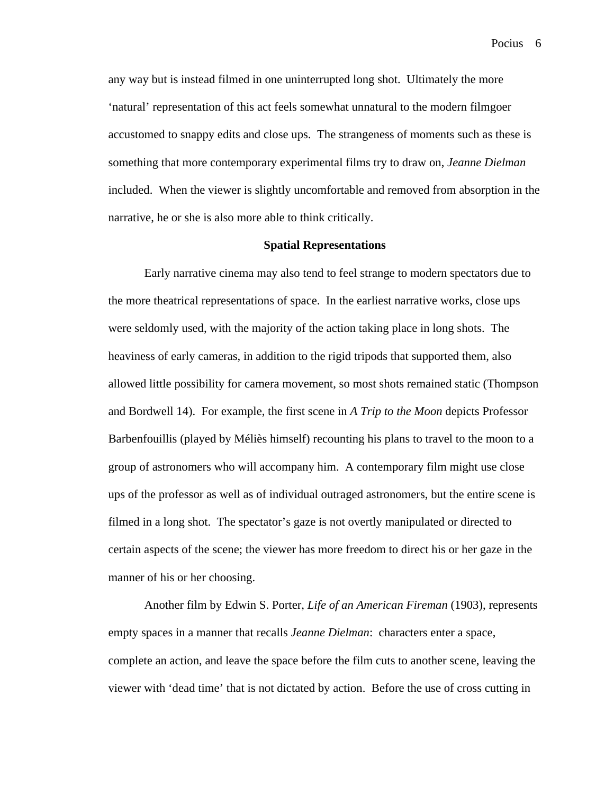any way but is instead filmed in one uninterrupted long shot. Ultimately the more 'natural' representation of this act feels somewhat unnatural to the modern filmgoer accustomed to snappy edits and close ups. The strangeness of moments such as these is something that more contemporary experimental films try to draw on, *Jeanne Dielman*  included. When the viewer is slightly uncomfortable and removed from absorption in the narrative, he or she is also more able to think critically.

### **Spatial Representations**

Early narrative cinema may also tend to feel strange to modern spectators due to the more theatrical representations of space. In the earliest narrative works, close ups were seldomly used, with the majority of the action taking place in long shots. The heaviness of early cameras, in addition to the rigid tripods that supported them, also allowed little possibility for camera movement, so most shots remained static (Thompson and Bordwell 14). For example, the first scene in *A Trip to the Moon* depicts Professor Barbenfouillis (played by Méliès himself) recounting his plans to travel to the moon to a group of astronomers who will accompany him. A contemporary film might use close ups of the professor as well as of individual outraged astronomers, but the entire scene is filmed in a long shot. The spectator's gaze is not overtly manipulated or directed to certain aspects of the scene; the viewer has more freedom to direct his or her gaze in the manner of his or her choosing.

Another film by Edwin S. Porter, *Life of an American Fireman* (1903), represents empty spaces in a manner that recalls *Jeanne Dielman*: characters enter a space, complete an action, and leave the space before the film cuts to another scene, leaving the viewer with 'dead time' that is not dictated by action. Before the use of cross cutting in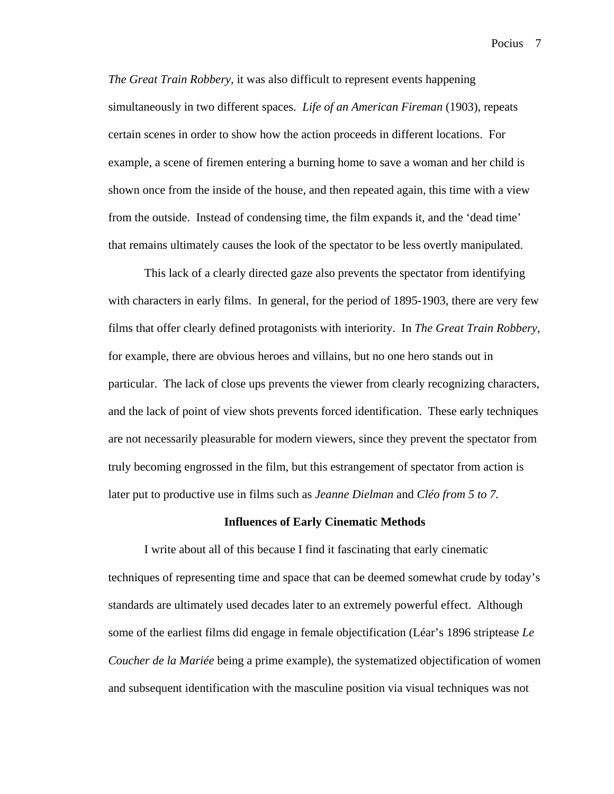*The Great Train Robbery,* it was also difficult to represent events happening simultaneously in two different spaces. *Life of an American Fireman* (1903), repeats certain scenes in order to show how the action proceeds in different locations. For example, a scene of firemen entering a burning home to save a woman and her child is shown once from the inside of the house, and then repeated again, this time with a view from the outside. Instead of condensing time, the film expands it, and the 'dead time' that remains ultimately causes the look of the spectator to be less overtly manipulated.

This lack of a clearly directed gaze also prevents the spectator from identifying with characters in early films. In general, for the period of 1895-1903, there are very few films that offer clearly defined protagonists with interiority. In *The Great Train Robbery*, for example, there are obvious heroes and villains, but no one hero stands out in particular. The lack of close ups prevents the viewer from clearly recognizing characters, and the lack of point of view shots prevents forced identification. These early techniques are not necessarily pleasurable for modern viewers, since they prevent the spectator from truly becoming engrossed in the film, but this estrangement of spectator from action is later put to productive use in films such as *Jeanne Dielman* and *Cléo from 5 to 7.* 

### **Influences of Early Cinematic Methods**

I write about all of this because I find it fascinating that early cinematic techniques of representing time and space that can be deemed somewhat crude by today's standards are ultimately used decades later to an extremely powerful effect. Although some of the earliest films did engage in female objectification (Léar's 1896 striptease *Le Coucher de la Mariée* being a prime example), the systematized objectification of women and subsequent identification with the masculine position via visual techniques was not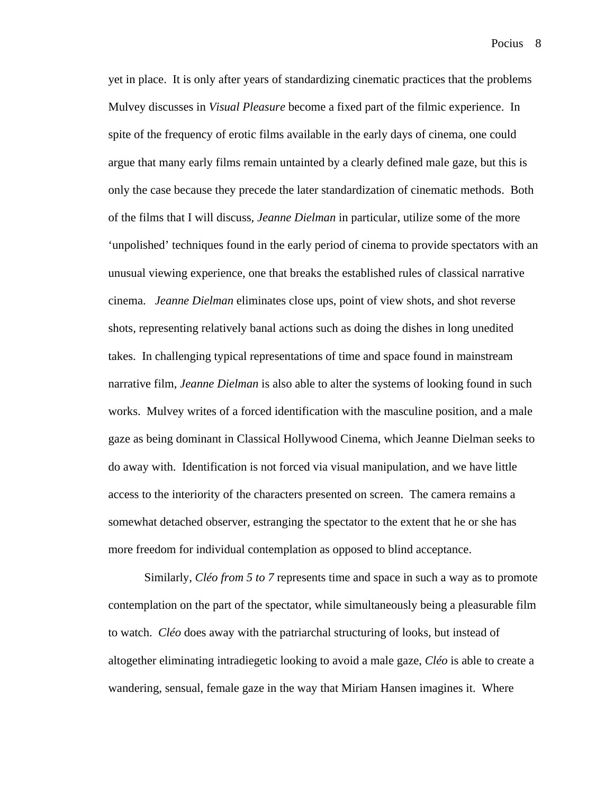yet in place. It is only after years of standardizing cinematic practices that the problems Mulvey discusses in *Visual Pleasure* become a fixed part of the filmic experience. In spite of the frequency of erotic films available in the early days of cinema, one could argue that many early films remain untainted by a clearly defined male gaze, but this is only the case because they precede the later standardization of cinematic methods. Both of the films that I will discuss, *Jeanne Dielman* in particular, utilize some of the more 'unpolished' techniques found in the early period of cinema to provide spectators with an unusual viewing experience, one that breaks the established rules of classical narrative cinema. *Jeanne Dielman* eliminates close ups, point of view shots, and shot reverse shots, representing relatively banal actions such as doing the dishes in long unedited takes. In challenging typical representations of time and space found in mainstream narrative film, *Jeanne Dielman* is also able to alter the systems of looking found in such works. Mulvey writes of a forced identification with the masculine position, and a male gaze as being dominant in Classical Hollywood Cinema, which Jeanne Dielman seeks to do away with. Identification is not forced via visual manipulation, and we have little access to the interiority of the characters presented on screen. The camera remains a somewhat detached observer, estranging the spectator to the extent that he or she has more freedom for individual contemplation as opposed to blind acceptance.

Similarly, *Cléo from 5 to 7* represents time and space in such a way as to promote contemplation on the part of the spectator, while simultaneously being a pleasurable film to watch. *Cléo* does away with the patriarchal structuring of looks, but instead of altogether eliminating intradiegetic looking to avoid a male gaze, *Cléo* is able to create a wandering, sensual, female gaze in the way that Miriam Hansen imagines it. Where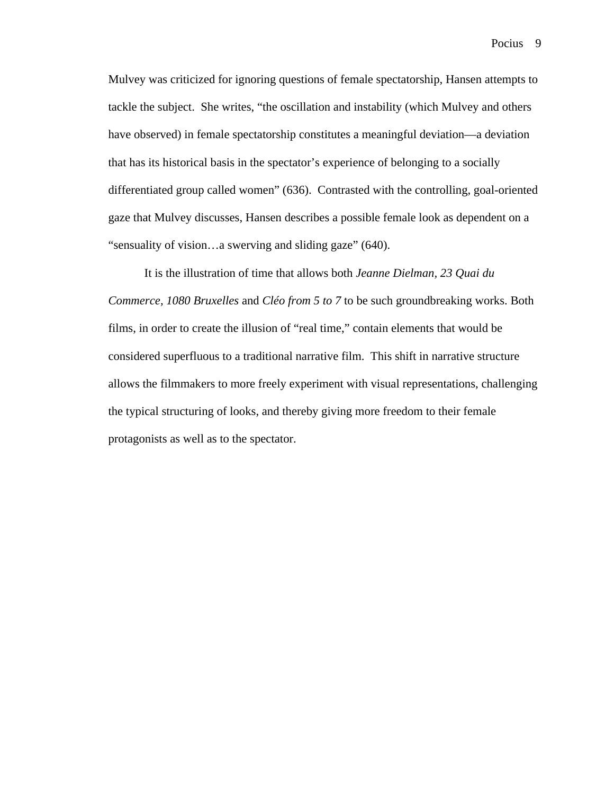Pocius<sub>9</sub>

Mulvey was criticized for ignoring questions of female spectatorship, Hansen attempts to tackle the subject. She writes, "the oscillation and instability (which Mulvey and others have observed) in female spectatorship constitutes a meaningful deviation—a deviation that has its historical basis in the spectator's experience of belonging to a socially differentiated group called women" (636). Contrasted with the controlling, goal-oriented gaze that Mulvey discusses, Hansen describes a possible female look as dependent on a "sensuality of vision…a swerving and sliding gaze" (640).

It is the illustration of time that allows both *Jeanne Dielman, 23 Quai du Commerce, 1080 Bruxelles* and *Cléo from 5 to 7* to be such groundbreaking works. Both films, in order to create the illusion of "real time," contain elements that would be considered superfluous to a traditional narrative film. This shift in narrative structure allows the filmmakers to more freely experiment with visual representations, challenging the typical structuring of looks, and thereby giving more freedom to their female protagonists as well as to the spectator.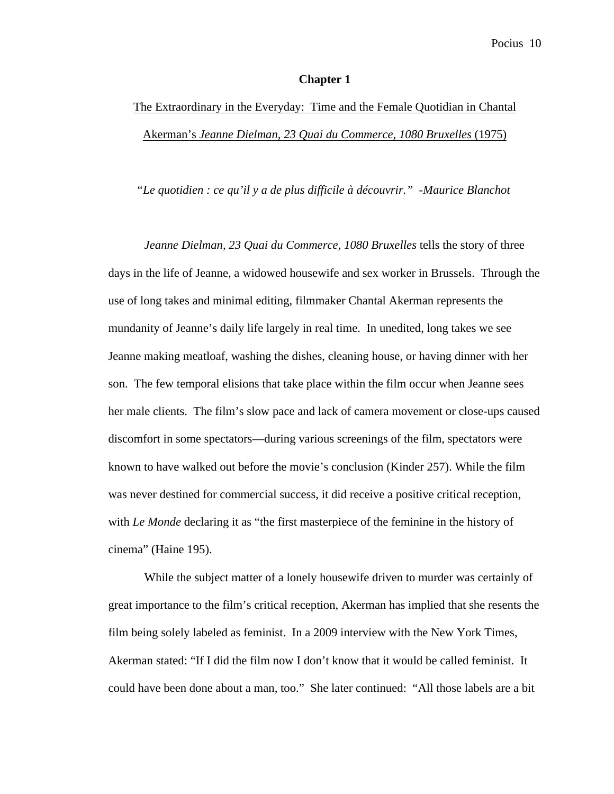### **Chapter 1**

# The Extraordinary in the Everyday: Time and the Female Quotidian in Chantal Akerman's *Jeanne Dielman, 23 Quai du Commerce, 1080 Bruxelles* (1975)

*"Le quotidien : ce qu'il y a de plus difficile à découvrir." -Maurice Blanchot*

*Jeanne Dielman, 23 Quai du Commerce, 1080 Bruxelles* tells the story of three days in the life of Jeanne, a widowed housewife and sex worker in Brussels. Through the use of long takes and minimal editing, filmmaker Chantal Akerman represents the mundanity of Jeanne's daily life largely in real time. In unedited, long takes we see Jeanne making meatloaf, washing the dishes, cleaning house, or having dinner with her son. The few temporal elisions that take place within the film occur when Jeanne sees her male clients. The film's slow pace and lack of camera movement or close-ups caused discomfort in some spectators—during various screenings of the film, spectators were known to have walked out before the movie's conclusion (Kinder 257). While the film was never destined for commercial success, it did receive a positive critical reception, with *Le Monde* declaring it as "the first masterpiece of the feminine in the history of cinema" (Haine 195).

While the subject matter of a lonely housewife driven to murder was certainly of great importance to the film's critical reception, Akerman has implied that she resents the film being solely labeled as feminist. In a 2009 interview with the New York Times, Akerman stated: "If I did the film now I don't know that it would be called feminist. It could have been done about a man, too." She later continued: "All those labels are a bit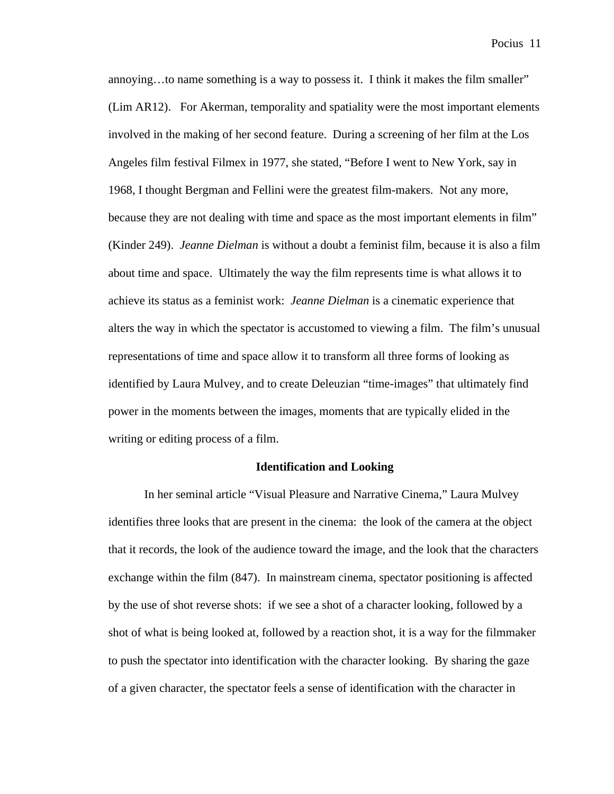annoying…to name something is a way to possess it. I think it makes the film smaller" (Lim AR12). For Akerman, temporality and spatiality were the most important elements involved in the making of her second feature. During a screening of her film at the Los Angeles film festival Filmex in 1977, she stated, "Before I went to New York, say in 1968, I thought Bergman and Fellini were the greatest film-makers. Not any more, because they are not dealing with time and space as the most important elements in film" (Kinder 249). *Jeanne Dielman* is without a doubt a feminist film, because it is also a film about time and space. Ultimately the way the film represents time is what allows it to achieve its status as a feminist work: *Jeanne Dielman* is a cinematic experience that alters the way in which the spectator is accustomed to viewing a film. The film's unusual representations of time and space allow it to transform all three forms of looking as identified by Laura Mulvey, and to create Deleuzian "time-images" that ultimately find power in the moments between the images, moments that are typically elided in the writing or editing process of a film.

### **Identification and Looking**

In her seminal article "Visual Pleasure and Narrative Cinema," Laura Mulvey identifies three looks that are present in the cinema: the look of the camera at the object that it records, the look of the audience toward the image, and the look that the characters exchange within the film (847). In mainstream cinema, spectator positioning is affected by the use of shot reverse shots: if we see a shot of a character looking, followed by a shot of what is being looked at, followed by a reaction shot, it is a way for the filmmaker to push the spectator into identification with the character looking. By sharing the gaze of a given character, the spectator feels a sense of identification with the character in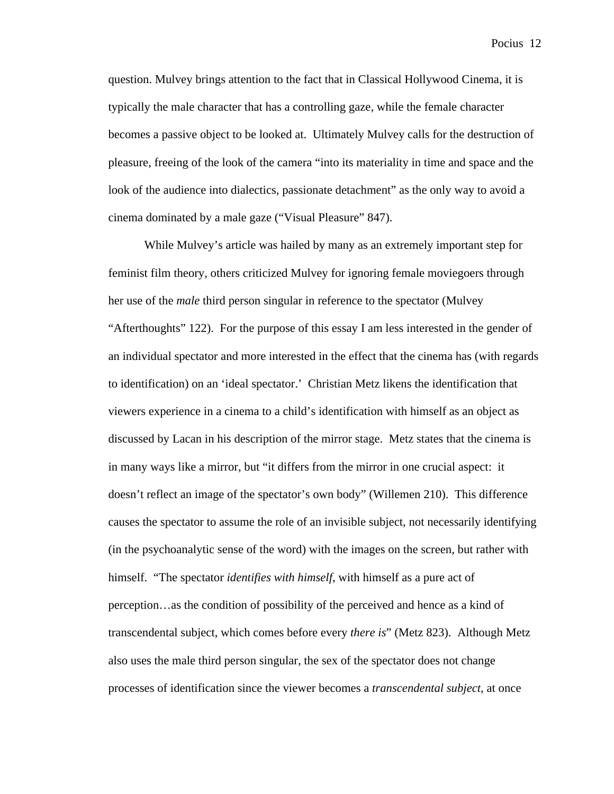question. Mulvey brings attention to the fact that in Classical Hollywood Cinema, it is typically the male character that has a controlling gaze, while the female character becomes a passive object to be looked at. Ultimately Mulvey calls for the destruction of pleasure, freeing of the look of the camera "into its materiality in time and space and the look of the audience into dialectics, passionate detachment" as the only way to avoid a cinema dominated by a male gaze ("Visual Pleasure" 847).

While Mulvey's article was hailed by many as an extremely important step for feminist film theory, others criticized Mulvey for ignoring female moviegoers through her use of the *male* third person singular in reference to the spectator (Mulvey "Afterthoughts" 122). For the purpose of this essay I am less interested in the gender of an individual spectator and more interested in the effect that the cinema has (with regards to identification) on an 'ideal spectator.' Christian Metz likens the identification that viewers experience in a cinema to a child's identification with himself as an object as discussed by Lacan in his description of the mirror stage. Metz states that the cinema is in many ways like a mirror, but "it differs from the mirror in one crucial aspect: it doesn't reflect an image of the spectator's own body" (Willemen 210). This difference causes the spectator to assume the role of an invisible subject, not necessarily identifying (in the psychoanalytic sense of the word) with the images on the screen, but rather with himself. "The spectator *identifies with himself*, with himself as a pure act of perception…as the condition of possibility of the perceived and hence as a kind of transcendental subject, which comes before every *there is*" (Metz 823). Although Metz also uses the male third person singular, the sex of the spectator does not change processes of identification since the viewer becomes a *transcendental subject*, at once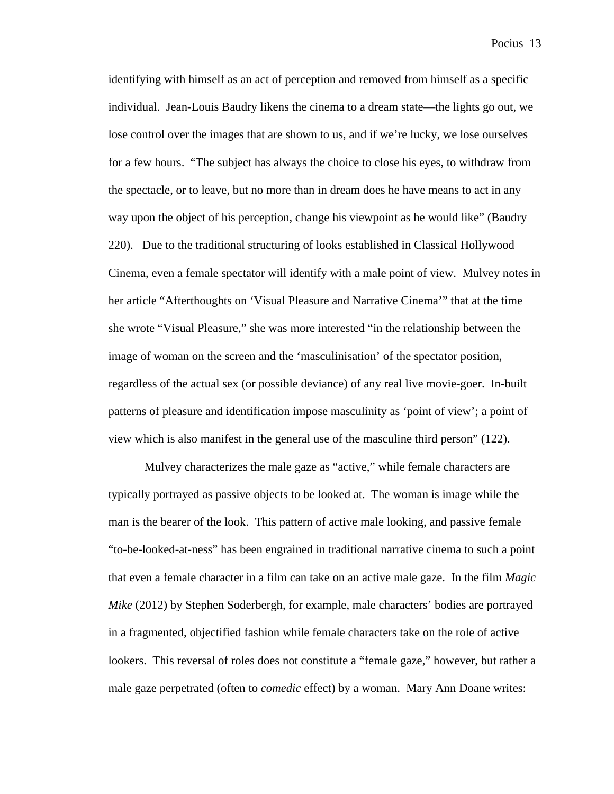identifying with himself as an act of perception and removed from himself as a specific individual. Jean-Louis Baudry likens the cinema to a dream state—the lights go out, we lose control over the images that are shown to us, and if we're lucky, we lose ourselves for a few hours. "The subject has always the choice to close his eyes, to withdraw from the spectacle, or to leave, but no more than in dream does he have means to act in any way upon the object of his perception, change his viewpoint as he would like" (Baudry 220). Due to the traditional structuring of looks established in Classical Hollywood Cinema, even a female spectator will identify with a male point of view. Mulvey notes in her article "Afterthoughts on 'Visual Pleasure and Narrative Cinema'" that at the time she wrote "Visual Pleasure," she was more interested "in the relationship between the image of woman on the screen and the 'masculinisation' of the spectator position, regardless of the actual sex (or possible deviance) of any real live movie-goer. In-built patterns of pleasure and identification impose masculinity as 'point of view'; a point of view which is also manifest in the general use of the masculine third person" (122).

Mulvey characterizes the male gaze as "active," while female characters are typically portrayed as passive objects to be looked at. The woman is image while the man is the bearer of the look. This pattern of active male looking, and passive female "to-be-looked-at-ness" has been engrained in traditional narrative cinema to such a point that even a female character in a film can take on an active male gaze. In the film *Magic Mike* (2012) by Stephen Soderbergh*,* for example, male characters' bodies are portrayed in a fragmented, objectified fashion while female characters take on the role of active lookers. This reversal of roles does not constitute a "female gaze," however, but rather a male gaze perpetrated (often to *comedic* effect) by a woman. Mary Ann Doane writes: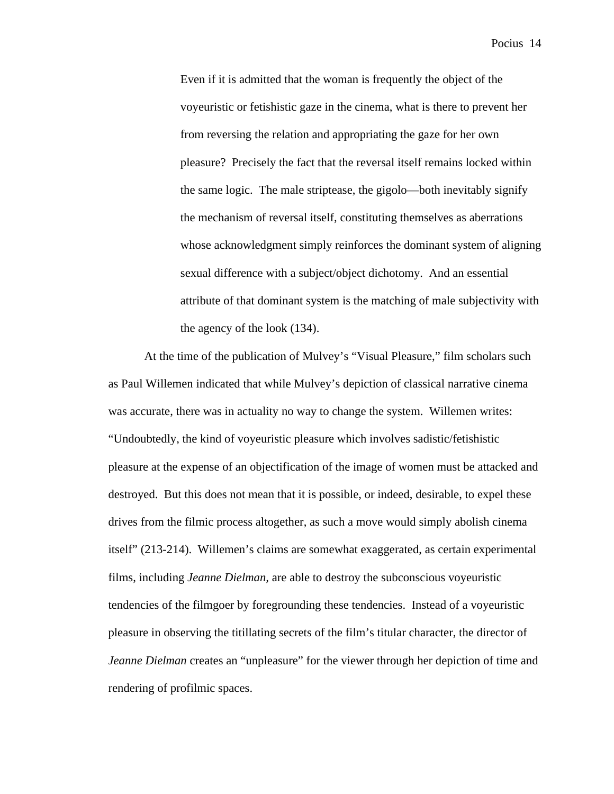Even if it is admitted that the woman is frequently the object of the voyeuristic or fetishistic gaze in the cinema, what is there to prevent her from reversing the relation and appropriating the gaze for her own pleasure? Precisely the fact that the reversal itself remains locked within the same logic. The male striptease, the gigolo—both inevitably signify the mechanism of reversal itself, constituting themselves as aberrations whose acknowledgment simply reinforces the dominant system of aligning sexual difference with a subject/object dichotomy. And an essential attribute of that dominant system is the matching of male subjectivity with the agency of the look (134).

At the time of the publication of Mulvey's "Visual Pleasure," film scholars such as Paul Willemen indicated that while Mulvey's depiction of classical narrative cinema was accurate, there was in actuality no way to change the system. Willemen writes: "Undoubtedly, the kind of voyeuristic pleasure which involves sadistic/fetishistic pleasure at the expense of an objectification of the image of women must be attacked and destroyed. But this does not mean that it is possible, or indeed, desirable, to expel these drives from the filmic process altogether, as such a move would simply abolish cinema itself" (213-214). Willemen's claims are somewhat exaggerated, as certain experimental films, including *Jeanne Dielman,* are able to destroy the subconscious voyeuristic tendencies of the filmgoer by foregrounding these tendencies. Instead of a voyeuristic pleasure in observing the titillating secrets of the film's titular character, the director of *Jeanne Dielman* creates an "unpleasure" for the viewer through her depiction of time and rendering of profilmic spaces.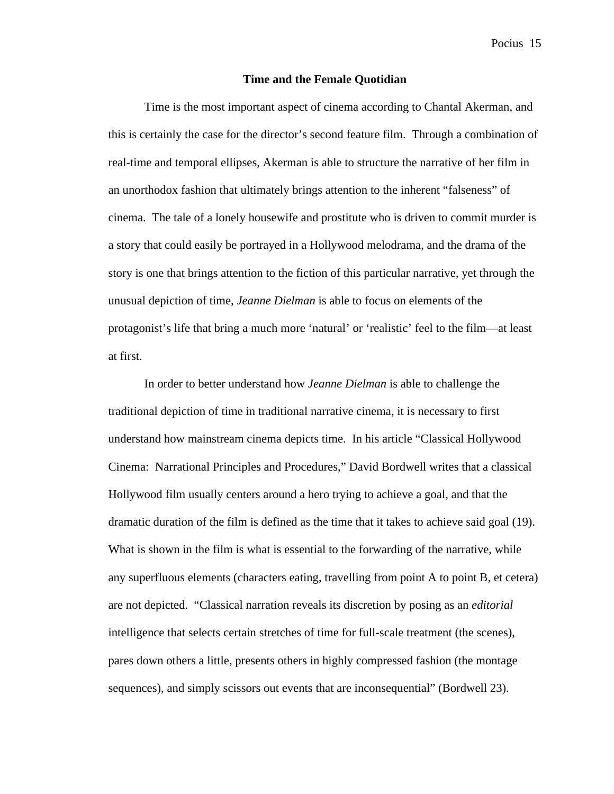#### **Time and the Female Quotidian**

Time is the most important aspect of cinema according to Chantal Akerman, and this is certainly the case for the director's second feature film. Through a combination of real-time and temporal ellipses, Akerman is able to structure the narrative of her film in an unorthodox fashion that ultimately brings attention to the inherent "falseness" of cinema. The tale of a lonely housewife and prostitute who is driven to commit murder is a story that could easily be portrayed in a Hollywood melodrama, and the drama of the story is one that brings attention to the fiction of this particular narrative, yet through the unusual depiction of time, *Jeanne Dielman* is able to focus on elements of the protagonist's life that bring a much more 'natural' or 'realistic' feel to the film—at least at first.

In order to better understand how *Jeanne Dielman* is able to challenge the traditional depiction of time in traditional narrative cinema, it is necessary to first understand how mainstream cinema depicts time. In his article "Classical Hollywood Cinema: Narrational Principles and Procedures," David Bordwell writes that a classical Hollywood film usually centers around a hero trying to achieve a goal, and that the dramatic duration of the film is defined as the time that it takes to achieve said goal (19). What is shown in the film is what is essential to the forwarding of the narrative, while any superfluous elements (characters eating, travelling from point A to point B, et cetera) are not depicted. "Classical narration reveals its discretion by posing as an *editorial*  intelligence that selects certain stretches of time for full-scale treatment (the scenes), pares down others a little, presents others in highly compressed fashion (the montage sequences), and simply scissors out events that are inconsequential" (Bordwell 23).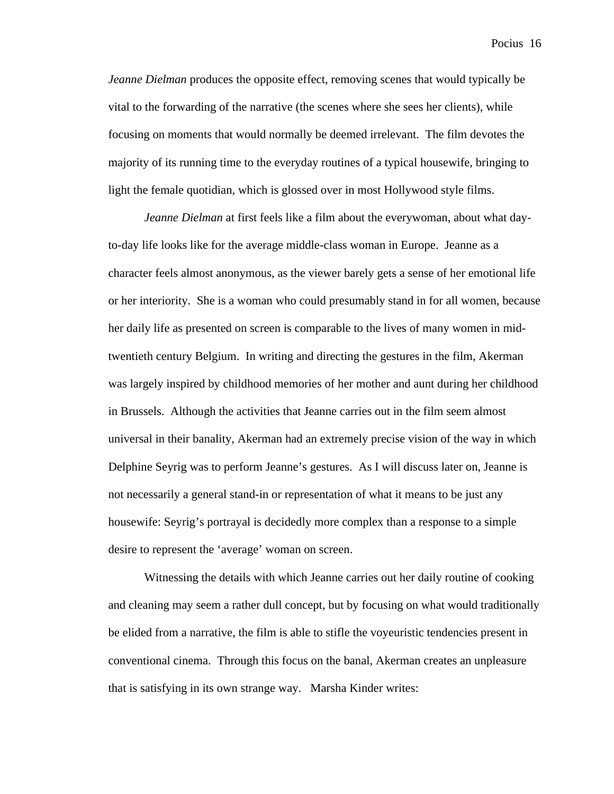*Jeanne Dielman* produces the opposite effect, removing scenes that would typically be vital to the forwarding of the narrative (the scenes where she sees her clients), while focusing on moments that would normally be deemed irrelevant. The film devotes the majority of its running time to the everyday routines of a typical housewife, bringing to light the female quotidian, which is glossed over in most Hollywood style films.

*Jeanne Dielman* at first feels like a film about the everywoman, about what dayto-day life looks like for the average middle-class woman in Europe. Jeanne as a character feels almost anonymous, as the viewer barely gets a sense of her emotional life or her interiority. She is a woman who could presumably stand in for all women, because her daily life as presented on screen is comparable to the lives of many women in midtwentieth century Belgium. In writing and directing the gestures in the film, Akerman was largely inspired by childhood memories of her mother and aunt during her childhood in Brussels. Although the activities that Jeanne carries out in the film seem almost universal in their banality, Akerman had an extremely precise vision of the way in which Delphine Seyrig was to perform Jeanne's gestures. As I will discuss later on, Jeanne is not necessarily a general stand-in or representation of what it means to be just any housewife: Seyrig's portrayal is decidedly more complex than a response to a simple desire to represent the 'average' woman on screen.

Witnessing the details with which Jeanne carries out her daily routine of cooking and cleaning may seem a rather dull concept, but by focusing on what would traditionally be elided from a narrative, the film is able to stifle the voyeuristic tendencies present in conventional cinema. Through this focus on the banal, Akerman creates an unpleasure that is satisfying in its own strange way. Marsha Kinder writes: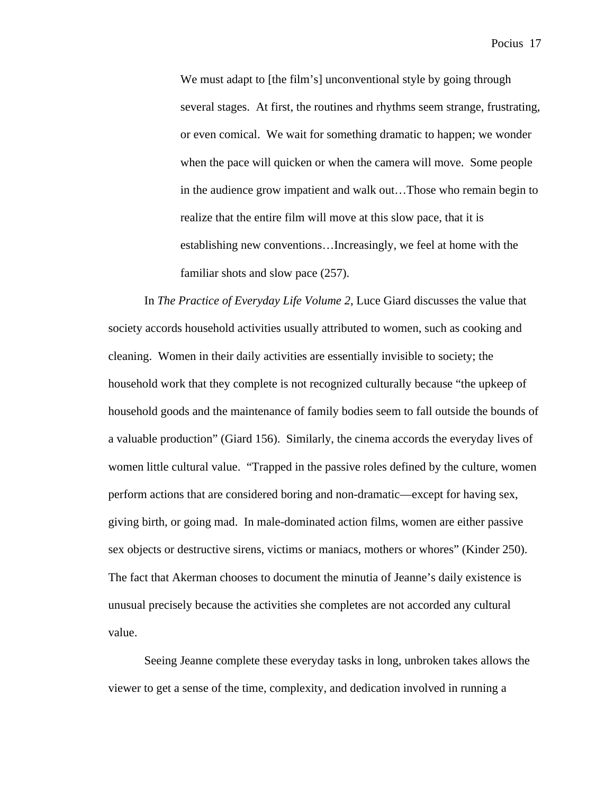We must adapt to [the film's] unconventional style by going through several stages. At first, the routines and rhythms seem strange, frustrating, or even comical. We wait for something dramatic to happen; we wonder when the pace will quicken or when the camera will move. Some people in the audience grow impatient and walk out…Those who remain begin to realize that the entire film will move at this slow pace, that it is establishing new conventions…Increasingly, we feel at home with the familiar shots and slow pace (257).

In *The Practice of Everyday Life Volume 2*, Luce Giard discusses the value that society accords household activities usually attributed to women, such as cooking and cleaning. Women in their daily activities are essentially invisible to society; the household work that they complete is not recognized culturally because "the upkeep of household goods and the maintenance of family bodies seem to fall outside the bounds of a valuable production" (Giard 156). Similarly, the cinema accords the everyday lives of women little cultural value. "Trapped in the passive roles defined by the culture, women perform actions that are considered boring and non-dramatic—except for having sex, giving birth, or going mad. In male-dominated action films, women are either passive sex objects or destructive sirens, victims or maniacs, mothers or whores" (Kinder 250). The fact that Akerman chooses to document the minutia of Jeanne's daily existence is unusual precisely because the activities she completes are not accorded any cultural value.

Seeing Jeanne complete these everyday tasks in long, unbroken takes allows the viewer to get a sense of the time, complexity, and dedication involved in running a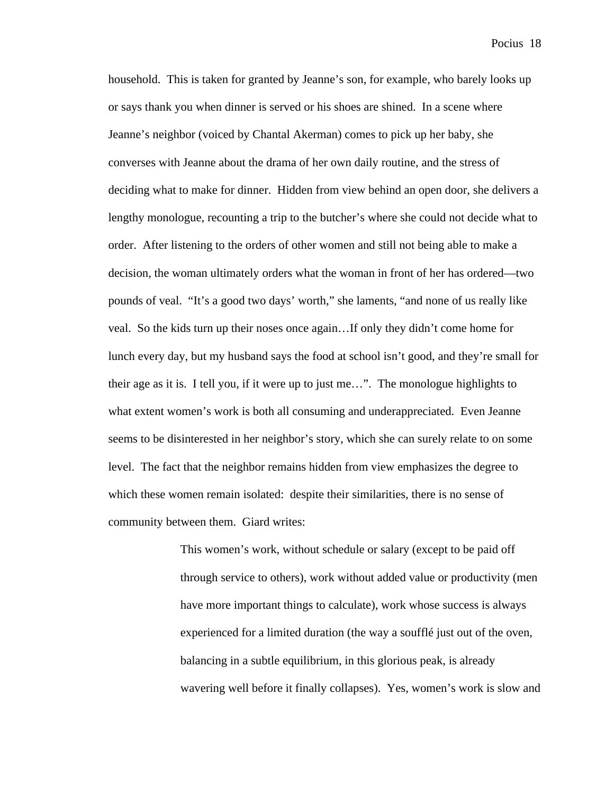household. This is taken for granted by Jeanne's son, for example, who barely looks up or says thank you when dinner is served or his shoes are shined. In a scene where Jeanne's neighbor (voiced by Chantal Akerman) comes to pick up her baby, she converses with Jeanne about the drama of her own daily routine, and the stress of deciding what to make for dinner. Hidden from view behind an open door, she delivers a lengthy monologue, recounting a trip to the butcher's where she could not decide what to order. After listening to the orders of other women and still not being able to make a decision, the woman ultimately orders what the woman in front of her has ordered—two pounds of veal. "It's a good two days' worth," she laments, "and none of us really like veal. So the kids turn up their noses once again…If only they didn't come home for lunch every day, but my husband says the food at school isn't good, and they're small for their age as it is. I tell you, if it were up to just me…". The monologue highlights to what extent women's work is both all consuming and underappreciated. Even Jeanne seems to be disinterested in her neighbor's story, which she can surely relate to on some level. The fact that the neighbor remains hidden from view emphasizes the degree to which these women remain isolated: despite their similarities, there is no sense of community between them. Giard writes:

> This women's work, without schedule or salary (except to be paid off through service to others), work without added value or productivity (men have more important things to calculate), work whose success is always experienced for a limited duration (the way a soufflé just out of the oven, balancing in a subtle equilibrium, in this glorious peak, is already wavering well before it finally collapses). Yes, women's work is slow and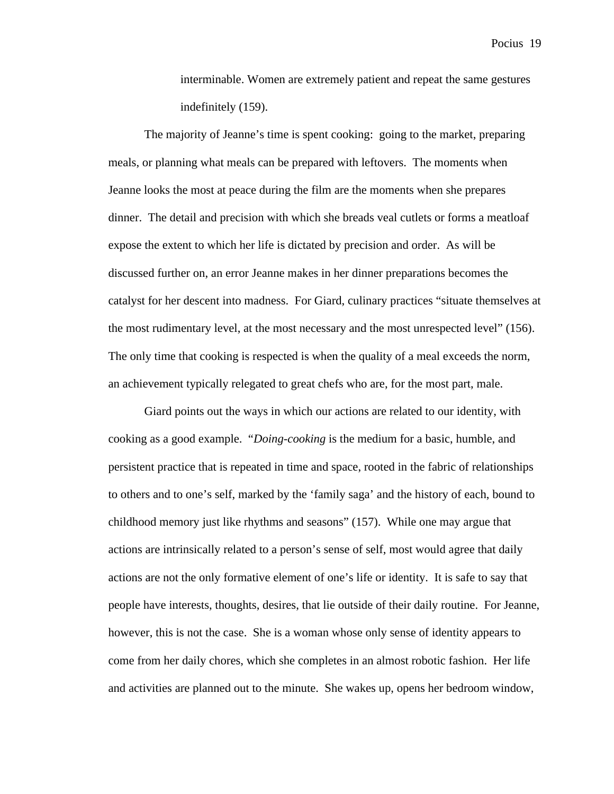interminable. Women are extremely patient and repeat the same gestures indefinitely (159).

The majority of Jeanne's time is spent cooking: going to the market, preparing meals, or planning what meals can be prepared with leftovers. The moments when Jeanne looks the most at peace during the film are the moments when she prepares dinner. The detail and precision with which she breads veal cutlets or forms a meatloaf expose the extent to which her life is dictated by precision and order. As will be discussed further on, an error Jeanne makes in her dinner preparations becomes the catalyst for her descent into madness. For Giard, culinary practices "situate themselves at the most rudimentary level, at the most necessary and the most unrespected level" (156). The only time that cooking is respected is when the quality of a meal exceeds the norm, an achievement typically relegated to great chefs who are, for the most part, male.

Giard points out the ways in which our actions are related to our identity, with cooking as a good example. "*Doing-cooking* is the medium for a basic, humble, and persistent practice that is repeated in time and space, rooted in the fabric of relationships to others and to one's self, marked by the 'family saga' and the history of each, bound to childhood memory just like rhythms and seasons" (157). While one may argue that actions are intrinsically related to a person's sense of self, most would agree that daily actions are not the only formative element of one's life or identity. It is safe to say that people have interests, thoughts, desires, that lie outside of their daily routine. For Jeanne, however, this is not the case. She is a woman whose only sense of identity appears to come from her daily chores, which she completes in an almost robotic fashion. Her life and activities are planned out to the minute. She wakes up, opens her bedroom window,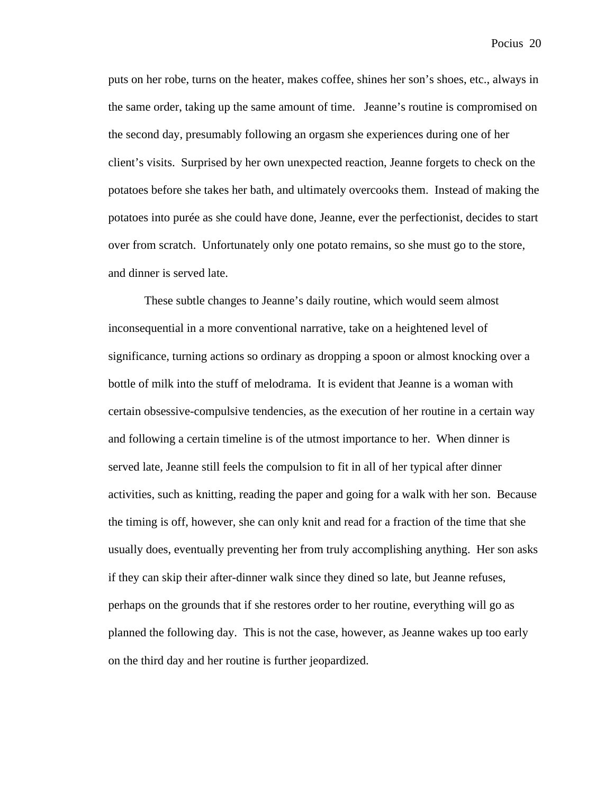puts on her robe, turns on the heater, makes coffee, shines her son's shoes, etc., always in the same order, taking up the same amount of time. Jeanne's routine is compromised on the second day, presumably following an orgasm she experiences during one of her client's visits. Surprised by her own unexpected reaction, Jeanne forgets to check on the potatoes before she takes her bath, and ultimately overcooks them. Instead of making the potatoes into purée as she could have done, Jeanne, ever the perfectionist, decides to start over from scratch. Unfortunately only one potato remains, so she must go to the store, and dinner is served late.

These subtle changes to Jeanne's daily routine, which would seem almost inconsequential in a more conventional narrative, take on a heightened level of significance, turning actions so ordinary as dropping a spoon or almost knocking over a bottle of milk into the stuff of melodrama. It is evident that Jeanne is a woman with certain obsessive-compulsive tendencies, as the execution of her routine in a certain way and following a certain timeline is of the utmost importance to her. When dinner is served late, Jeanne still feels the compulsion to fit in all of her typical after dinner activities, such as knitting, reading the paper and going for a walk with her son. Because the timing is off, however, she can only knit and read for a fraction of the time that she usually does, eventually preventing her from truly accomplishing anything. Her son asks if they can skip their after-dinner walk since they dined so late, but Jeanne refuses, perhaps on the grounds that if she restores order to her routine, everything will go as planned the following day. This is not the case, however, as Jeanne wakes up too early on the third day and her routine is further jeopardized.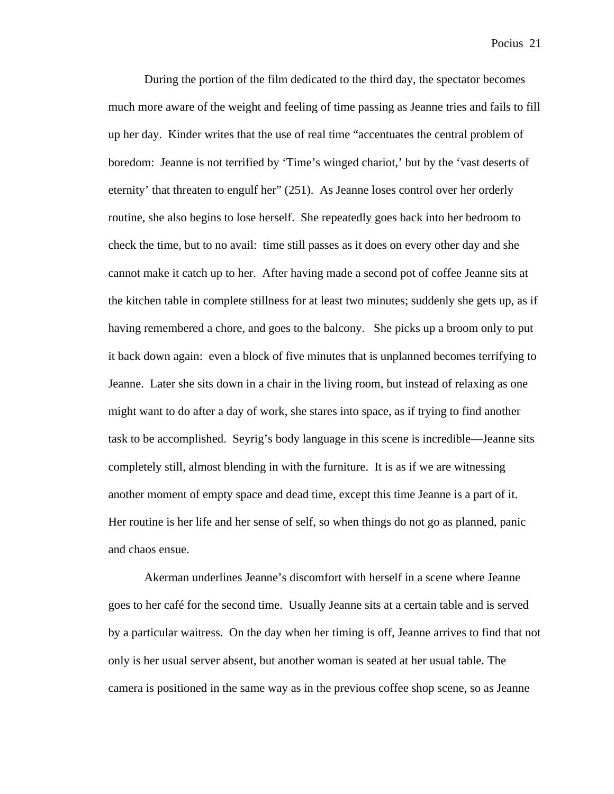During the portion of the film dedicated to the third day, the spectator becomes much more aware of the weight and feeling of time passing as Jeanne tries and fails to fill up her day. Kinder writes that the use of real time "accentuates the central problem of boredom: Jeanne is not terrified by 'Time's winged chariot,' but by the 'vast deserts of eternity' that threaten to engulf her" (251). As Jeanne loses control over her orderly routine, she also begins to lose herself. She repeatedly goes back into her bedroom to check the time, but to no avail: time still passes as it does on every other day and she cannot make it catch up to her. After having made a second pot of coffee Jeanne sits at the kitchen table in complete stillness for at least two minutes; suddenly she gets up, as if having remembered a chore, and goes to the balcony. She picks up a broom only to put it back down again: even a block of five minutes that is unplanned becomes terrifying to Jeanne. Later she sits down in a chair in the living room, but instead of relaxing as one might want to do after a day of work, she stares into space, as if trying to find another task to be accomplished. Seyrig's body language in this scene is incredible—Jeanne sits completely still, almost blending in with the furniture. It is as if we are witnessing another moment of empty space and dead time, except this time Jeanne is a part of it. Her routine is her life and her sense of self, so when things do not go as planned, panic and chaos ensue.

Akerman underlines Jeanne's discomfort with herself in a scene where Jeanne goes to her café for the second time. Usually Jeanne sits at a certain table and is served by a particular waitress. On the day when her timing is off, Jeanne arrives to find that not only is her usual server absent, but another woman is seated at her usual table. The camera is positioned in the same way as in the previous coffee shop scene, so as Jeanne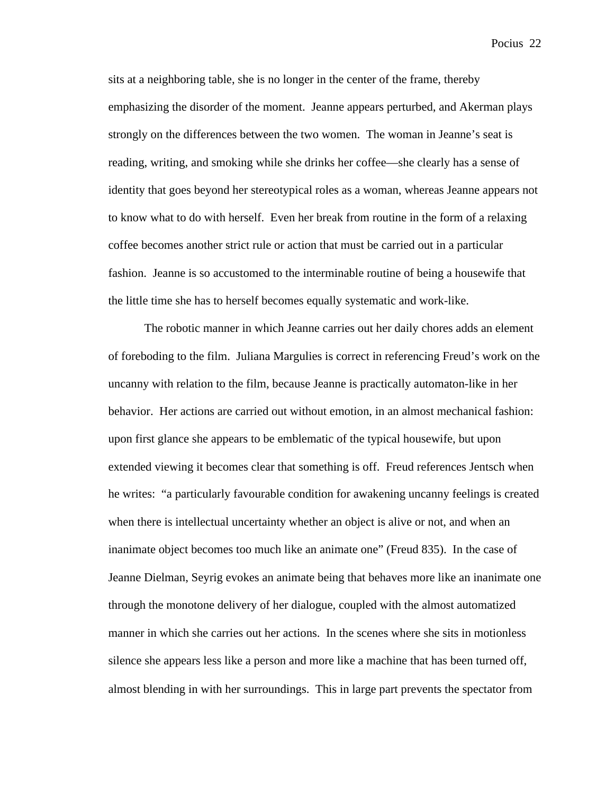sits at a neighboring table, she is no longer in the center of the frame, thereby emphasizing the disorder of the moment. Jeanne appears perturbed, and Akerman plays strongly on the differences between the two women. The woman in Jeanne's seat is reading, writing, and smoking while she drinks her coffee—she clearly has a sense of identity that goes beyond her stereotypical roles as a woman, whereas Jeanne appears not to know what to do with herself. Even her break from routine in the form of a relaxing coffee becomes another strict rule or action that must be carried out in a particular fashion. Jeanne is so accustomed to the interminable routine of being a housewife that the little time she has to herself becomes equally systematic and work-like.

The robotic manner in which Jeanne carries out her daily chores adds an element of foreboding to the film. Juliana Margulies is correct in referencing Freud's work on the uncanny with relation to the film, because Jeanne is practically automaton-like in her behavior. Her actions are carried out without emotion, in an almost mechanical fashion: upon first glance she appears to be emblematic of the typical housewife, but upon extended viewing it becomes clear that something is off. Freud references Jentsch when he writes: "a particularly favourable condition for awakening uncanny feelings is created when there is intellectual uncertainty whether an object is alive or not, and when an inanimate object becomes too much like an animate one" (Freud 835). In the case of Jeanne Dielman, Seyrig evokes an animate being that behaves more like an inanimate one through the monotone delivery of her dialogue, coupled with the almost automatized manner in which she carries out her actions. In the scenes where she sits in motionless silence she appears less like a person and more like a machine that has been turned off, almost blending in with her surroundings. This in large part prevents the spectator from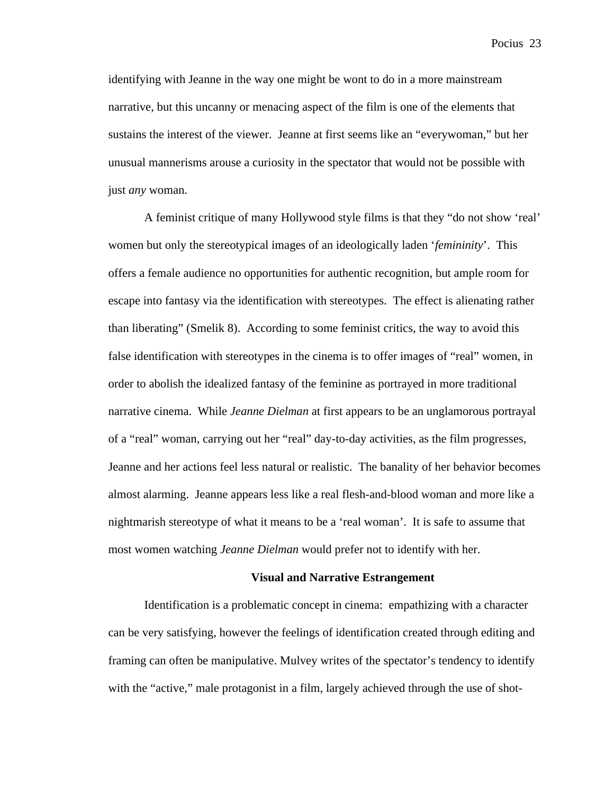identifying with Jeanne in the way one might be wont to do in a more mainstream narrative, but this uncanny or menacing aspect of the film is one of the elements that sustains the interest of the viewer. Jeanne at first seems like an "everywoman," but her unusual mannerisms arouse a curiosity in the spectator that would not be possible with just *any* woman.

A feminist critique of many Hollywood style films is that they "do not show 'real' women but only the stereotypical images of an ideologically laden '*femininity*'. This offers a female audience no opportunities for authentic recognition, but ample room for escape into fantasy via the identification with stereotypes. The effect is alienating rather than liberating" (Smelik 8). According to some feminist critics, the way to avoid this false identification with stereotypes in the cinema is to offer images of "real" women, in order to abolish the idealized fantasy of the feminine as portrayed in more traditional narrative cinema. While *Jeanne Dielman* at first appears to be an unglamorous portrayal of a "real" woman, carrying out her "real" day-to-day activities, as the film progresses, Jeanne and her actions feel less natural or realistic. The banality of her behavior becomes almost alarming. Jeanne appears less like a real flesh-and-blood woman and more like a nightmarish stereotype of what it means to be a 'real woman'. It is safe to assume that most women watching *Jeanne Dielman* would prefer not to identify with her.

### **Visual and Narrative Estrangement**

Identification is a problematic concept in cinema: empathizing with a character can be very satisfying, however the feelings of identification created through editing and framing can often be manipulative. Mulvey writes of the spectator's tendency to identify with the "active," male protagonist in a film, largely achieved through the use of shot-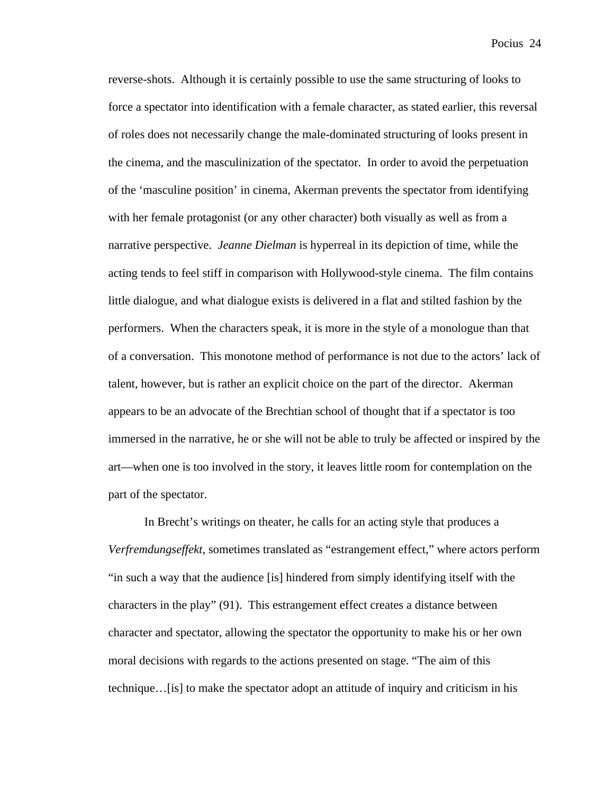reverse-shots. Although it is certainly possible to use the same structuring of looks to force a spectator into identification with a female character, as stated earlier, this reversal of roles does not necessarily change the male-dominated structuring of looks present in the cinema, and the masculinization of the spectator. In order to avoid the perpetuation of the 'masculine position' in cinema, Akerman prevents the spectator from identifying with her female protagonist (or any other character) both visually as well as from a narrative perspective. *Jeanne Dielman* is hyperreal in its depiction of time, while the acting tends to feel stiff in comparison with Hollywood-style cinema. The film contains little dialogue, and what dialogue exists is delivered in a flat and stilted fashion by the performers. When the characters speak, it is more in the style of a monologue than that of a conversation. This monotone method of performance is not due to the actors' lack of talent, however, but is rather an explicit choice on the part of the director. Akerman appears to be an advocate of the Brechtian school of thought that if a spectator is too immersed in the narrative, he or she will not be able to truly be affected or inspired by the art—when one is too involved in the story, it leaves little room for contemplation on the part of the spectator.

In Brecht's writings on theater, he calls for an acting style that produces a *Verfremdungseffekt*, sometimes translated as "estrangement effect," where actors perform "in such a way that the audience [is] hindered from simply identifying itself with the characters in the play" (91). This estrangement effect creates a distance between character and spectator, allowing the spectator the opportunity to make his or her own moral decisions with regards to the actions presented on stage. "The aim of this technique…[is] to make the spectator adopt an attitude of inquiry and criticism in his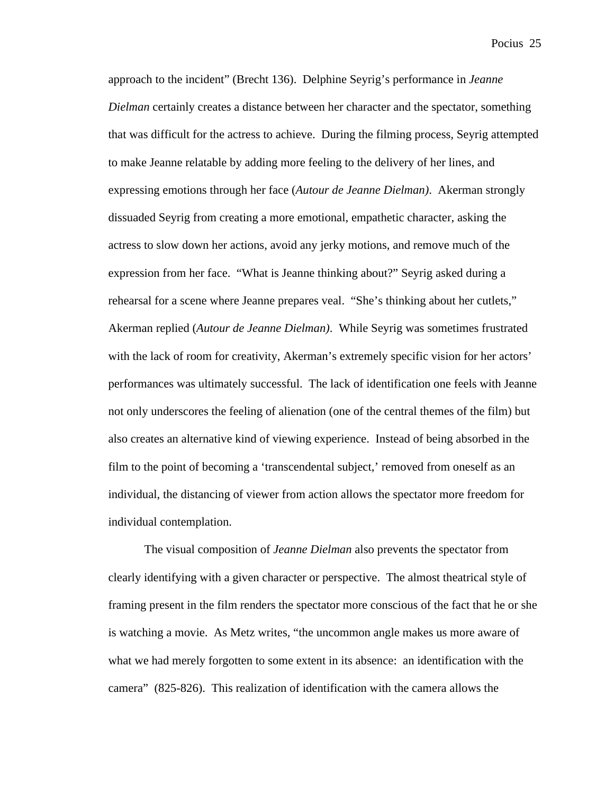approach to the incident" (Brecht 136). Delphine Seyrig's performance in *Jeanne Dielman* certainly creates a distance between her character and the spectator, something that was difficult for the actress to achieve. During the filming process*,* Seyrig attempted to make Jeanne relatable by adding more feeling to the delivery of her lines, and expressing emotions through her face (*Autour de Jeanne Dielman)*. Akerman strongly dissuaded Seyrig from creating a more emotional, empathetic character, asking the actress to slow down her actions, avoid any jerky motions, and remove much of the expression from her face. "What is Jeanne thinking about?" Seyrig asked during a rehearsal for a scene where Jeanne prepares veal. "She's thinking about her cutlets," Akerman replied (*Autour de Jeanne Dielman)*. While Seyrig was sometimes frustrated with the lack of room for creativity, Akerman's extremely specific vision for her actors' performances was ultimately successful. The lack of identification one feels with Jeanne not only underscores the feeling of alienation (one of the central themes of the film) but also creates an alternative kind of viewing experience. Instead of being absorbed in the film to the point of becoming a 'transcendental subject,' removed from oneself as an individual, the distancing of viewer from action allows the spectator more freedom for individual contemplation.

The visual composition of *Jeanne Dielman* also prevents the spectator from clearly identifying with a given character or perspective. The almost theatrical style of framing present in the film renders the spectator more conscious of the fact that he or she is watching a movie. As Metz writes, "the uncommon angle makes us more aware of what we had merely forgotten to some extent in its absence: an identification with the camera" (825-826). This realization of identification with the camera allows the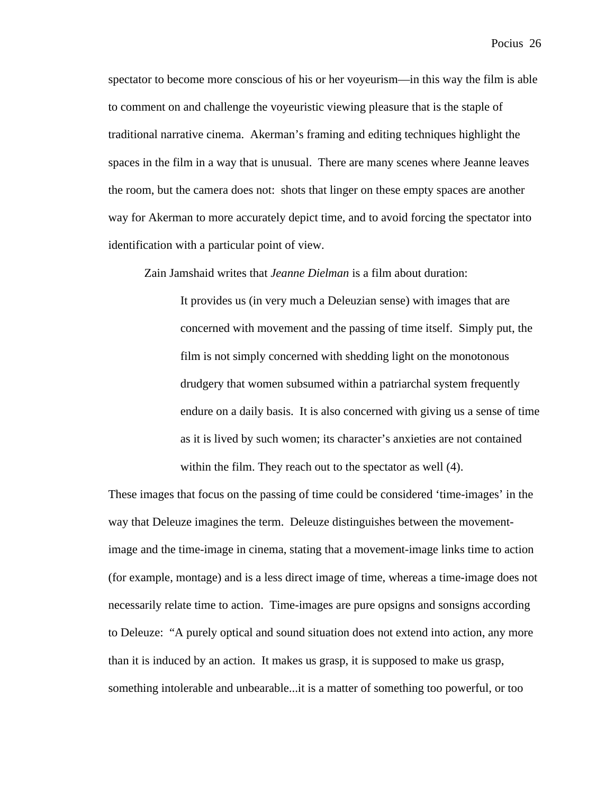spectator to become more conscious of his or her voyeurism—in this way the film is able to comment on and challenge the voyeuristic viewing pleasure that is the staple of traditional narrative cinema. Akerman's framing and editing techniques highlight the spaces in the film in a way that is unusual. There are many scenes where Jeanne leaves the room, but the camera does not: shots that linger on these empty spaces are another way for Akerman to more accurately depict time, and to avoid forcing the spectator into identification with a particular point of view.

Zain Jamshaid writes that *Jeanne Dielman* is a film about duration:

It provides us (in very much a Deleuzian sense) with images that are concerned with movement and the passing of time itself. Simply put, the film is not simply concerned with shedding light on the monotonous drudgery that women subsumed within a patriarchal system frequently endure on a daily basis. It is also concerned with giving us a sense of time as it is lived by such women; its character's anxieties are not contained within the film. They reach out to the spectator as well (4).

These images that focus on the passing of time could be considered 'time-images' in the way that Deleuze imagines the term. Deleuze distinguishes between the movementimage and the time-image in cinema, stating that a movement-image links time to action (for example, montage) and is a less direct image of time, whereas a time-image does not necessarily relate time to action. Time-images are pure opsigns and sonsigns according to Deleuze: "A purely optical and sound situation does not extend into action, any more than it is induced by an action. It makes us grasp, it is supposed to make us grasp, something intolerable and unbearable...it is a matter of something too powerful, or too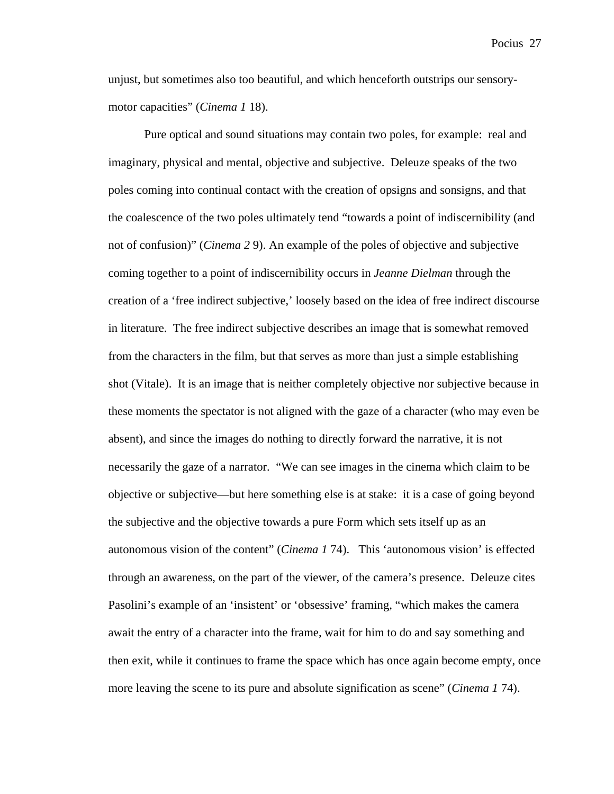unjust, but sometimes also too beautiful, and which henceforth outstrips our sensorymotor capacities" (*Cinema 1* 18).

Pure optical and sound situations may contain two poles, for example: real and imaginary, physical and mental, objective and subjective. Deleuze speaks of the two poles coming into continual contact with the creation of opsigns and sonsigns, and that the coalescence of the two poles ultimately tend "towards a point of indiscernibility (and not of confusion)" (*Cinema 2* 9). An example of the poles of objective and subjective coming together to a point of indiscernibility occurs in *Jeanne Dielman* through the creation of a 'free indirect subjective,' loosely based on the idea of free indirect discourse in literature. The free indirect subjective describes an image that is somewhat removed from the characters in the film, but that serves as more than just a simple establishing shot (Vitale). It is an image that is neither completely objective nor subjective because in these moments the spectator is not aligned with the gaze of a character (who may even be absent), and since the images do nothing to directly forward the narrative, it is not necessarily the gaze of a narrator. "We can see images in the cinema which claim to be objective or subjective—but here something else is at stake: it is a case of going beyond the subjective and the objective towards a pure Form which sets itself up as an autonomous vision of the content" (*Cinema 1* 74). This 'autonomous vision' is effected through an awareness, on the part of the viewer, of the camera's presence. Deleuze cites Pasolini's example of an 'insistent' or 'obsessive' framing, "which makes the camera await the entry of a character into the frame, wait for him to do and say something and then exit, while it continues to frame the space which has once again become empty, once more leaving the scene to its pure and absolute signification as scene" (*Cinema 1* 74).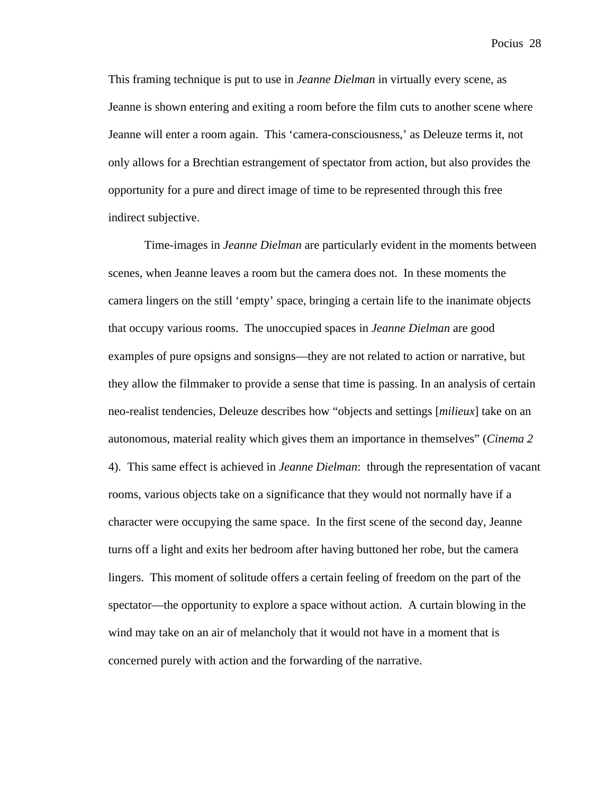This framing technique is put to use in *Jeanne Dielman* in virtually every scene, as Jeanne is shown entering and exiting a room before the film cuts to another scene where Jeanne will enter a room again. This 'camera-consciousness,' as Deleuze terms it, not only allows for a Brechtian estrangement of spectator from action, but also provides the opportunity for a pure and direct image of time to be represented through this free indirect subjective.

Time-images in *Jeanne Dielman* are particularly evident in the moments between scenes, when Jeanne leaves a room but the camera does not. In these moments the camera lingers on the still 'empty' space, bringing a certain life to the inanimate objects that occupy various rooms. The unoccupied spaces in *Jeanne Dielman* are good examples of pure opsigns and sonsigns—they are not related to action or narrative, but they allow the filmmaker to provide a sense that time is passing. In an analysis of certain neo-realist tendencies, Deleuze describes how "objects and settings [*milieux*] take on an autonomous, material reality which gives them an importance in themselves" (*Cinema 2* 4). This same effect is achieved in *Jeanne Dielman*: through the representation of vacant rooms, various objects take on a significance that they would not normally have if a character were occupying the same space. In the first scene of the second day, Jeanne turns off a light and exits her bedroom after having buttoned her robe, but the camera lingers. This moment of solitude offers a certain feeling of freedom on the part of the spectator—the opportunity to explore a space without action. A curtain blowing in the wind may take on an air of melancholy that it would not have in a moment that is concerned purely with action and the forwarding of the narrative.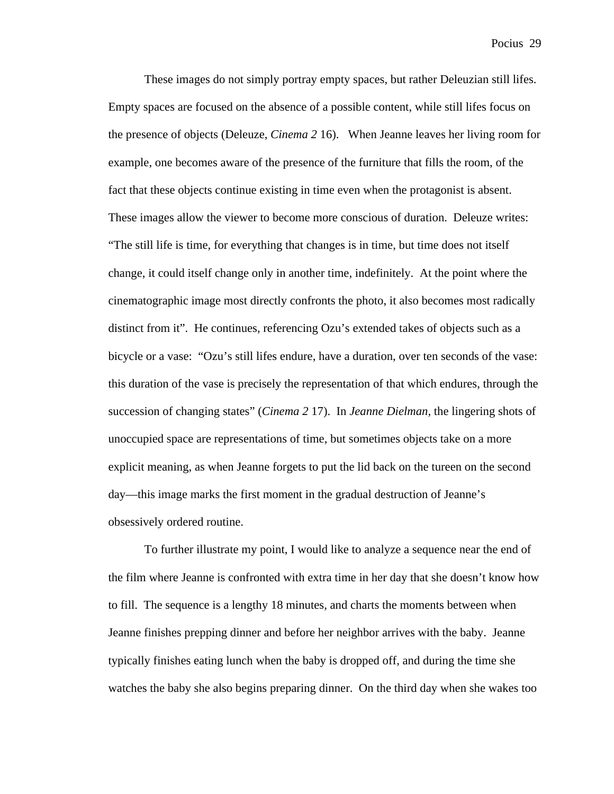These images do not simply portray empty spaces, but rather Deleuzian still lifes. Empty spaces are focused on the absence of a possible content, while still lifes focus on the presence of objects (Deleuze, *Cinema 2* 16). When Jeanne leaves her living room for example, one becomes aware of the presence of the furniture that fills the room, of the fact that these objects continue existing in time even when the protagonist is absent. These images allow the viewer to become more conscious of duration. Deleuze writes: "The still life is time, for everything that changes is in time, but time does not itself change, it could itself change only in another time, indefinitely. At the point where the cinematographic image most directly confronts the photo, it also becomes most radically distinct from it". He continues, referencing Ozu's extended takes of objects such as a bicycle or a vase: "Ozu's still lifes endure, have a duration, over ten seconds of the vase: this duration of the vase is precisely the representation of that which endures, through the succession of changing states" (*Cinema 2* 17). In *Jeanne Dielman,* the lingering shots of unoccupied space are representations of time, but sometimes objects take on a more explicit meaning, as when Jeanne forgets to put the lid back on the tureen on the second day—this image marks the first moment in the gradual destruction of Jeanne's obsessively ordered routine.

To further illustrate my point, I would like to analyze a sequence near the end of the film where Jeanne is confronted with extra time in her day that she doesn't know how to fill. The sequence is a lengthy 18 minutes, and charts the moments between when Jeanne finishes prepping dinner and before her neighbor arrives with the baby. Jeanne typically finishes eating lunch when the baby is dropped off, and during the time she watches the baby she also begins preparing dinner. On the third day when she wakes too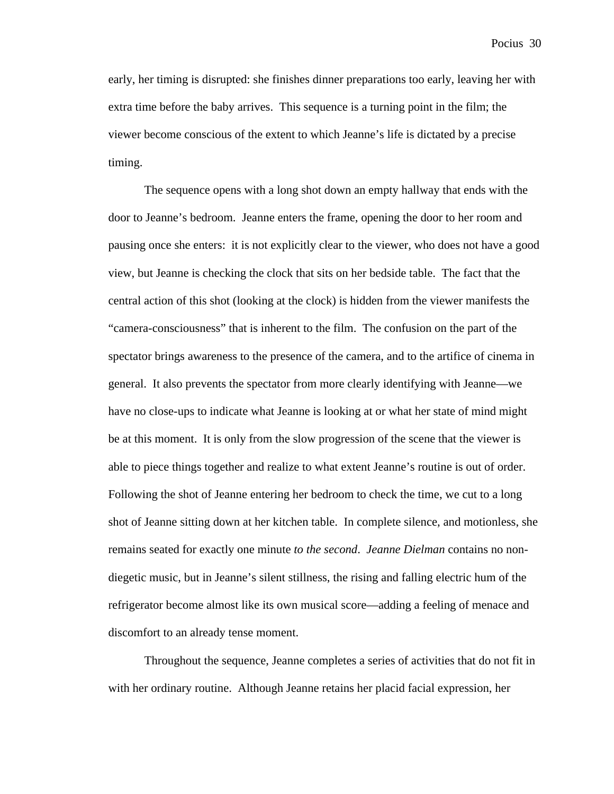early, her timing is disrupted: she finishes dinner preparations too early, leaving her with extra time before the baby arrives. This sequence is a turning point in the film; the viewer become conscious of the extent to which Jeanne's life is dictated by a precise timing.

The sequence opens with a long shot down an empty hallway that ends with the door to Jeanne's bedroom. Jeanne enters the frame, opening the door to her room and pausing once she enters: it is not explicitly clear to the viewer, who does not have a good view, but Jeanne is checking the clock that sits on her bedside table. The fact that the central action of this shot (looking at the clock) is hidden from the viewer manifests the "camera-consciousness" that is inherent to the film. The confusion on the part of the spectator brings awareness to the presence of the camera, and to the artifice of cinema in general. It also prevents the spectator from more clearly identifying with Jeanne—we have no close-ups to indicate what Jeanne is looking at or what her state of mind might be at this moment. It is only from the slow progression of the scene that the viewer is able to piece things together and realize to what extent Jeanne's routine is out of order. Following the shot of Jeanne entering her bedroom to check the time, we cut to a long shot of Jeanne sitting down at her kitchen table. In complete silence, and motionless, she remains seated for exactly one minute *to the second*. *Jeanne Dielman* contains no nondiegetic music, but in Jeanne's silent stillness, the rising and falling electric hum of the refrigerator become almost like its own musical score—adding a feeling of menace and discomfort to an already tense moment.

Throughout the sequence, Jeanne completes a series of activities that do not fit in with her ordinary routine. Although Jeanne retains her placid facial expression, her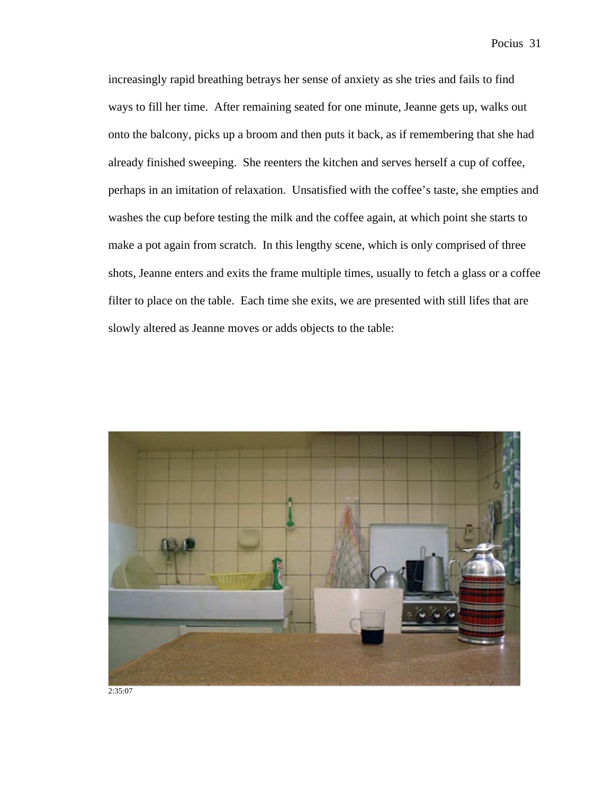increasingly rapid breathing betrays her sense of anxiety as she tries and fails to find ways to fill her time. After remaining seated for one minute, Jeanne gets up, walks out onto the balcony, picks up a broom and then puts it back, as if remembering that she had already finished sweeping. She reenters the kitchen and serves herself a cup of coffee, perhaps in an imitation of relaxation. Unsatisfied with the coffee's taste, she empties and washes the cup before testing the milk and the coffee again, at which point she starts to make a pot again from scratch. In this lengthy scene, which is only comprised of three shots, Jeanne enters and exits the frame multiple times, usually to fetch a glass or a coffee filter to place on the table. Each time she exits, we are presented with still lifes that are slowly altered as Jeanne moves or adds objects to the table:



2:35:07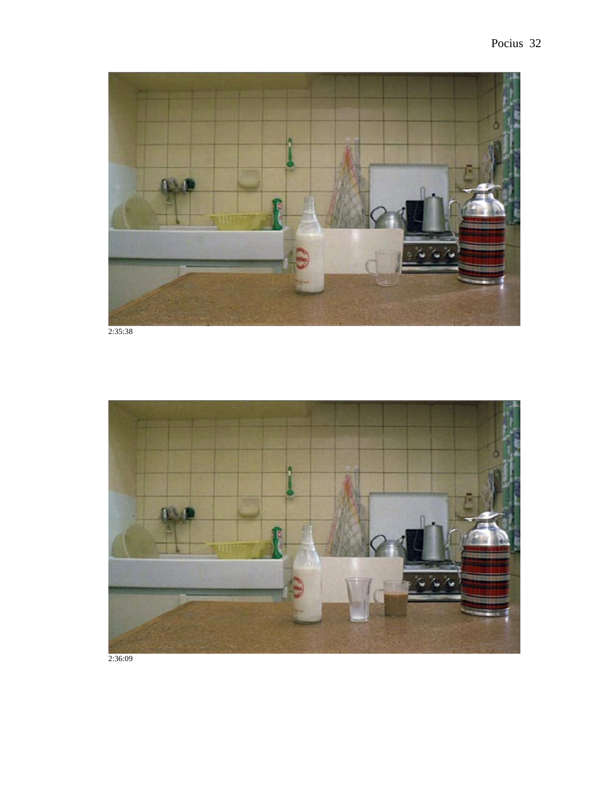

2:35:38

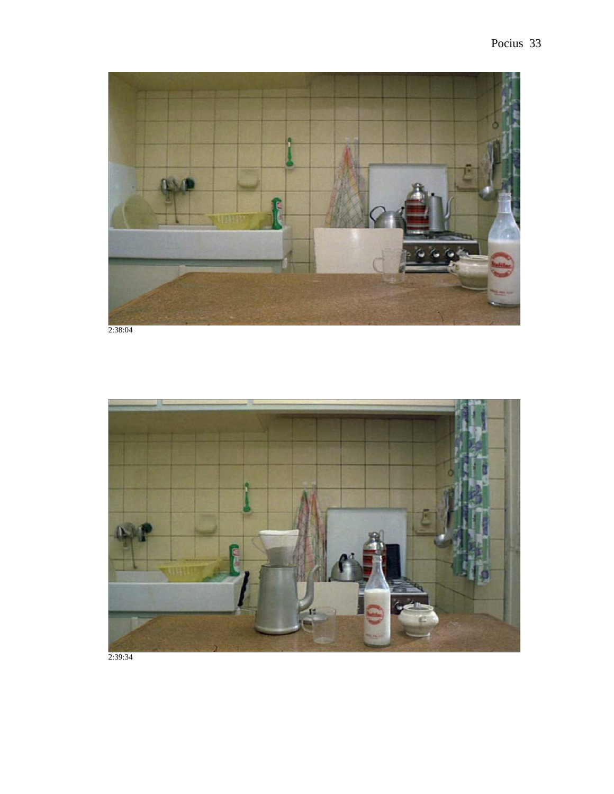

2:38:04



2:39:34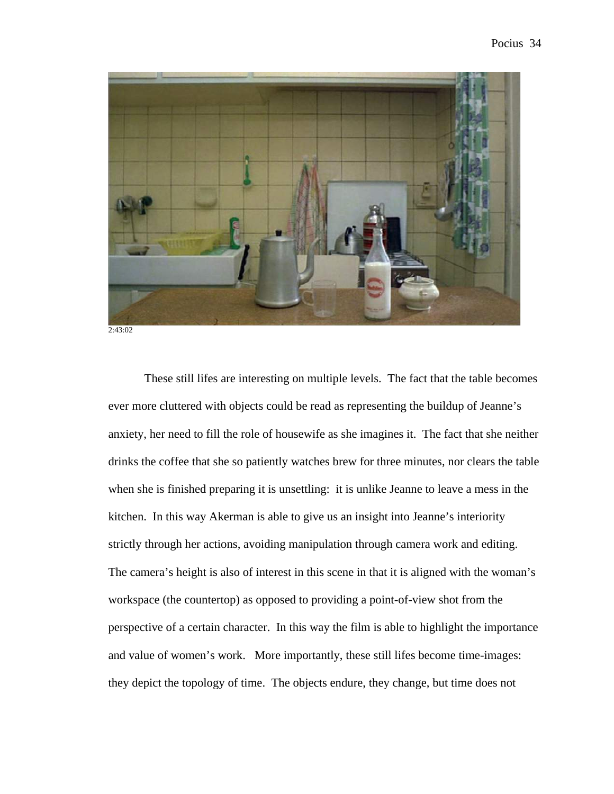

2:43:02

These still lifes are interesting on multiple levels. The fact that the table becomes ever more cluttered with objects could be read as representing the buildup of Jeanne's anxiety, her need to fill the role of housewife as she imagines it. The fact that she neither drinks the coffee that she so patiently watches brew for three minutes, nor clears the table when she is finished preparing it is unsettling: it is unlike Jeanne to leave a mess in the kitchen. In this way Akerman is able to give us an insight into Jeanne's interiority strictly through her actions, avoiding manipulation through camera work and editing. The camera's height is also of interest in this scene in that it is aligned with the woman's workspace (the countertop) as opposed to providing a point-of-view shot from the perspective of a certain character. In this way the film is able to highlight the importance and value of women's work. More importantly, these still lifes become time-images: they depict the topology of time. The objects endure, they change, but time does not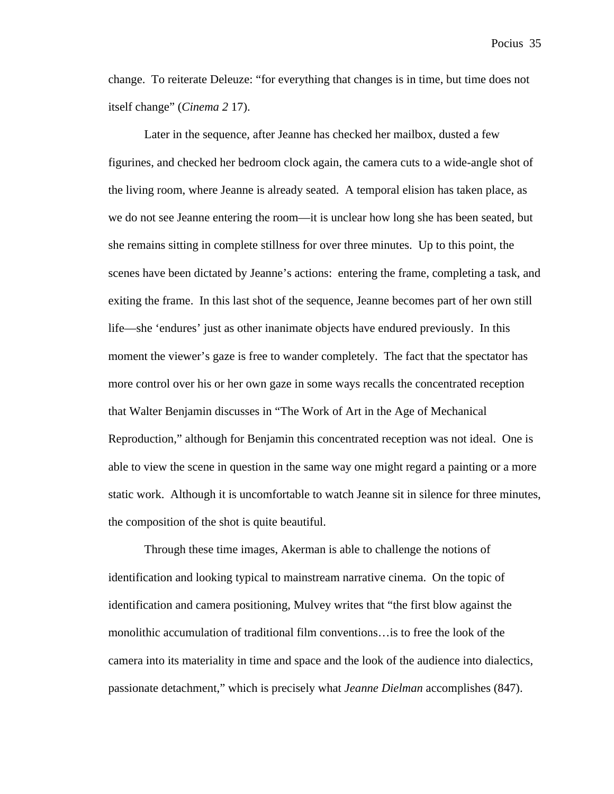change. To reiterate Deleuze: "for everything that changes is in time, but time does not itself change" (*Cinema 2* 17).

Later in the sequence, after Jeanne has checked her mailbox, dusted a few figurines, and checked her bedroom clock again, the camera cuts to a wide-angle shot of the living room, where Jeanne is already seated. A temporal elision has taken place, as we do not see Jeanne entering the room—it is unclear how long she has been seated, but she remains sitting in complete stillness for over three minutes. Up to this point, the scenes have been dictated by Jeanne's actions: entering the frame, completing a task, and exiting the frame. In this last shot of the sequence, Jeanne becomes part of her own still life—she 'endures' just as other inanimate objects have endured previously. In this moment the viewer's gaze is free to wander completely. The fact that the spectator has more control over his or her own gaze in some ways recalls the concentrated reception that Walter Benjamin discusses in "The Work of Art in the Age of Mechanical Reproduction," although for Benjamin this concentrated reception was not ideal. One is able to view the scene in question in the same way one might regard a painting or a more static work. Although it is uncomfortable to watch Jeanne sit in silence for three minutes, the composition of the shot is quite beautiful.

Through these time images, Akerman is able to challenge the notions of identification and looking typical to mainstream narrative cinema. On the topic of identification and camera positioning, Mulvey writes that "the first blow against the monolithic accumulation of traditional film conventions…is to free the look of the camera into its materiality in time and space and the look of the audience into dialectics, passionate detachment," which is precisely what *Jeanne Dielman* accomplishes (847).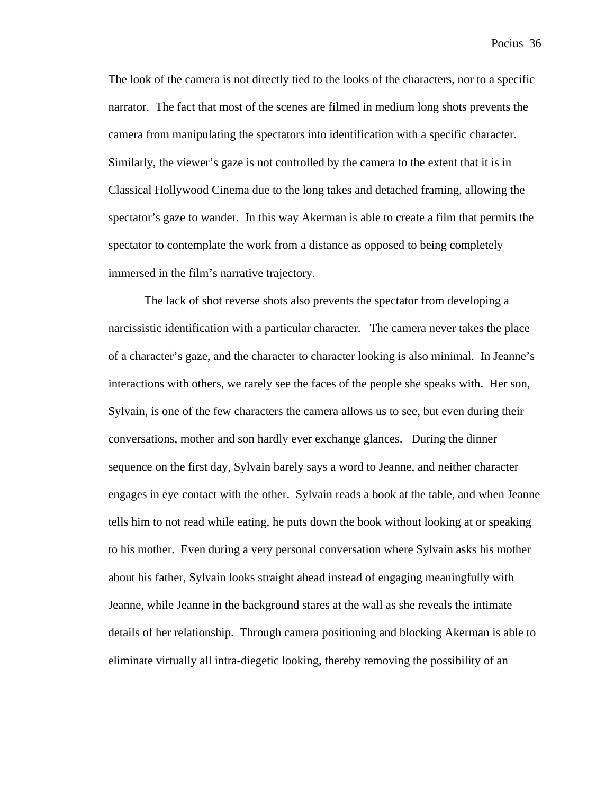The look of the camera is not directly tied to the looks of the characters, nor to a specific narrator. The fact that most of the scenes are filmed in medium long shots prevents the camera from manipulating the spectators into identification with a specific character. Similarly, the viewer's gaze is not controlled by the camera to the extent that it is in Classical Hollywood Cinema due to the long takes and detached framing, allowing the spectator's gaze to wander. In this way Akerman is able to create a film that permits the spectator to contemplate the work from a distance as opposed to being completely immersed in the film's narrative trajectory.

The lack of shot reverse shots also prevents the spectator from developing a narcissistic identification with a particular character. The camera never takes the place of a character's gaze, and the character to character looking is also minimal. In Jeanne's interactions with others, we rarely see the faces of the people she speaks with. Her son, Sylvain, is one of the few characters the camera allows us to see, but even during their conversations, mother and son hardly ever exchange glances. During the dinner sequence on the first day, Sylvain barely says a word to Jeanne, and neither character engages in eye contact with the other. Sylvain reads a book at the table, and when Jeanne tells him to not read while eating, he puts down the book without looking at or speaking to his mother. Even during a very personal conversation where Sylvain asks his mother about his father, Sylvain looks straight ahead instead of engaging meaningfully with Jeanne, while Jeanne in the background stares at the wall as she reveals the intimate details of her relationship. Through camera positioning and blocking Akerman is able to eliminate virtually all intra-diegetic looking, thereby removing the possibility of an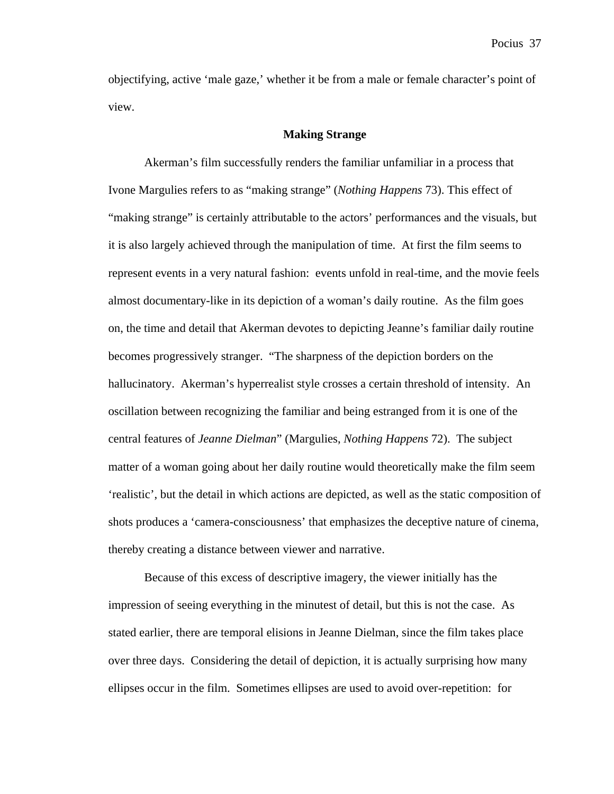objectifying, active 'male gaze,' whether it be from a male or female character's point of view.

## **Making Strange**

Akerman's film successfully renders the familiar unfamiliar in a process that Ivone Margulies refers to as "making strange" (*Nothing Happens* 73). This effect of "making strange" is certainly attributable to the actors' performances and the visuals, but it is also largely achieved through the manipulation of time. At first the film seems to represent events in a very natural fashion: events unfold in real-time, and the movie feels almost documentary-like in its depiction of a woman's daily routine. As the film goes on, the time and detail that Akerman devotes to depicting Jeanne's familiar daily routine becomes progressively stranger. "The sharpness of the depiction borders on the hallucinatory. Akerman's hyperrealist style crosses a certain threshold of intensity. An oscillation between recognizing the familiar and being estranged from it is one of the central features of *Jeanne Dielman*" (Margulies, *Nothing Happens* 72). The subject matter of a woman going about her daily routine would theoretically make the film seem 'realistic', but the detail in which actions are depicted, as well as the static composition of shots produces a 'camera-consciousness' that emphasizes the deceptive nature of cinema, thereby creating a distance between viewer and narrative.

Because of this excess of descriptive imagery, the viewer initially has the impression of seeing everything in the minutest of detail, but this is not the case. As stated earlier, there are temporal elisions in Jeanne Dielman, since the film takes place over three days. Considering the detail of depiction, it is actually surprising how many ellipses occur in the film. Sometimes ellipses are used to avoid over-repetition: for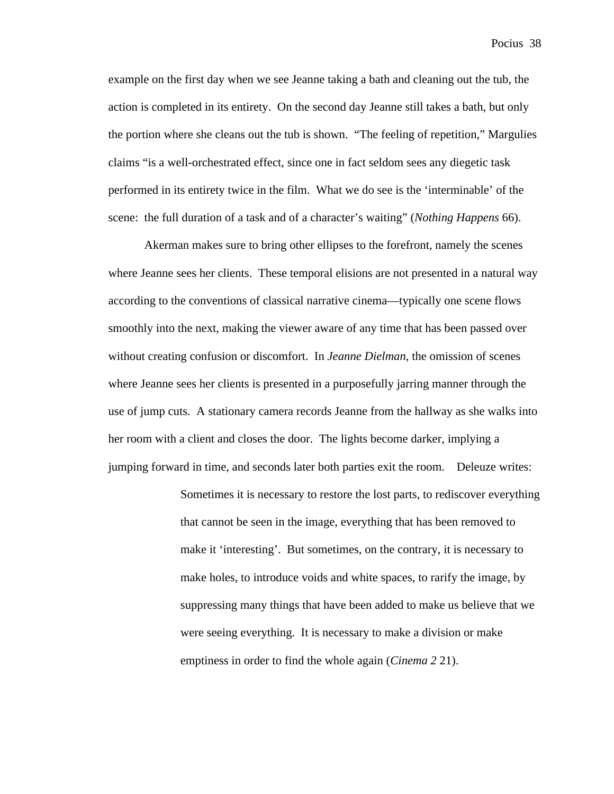example on the first day when we see Jeanne taking a bath and cleaning out the tub, the action is completed in its entirety. On the second day Jeanne still takes a bath, but only the portion where she cleans out the tub is shown. "The feeling of repetition," Margulies claims "is a well-orchestrated effect, since one in fact seldom sees any diegetic task performed in its entirety twice in the film. What we do see is the 'interminable' of the scene: the full duration of a task and of a character's waiting" (*Nothing Happens* 66).

Akerman makes sure to bring other ellipses to the forefront, namely the scenes where Jeanne sees her clients. These temporal elisions are not presented in a natural way according to the conventions of classical narrative cinema—typically one scene flows smoothly into the next, making the viewer aware of any time that has been passed over without creating confusion or discomfort. In *Jeanne Dielman*, the omission of scenes where Jeanne sees her clients is presented in a purposefully jarring manner through the use of jump cuts. A stationary camera records Jeanne from the hallway as she walks into her room with a client and closes the door. The lights become darker, implying a jumping forward in time, and seconds later both parties exit the room. Deleuze writes:

> Sometimes it is necessary to restore the lost parts, to rediscover everything that cannot be seen in the image, everything that has been removed to make it 'interesting'. But sometimes, on the contrary, it is necessary to make holes, to introduce voids and white spaces, to rarify the image, by suppressing many things that have been added to make us believe that we were seeing everything. It is necessary to make a division or make emptiness in order to find the whole again (*Cinema 2* 21).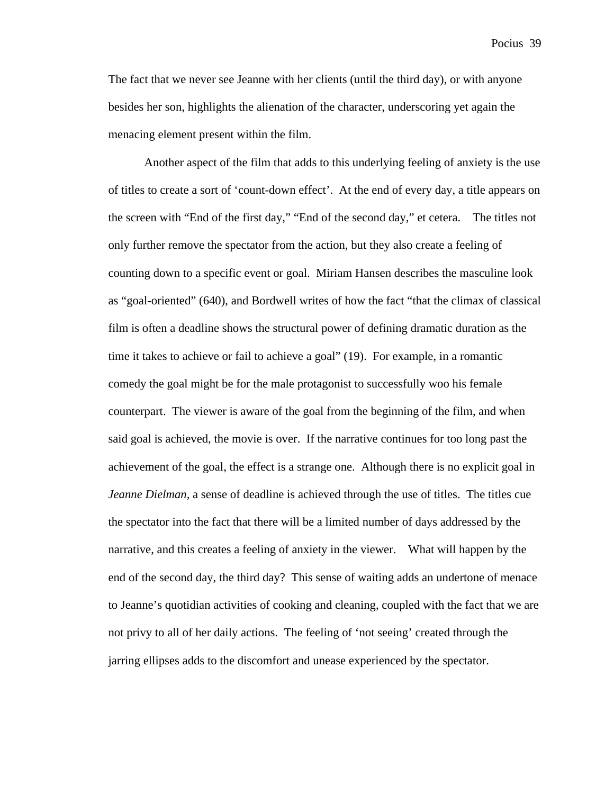The fact that we never see Jeanne with her clients (until the third day), or with anyone besides her son, highlights the alienation of the character, underscoring yet again the menacing element present within the film.

Another aspect of the film that adds to this underlying feeling of anxiety is the use of titles to create a sort of 'count-down effect'. At the end of every day, a title appears on the screen with "End of the first day," "End of the second day," et cetera. The titles not only further remove the spectator from the action, but they also create a feeling of counting down to a specific event or goal. Miriam Hansen describes the masculine look as "goal-oriented" (640), and Bordwell writes of how the fact "that the climax of classical film is often a deadline shows the structural power of defining dramatic duration as the time it takes to achieve or fail to achieve a goal" (19). For example, in a romantic comedy the goal might be for the male protagonist to successfully woo his female counterpart. The viewer is aware of the goal from the beginning of the film, and when said goal is achieved, the movie is over. If the narrative continues for too long past the achievement of the goal, the effect is a strange one. Although there is no explicit goal in *Jeanne Dielman,* a sense of deadline is achieved through the use of titles. The titles cue the spectator into the fact that there will be a limited number of days addressed by the narrative, and this creates a feeling of anxiety in the viewer. What will happen by the end of the second day, the third day? This sense of waiting adds an undertone of menace to Jeanne's quotidian activities of cooking and cleaning, coupled with the fact that we are not privy to all of her daily actions. The feeling of 'not seeing' created through the jarring ellipses adds to the discomfort and unease experienced by the spectator.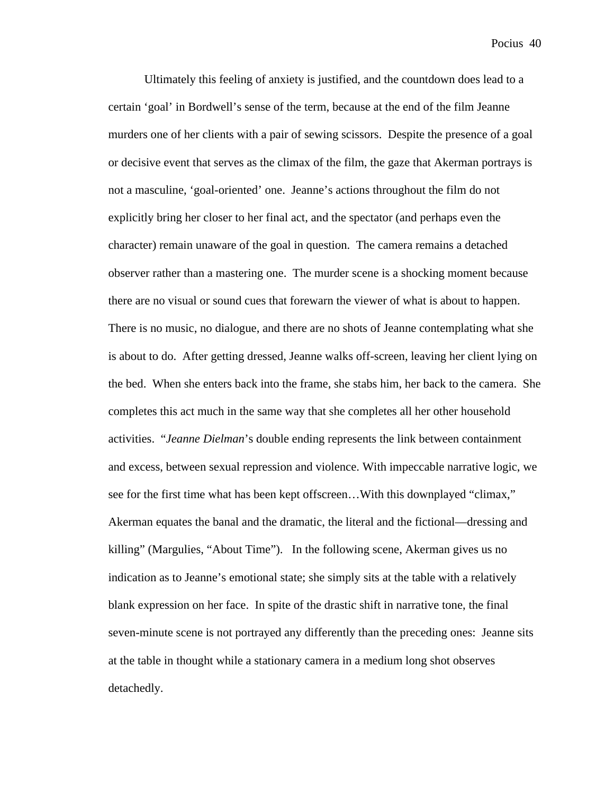Ultimately this feeling of anxiety is justified, and the countdown does lead to a certain 'goal' in Bordwell's sense of the term, because at the end of the film Jeanne murders one of her clients with a pair of sewing scissors. Despite the presence of a goal or decisive event that serves as the climax of the film, the gaze that Akerman portrays is not a masculine, 'goal-oriented' one. Jeanne's actions throughout the film do not explicitly bring her closer to her final act, and the spectator (and perhaps even the character) remain unaware of the goal in question. The camera remains a detached observer rather than a mastering one. The murder scene is a shocking moment because there are no visual or sound cues that forewarn the viewer of what is about to happen. There is no music, no dialogue, and there are no shots of Jeanne contemplating what she is about to do. After getting dressed, Jeanne walks off-screen, leaving her client lying on the bed. When she enters back into the frame, she stabs him, her back to the camera. She completes this act much in the same way that she completes all her other household activities. "*Jeanne Dielman*'s double ending represents the link between containment and excess, between sexual repression and violence. With impeccable narrative logic, we see for the first time what has been kept offscreen…With this downplayed "climax," Akerman equates the banal and the dramatic, the literal and the fictional—dressing and killing" (Margulies, "About Time"). In the following scene, Akerman gives us no indication as to Jeanne's emotional state; she simply sits at the table with a relatively blank expression on her face. In spite of the drastic shift in narrative tone, the final seven-minute scene is not portrayed any differently than the preceding ones: Jeanne sits at the table in thought while a stationary camera in a medium long shot observes detachedly.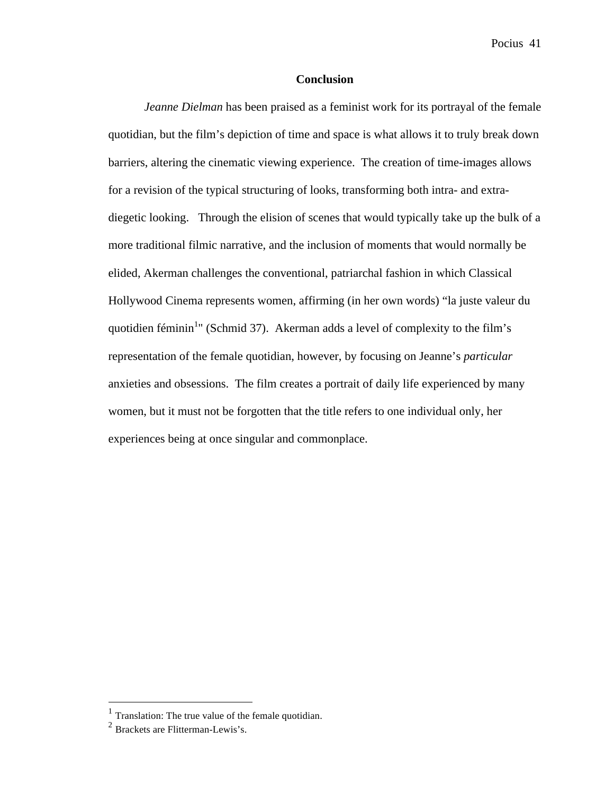## **Conclusion**

*Jeanne Dielman* has been praised as a feminist work for its portrayal of the female quotidian, but the film's depiction of time and space is what allows it to truly break down barriers, altering the cinematic viewing experience. The creation of time-images allows for a revision of the typical structuring of looks, transforming both intra- and extradiegetic looking. Through the elision of scenes that would typically take up the bulk of a more traditional filmic narrative, and the inclusion of moments that would normally be elided, Akerman challenges the conventional, patriarchal fashion in which Classical Hollywood Cinema represents women, affirming (in her own words) "la juste valeur du quotidien féminin<sup>1</sup>" (Schmid 37). Akerman adds a level of complexity to the film's representation of the female quotidian, however, by focusing on Jeanne's *particular* anxieties and obsessions. The film creates a portrait of daily life experienced by many women, but it must not be forgotten that the title refers to one individual only, her experiences being at once singular and commonplace.

<sup>&</sup>lt;sup>1</sup> Translation: The true value of the female quotidian.<br><sup>2</sup> Brackets are Flitterman-Lewis's.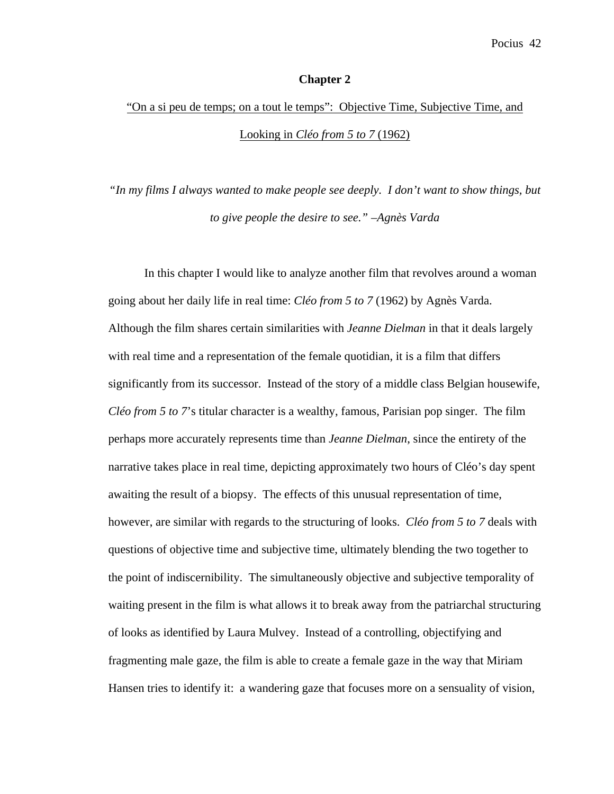### **Chapter 2**

# "On a si peu de temps; on a tout le temps": Objective Time, Subjective Time, and Looking in *Cléo from 5 to 7* (1962)

*"In my films I always wanted to make people see deeply. I don't want to show things, but to give people the desire to see." –Agnès Varda*

In this chapter I would like to analyze another film that revolves around a woman going about her daily life in real time: *Cléo from 5 to 7* (1962) by Agnès Varda. Although the film shares certain similarities with *Jeanne Dielman* in that it deals largely with real time and a representation of the female quotidian, it is a film that differs significantly from its successor. Instead of the story of a middle class Belgian housewife, *Cléo from 5 to 7*'s titular character is a wealthy, famous, Parisian pop singer. The film perhaps more accurately represents time than *Jeanne Dielman*, since the entirety of the narrative takes place in real time, depicting approximately two hours of Cléo's day spent awaiting the result of a biopsy. The effects of this unusual representation of time, however, are similar with regards to the structuring of looks. *Cléo from 5 to 7* deals with questions of objective time and subjective time, ultimately blending the two together to the point of indiscernibility. The simultaneously objective and subjective temporality of waiting present in the film is what allows it to break away from the patriarchal structuring of looks as identified by Laura Mulvey. Instead of a controlling, objectifying and fragmenting male gaze, the film is able to create a female gaze in the way that Miriam Hansen tries to identify it: a wandering gaze that focuses more on a sensuality of vision,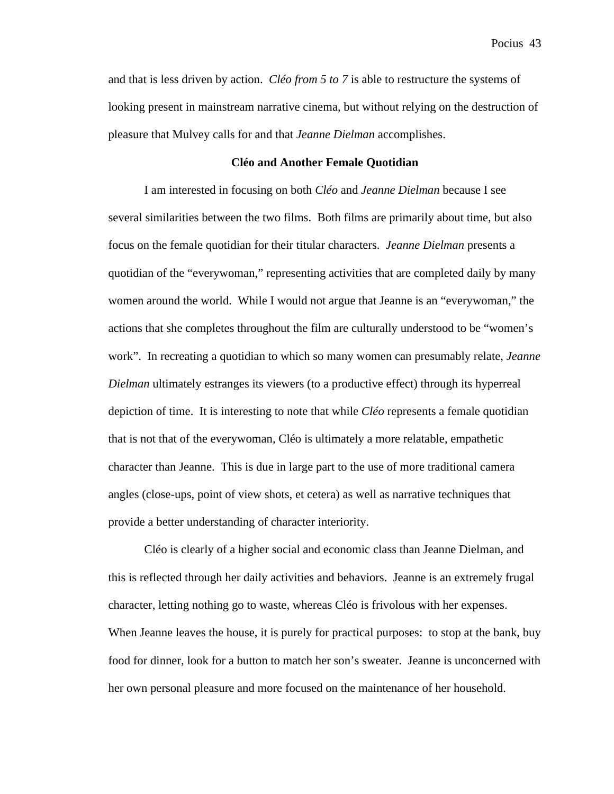and that is less driven by action. *Cléo from 5 to 7* is able to restructure the systems of looking present in mainstream narrative cinema, but without relying on the destruction of pleasure that Mulvey calls for and that *Jeanne Dielman* accomplishes.

## **Cléo and Another Female Quotidian**

I am interested in focusing on both *Cléo* and *Jeanne Dielman* because I see several similarities between the two films. Both films are primarily about time, but also focus on the female quotidian for their titular characters. *Jeanne Dielman* presents a quotidian of the "everywoman," representing activities that are completed daily by many women around the world. While I would not argue that Jeanne is an "everywoman," the actions that she completes throughout the film are culturally understood to be "women's work". In recreating a quotidian to which so many women can presumably relate, *Jeanne Dielman* ultimately estranges its viewers (to a productive effect) through its hyperreal depiction of time. It is interesting to note that while *Cléo* represents a female quotidian that is not that of the everywoman, Cléo is ultimately a more relatable, empathetic character than Jeanne. This is due in large part to the use of more traditional camera angles (close-ups, point of view shots, et cetera) as well as narrative techniques that provide a better understanding of character interiority.

Cléo is clearly of a higher social and economic class than Jeanne Dielman, and this is reflected through her daily activities and behaviors. Jeanne is an extremely frugal character, letting nothing go to waste, whereas Cléo is frivolous with her expenses. When Jeanne leaves the house, it is purely for practical purposes: to stop at the bank, buy food for dinner, look for a button to match her son's sweater. Jeanne is unconcerned with her own personal pleasure and more focused on the maintenance of her household.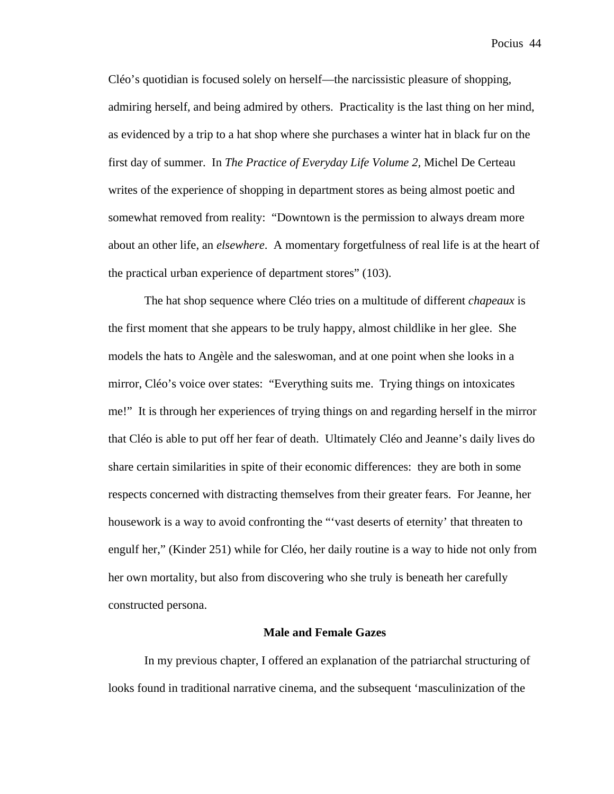Cléo's quotidian is focused solely on herself—the narcissistic pleasure of shopping, admiring herself, and being admired by others. Practicality is the last thing on her mind, as evidenced by a trip to a hat shop where she purchases a winter hat in black fur on the first day of summer. In *The Practice of Everyday Life Volume 2,* Michel De Certeau writes of the experience of shopping in department stores as being almost poetic and somewhat removed from reality: "Downtown is the permission to always dream more about an other life, an *elsewhere*. A momentary forgetfulness of real life is at the heart of the practical urban experience of department stores" (103).

The hat shop sequence where Cléo tries on a multitude of different *chapeaux* is the first moment that she appears to be truly happy, almost childlike in her glee. She models the hats to Angèle and the saleswoman, and at one point when she looks in a mirror, Cléo's voice over states: "Everything suits me. Trying things on intoxicates me!" It is through her experiences of trying things on and regarding herself in the mirror that Cléo is able to put off her fear of death. Ultimately Cléo and Jeanne's daily lives do share certain similarities in spite of their economic differences: they are both in some respects concerned with distracting themselves from their greater fears. For Jeanne, her housework is a way to avoid confronting the "'vast deserts of eternity' that threaten to engulf her," (Kinder 251) while for Cléo, her daily routine is a way to hide not only from her own mortality, but also from discovering who she truly is beneath her carefully constructed persona.

#### **Male and Female Gazes**

In my previous chapter, I offered an explanation of the patriarchal structuring of looks found in traditional narrative cinema, and the subsequent 'masculinization of the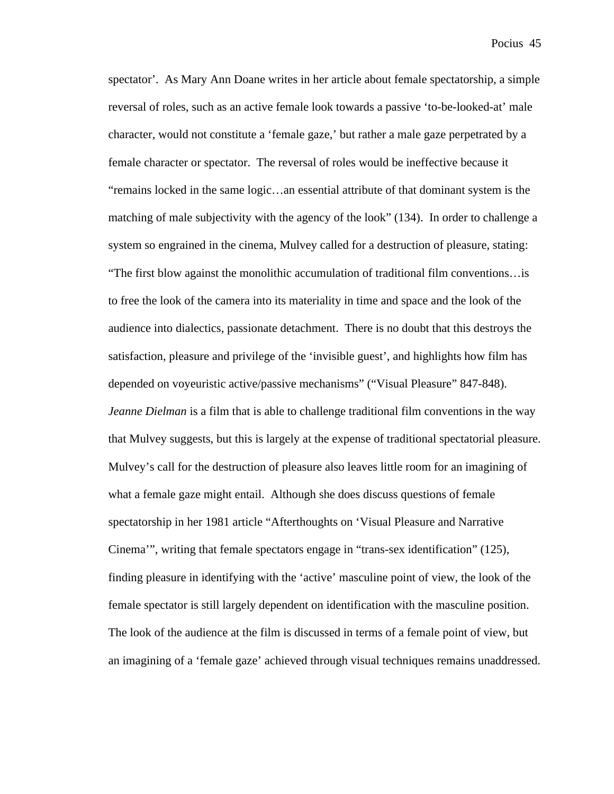spectator'. As Mary Ann Doane writes in her article about female spectatorship, a simple reversal of roles, such as an active female look towards a passive 'to-be-looked-at' male character, would not constitute a 'female gaze,' but rather a male gaze perpetrated by a female character or spectator. The reversal of roles would be ineffective because it "remains locked in the same logic…an essential attribute of that dominant system is the matching of male subjectivity with the agency of the look" (134). In order to challenge a system so engrained in the cinema, Mulvey called for a destruction of pleasure, stating: "The first blow against the monolithic accumulation of traditional film conventions…is to free the look of the camera into its materiality in time and space and the look of the audience into dialectics, passionate detachment. There is no doubt that this destroys the satisfaction, pleasure and privilege of the 'invisible guest', and highlights how film has depended on voyeuristic active/passive mechanisms" ("Visual Pleasure" 847-848). *Jeanne Dielman* is a film that is able to challenge traditional film conventions in the way that Mulvey suggests, but this is largely at the expense of traditional spectatorial pleasure. Mulvey's call for the destruction of pleasure also leaves little room for an imagining of what a female gaze might entail. Although she does discuss questions of female spectatorship in her 1981 article "Afterthoughts on 'Visual Pleasure and Narrative Cinema'", writing that female spectators engage in "trans-sex identification" (125), finding pleasure in identifying with the 'active' masculine point of view, the look of the female spectator is still largely dependent on identification with the masculine position. The look of the audience at the film is discussed in terms of a female point of view, but an imagining of a 'female gaze' achieved through visual techniques remains unaddressed.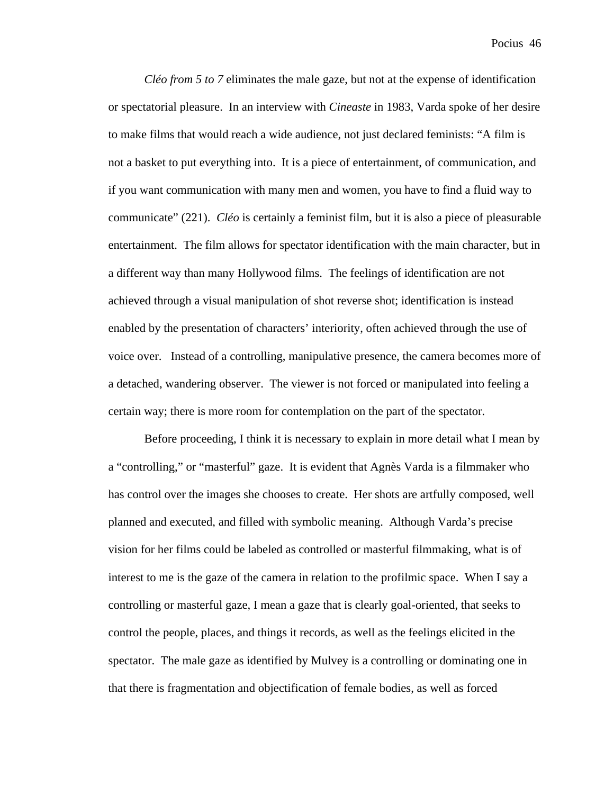*Cléo from 5 to 7* eliminates the male gaze, but not at the expense of identification or spectatorial pleasure. In an interview with *Cineaste* in 1983, Varda spoke of her desire to make films that would reach a wide audience, not just declared feminists: "A film is not a basket to put everything into. It is a piece of entertainment, of communication, and if you want communication with many men and women, you have to find a fluid way to communicate" (221). *Cléo* is certainly a feminist film, but it is also a piece of pleasurable entertainment. The film allows for spectator identification with the main character, but in a different way than many Hollywood films. The feelings of identification are not achieved through a visual manipulation of shot reverse shot; identification is instead enabled by the presentation of characters' interiority, often achieved through the use of voice over. Instead of a controlling, manipulative presence, the camera becomes more of a detached, wandering observer. The viewer is not forced or manipulated into feeling a certain way; there is more room for contemplation on the part of the spectator.

Before proceeding, I think it is necessary to explain in more detail what I mean by a "controlling," or "masterful" gaze. It is evident that Agnès Varda is a filmmaker who has control over the images she chooses to create. Her shots are artfully composed, well planned and executed, and filled with symbolic meaning. Although Varda's precise vision for her films could be labeled as controlled or masterful filmmaking, what is of interest to me is the gaze of the camera in relation to the profilmic space. When I say a controlling or masterful gaze, I mean a gaze that is clearly goal-oriented, that seeks to control the people, places, and things it records, as well as the feelings elicited in the spectator. The male gaze as identified by Mulvey is a controlling or dominating one in that there is fragmentation and objectification of female bodies, as well as forced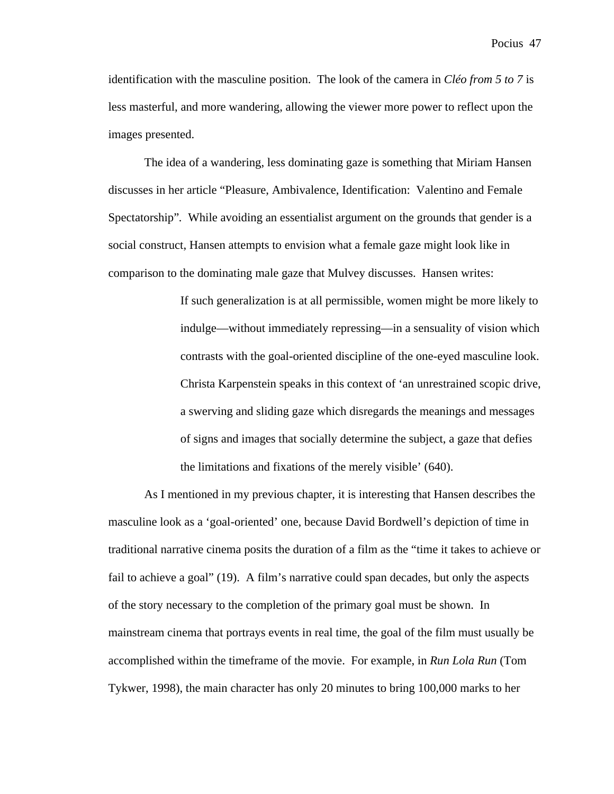identification with the masculine position. The look of the camera in *Cléo from 5 to 7* is less masterful, and more wandering, allowing the viewer more power to reflect upon the images presented.

The idea of a wandering, less dominating gaze is something that Miriam Hansen discusses in her article "Pleasure, Ambivalence, Identification: Valentino and Female Spectatorship"*.* While avoiding an essentialist argument on the grounds that gender is a social construct, Hansen attempts to envision what a female gaze might look like in comparison to the dominating male gaze that Mulvey discusses. Hansen writes:

> If such generalization is at all permissible, women might be more likely to indulge—without immediately repressing—in a sensuality of vision which contrasts with the goal-oriented discipline of the one-eyed masculine look. Christa Karpenstein speaks in this context of 'an unrestrained scopic drive, a swerving and sliding gaze which disregards the meanings and messages of signs and images that socially determine the subject, a gaze that defies the limitations and fixations of the merely visible' (640).

As I mentioned in my previous chapter, it is interesting that Hansen describes the masculine look as a 'goal-oriented' one, because David Bordwell's depiction of time in traditional narrative cinema posits the duration of a film as the "time it takes to achieve or fail to achieve a goal" (19). A film's narrative could span decades, but only the aspects of the story necessary to the completion of the primary goal must be shown. In mainstream cinema that portrays events in real time, the goal of the film must usually be accomplished within the timeframe of the movie. For example, in *Run Lola Run* (Tom Tykwer, 1998), the main character has only 20 minutes to bring 100,000 marks to her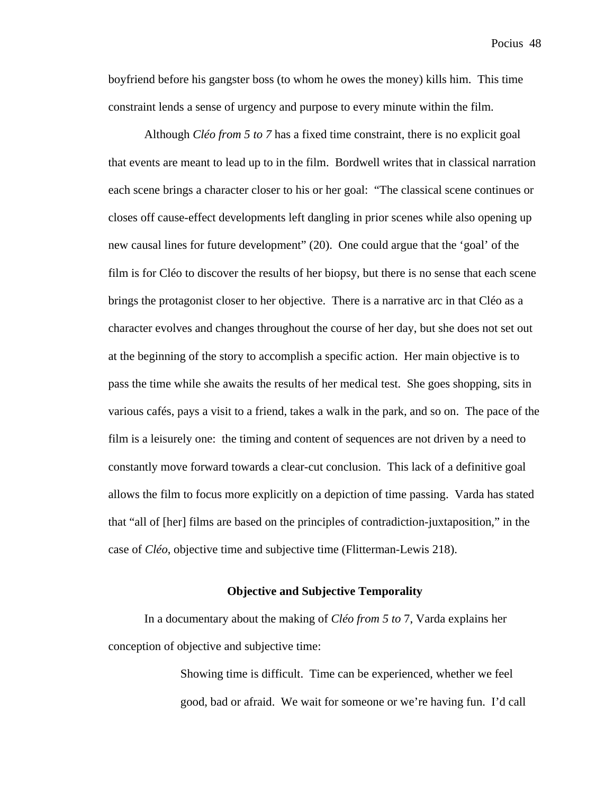boyfriend before his gangster boss (to whom he owes the money) kills him. This time constraint lends a sense of urgency and purpose to every minute within the film.

Although *Cléo from 5 to 7* has a fixed time constraint, there is no explicit goal that events are meant to lead up to in the film. Bordwell writes that in classical narration each scene brings a character closer to his or her goal: "The classical scene continues or closes off cause-effect developments left dangling in prior scenes while also opening up new causal lines for future development" (20). One could argue that the 'goal' of the film is for Cléo to discover the results of her biopsy, but there is no sense that each scene brings the protagonist closer to her objective. There is a narrative arc in that Cléo as a character evolves and changes throughout the course of her day, but she does not set out at the beginning of the story to accomplish a specific action. Her main objective is to pass the time while she awaits the results of her medical test. She goes shopping, sits in various cafés, pays a visit to a friend, takes a walk in the park, and so on. The pace of the film is a leisurely one: the timing and content of sequences are not driven by a need to constantly move forward towards a clear-cut conclusion. This lack of a definitive goal allows the film to focus more explicitly on a depiction of time passing. Varda has stated that "all of [her] films are based on the principles of contradiction-juxtaposition," in the case of *Cléo*, objective time and subjective time (Flitterman-Lewis 218).

## **Objective and Subjective Temporality**

In a documentary about the making of *Cléo from 5 to* 7, Varda explains her conception of objective and subjective time:

> Showing time is difficult. Time can be experienced, whether we feel good, bad or afraid. We wait for someone or we're having fun. I'd call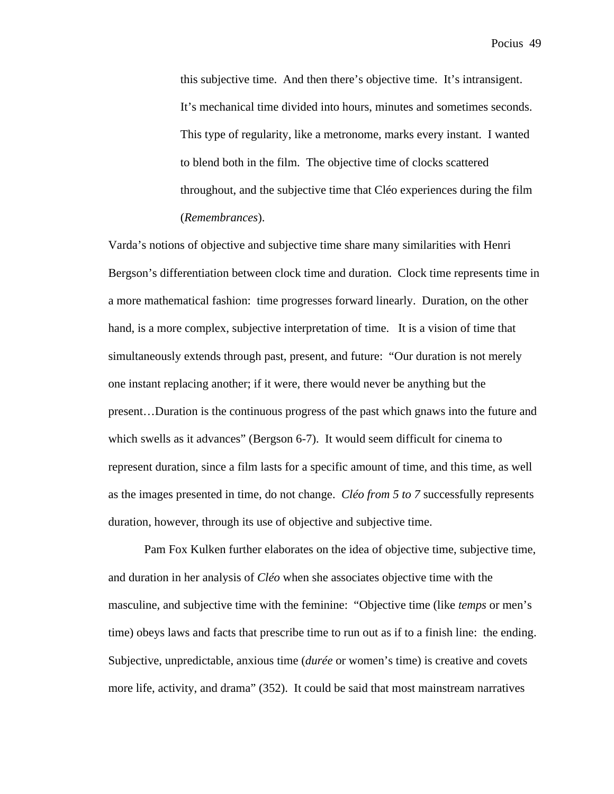this subjective time. And then there's objective time. It's intransigent. It's mechanical time divided into hours, minutes and sometimes seconds. This type of regularity, like a metronome, marks every instant. I wanted to blend both in the film. The objective time of clocks scattered throughout, and the subjective time that Cléo experiences during the film (*Remembrances*).

Varda's notions of objective and subjective time share many similarities with Henri Bergson's differentiation between clock time and duration. Clock time represents time in a more mathematical fashion: time progresses forward linearly. Duration, on the other hand, is a more complex, subjective interpretation of time. It is a vision of time that simultaneously extends through past, present, and future: "Our duration is not merely one instant replacing another; if it were, there would never be anything but the present…Duration is the continuous progress of the past which gnaws into the future and which swells as it advances" (Bergson 6-7). It would seem difficult for cinema to represent duration, since a film lasts for a specific amount of time, and this time, as well as the images presented in time, do not change. *Cléo from 5 to 7* successfully represents duration, however, through its use of objective and subjective time.

Pam Fox Kulken further elaborates on the idea of objective time, subjective time, and duration in her analysis of *Cléo* when she associates objective time with the masculine, and subjective time with the feminine: "Objective time (like *temps* or men's time) obeys laws and facts that prescribe time to run out as if to a finish line: the ending. Subjective, unpredictable, anxious time (*durée* or women's time) is creative and covets more life, activity, and drama" (352). It could be said that most mainstream narratives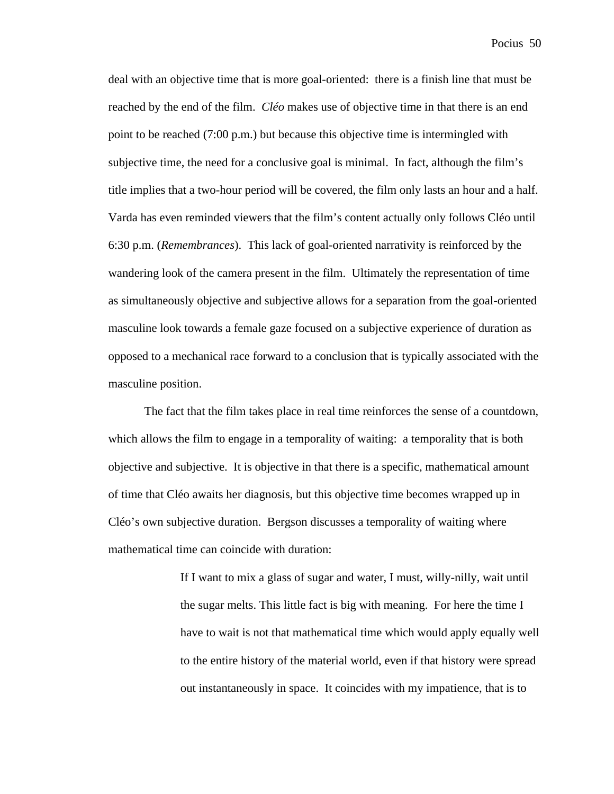deal with an objective time that is more goal-oriented: there is a finish line that must be reached by the end of the film. *Cléo* makes use of objective time in that there is an end point to be reached (7:00 p.m.) but because this objective time is intermingled with subjective time, the need for a conclusive goal is minimal. In fact, although the film's title implies that a two-hour period will be covered, the film only lasts an hour and a half. Varda has even reminded viewers that the film's content actually only follows Cléo until 6:30 p.m. (*Remembrances*). This lack of goal-oriented narrativity is reinforced by the wandering look of the camera present in the film. Ultimately the representation of time as simultaneously objective and subjective allows for a separation from the goal-oriented masculine look towards a female gaze focused on a subjective experience of duration as opposed to a mechanical race forward to a conclusion that is typically associated with the masculine position.

The fact that the film takes place in real time reinforces the sense of a countdown, which allows the film to engage in a temporality of waiting: a temporality that is both objective and subjective. It is objective in that there is a specific, mathematical amount of time that Cléo awaits her diagnosis, but this objective time becomes wrapped up in Cléo's own subjective duration. Bergson discusses a temporality of waiting where mathematical time can coincide with duration:

> If I want to mix a glass of sugar and water, I must, willy-nilly, wait until the sugar melts. This little fact is big with meaning. For here the time I have to wait is not that mathematical time which would apply equally well to the entire history of the material world, even if that history were spread out instantaneously in space. It coincides with my impatience, that is to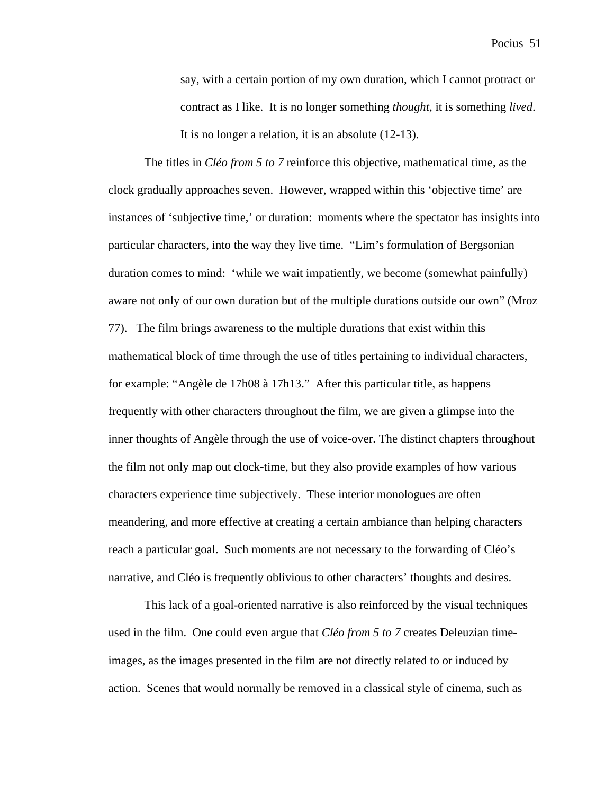say, with a certain portion of my own duration, which I cannot protract or contract as I like. It is no longer something *thought*, it is something *lived*. It is no longer a relation, it is an absolute (12-13).

The titles in *Cléo from 5 to 7* reinforce this objective, mathematical time, as the clock gradually approaches seven. However, wrapped within this 'objective time' are instances of 'subjective time,' or duration: moments where the spectator has insights into particular characters, into the way they live time. "Lim's formulation of Bergsonian duration comes to mind: 'while we wait impatiently, we become (somewhat painfully) aware not only of our own duration but of the multiple durations outside our own" (Mroz 77). The film brings awareness to the multiple durations that exist within this mathematical block of time through the use of titles pertaining to individual characters, for example: "Angèle de 17h08 à 17h13." After this particular title, as happens frequently with other characters throughout the film, we are given a glimpse into the inner thoughts of Angèle through the use of voice-over. The distinct chapters throughout the film not only map out clock-time, but they also provide examples of how various characters experience time subjectively. These interior monologues are often meandering, and more effective at creating a certain ambiance than helping characters reach a particular goal. Such moments are not necessary to the forwarding of Cléo's narrative, and Cléo is frequently oblivious to other characters' thoughts and desires.

This lack of a goal-oriented narrative is also reinforced by the visual techniques used in the film. One could even argue that *Cléo from 5 to 7* creates Deleuzian timeimages, as the images presented in the film are not directly related to or induced by action. Scenes that would normally be removed in a classical style of cinema, such as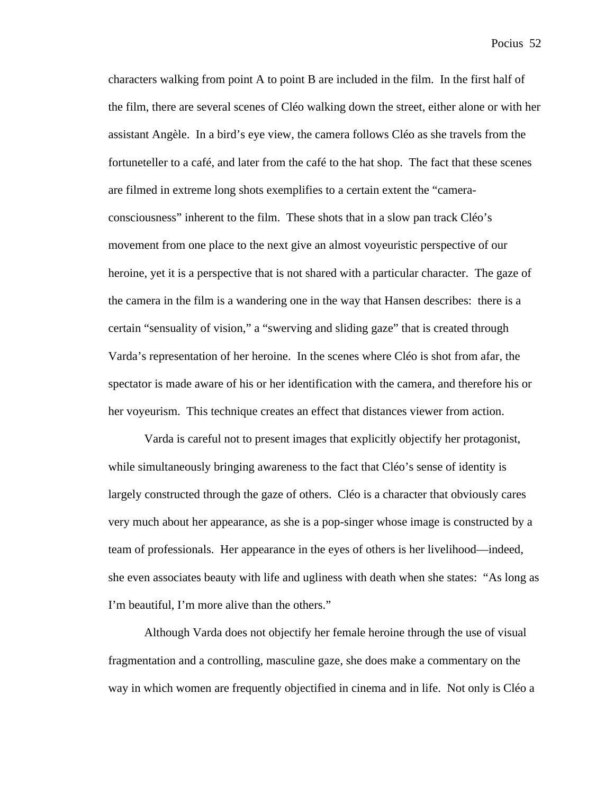characters walking from point A to point B are included in the film. In the first half of the film, there are several scenes of Cléo walking down the street, either alone or with her assistant Angèle. In a bird's eye view, the camera follows Cléo as she travels from the fortuneteller to a café, and later from the café to the hat shop. The fact that these scenes are filmed in extreme long shots exemplifies to a certain extent the "cameraconsciousness" inherent to the film. These shots that in a slow pan track Cléo's movement from one place to the next give an almost voyeuristic perspective of our heroine, yet it is a perspective that is not shared with a particular character. The gaze of the camera in the film is a wandering one in the way that Hansen describes: there is a certain "sensuality of vision," a "swerving and sliding gaze" that is created through Varda's representation of her heroine. In the scenes where Cléo is shot from afar, the spectator is made aware of his or her identification with the camera, and therefore his or her voyeurism. This technique creates an effect that distances viewer from action.

Varda is careful not to present images that explicitly objectify her protagonist, while simultaneously bringing awareness to the fact that Cléo's sense of identity is largely constructed through the gaze of others. Cléo is a character that obviously cares very much about her appearance, as she is a pop-singer whose image is constructed by a team of professionals. Her appearance in the eyes of others is her livelihood—indeed, she even associates beauty with life and ugliness with death when she states: "As long as I'm beautiful, I'm more alive than the others."

Although Varda does not objectify her female heroine through the use of visual fragmentation and a controlling, masculine gaze, she does make a commentary on the way in which women are frequently objectified in cinema and in life. Not only is Cléo a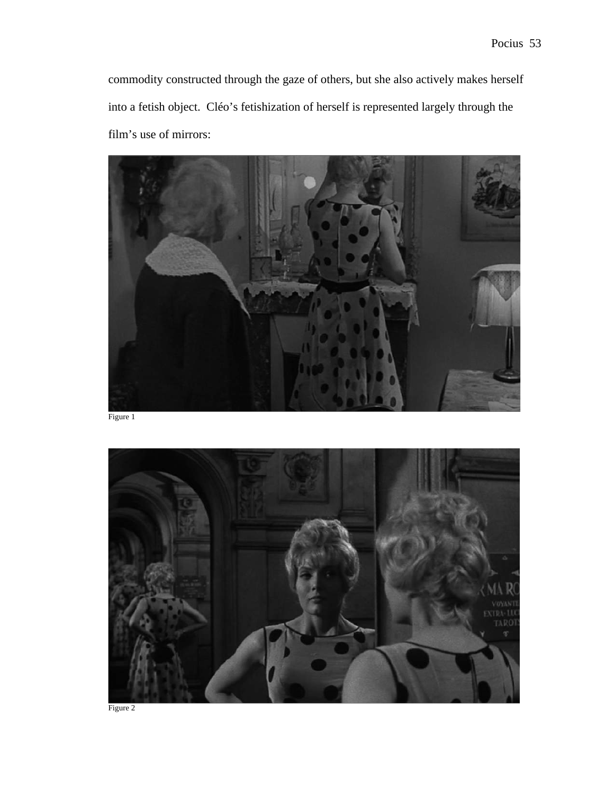commodity constructed through the gaze of others, but she also actively makes herself into a fetish object. Cléo's fetishization of herself is represented largely through the film's use of mirrors:



Figure 1

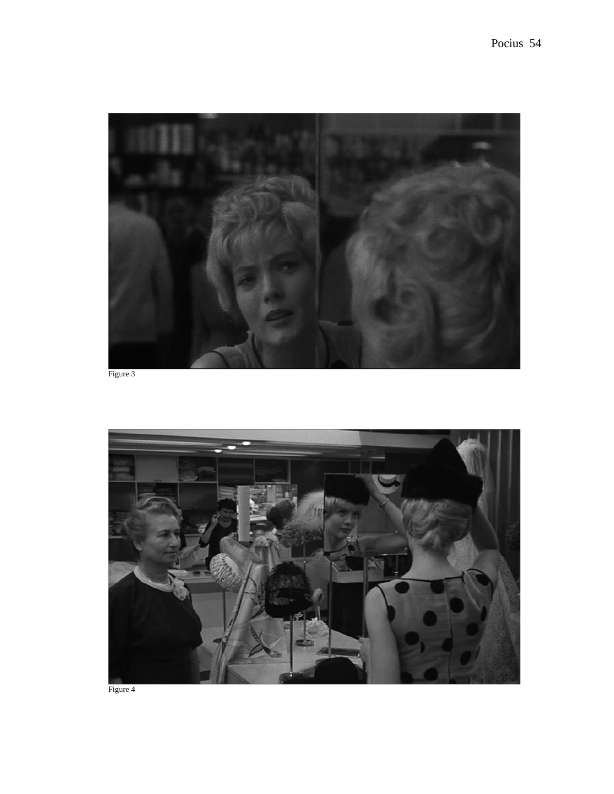

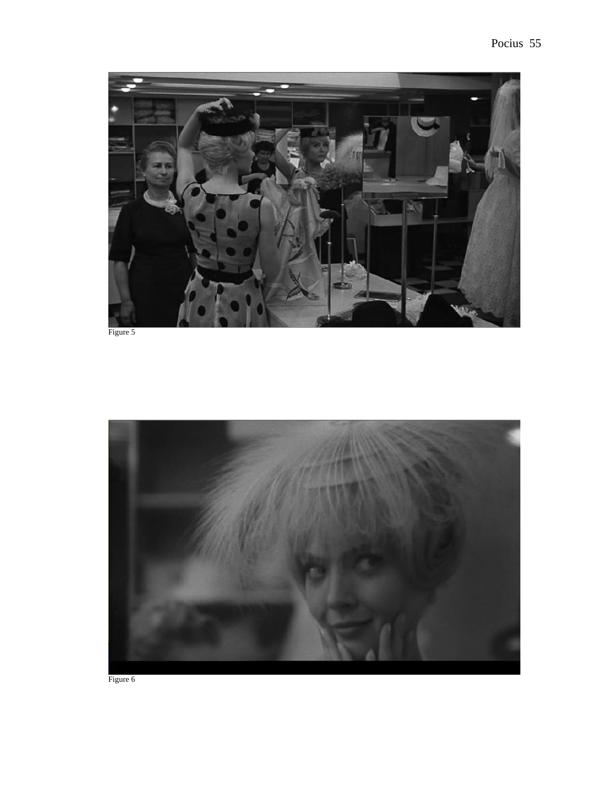

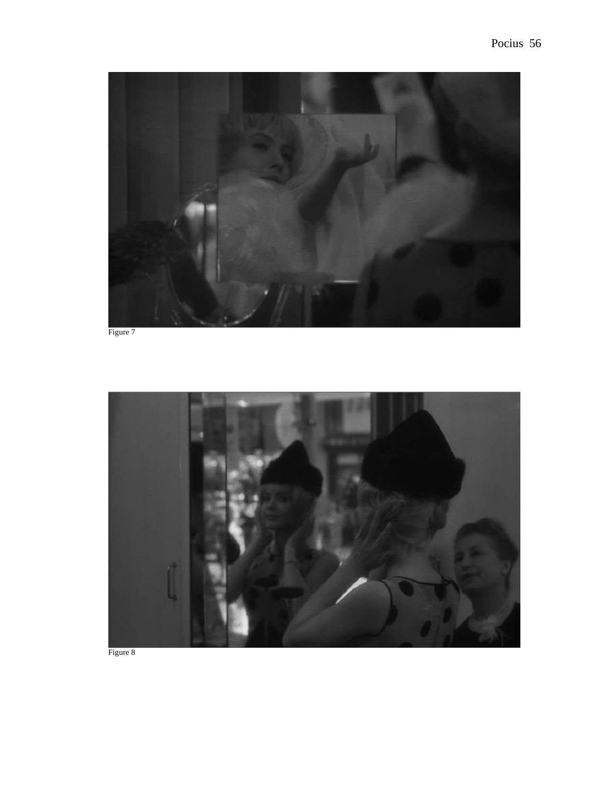

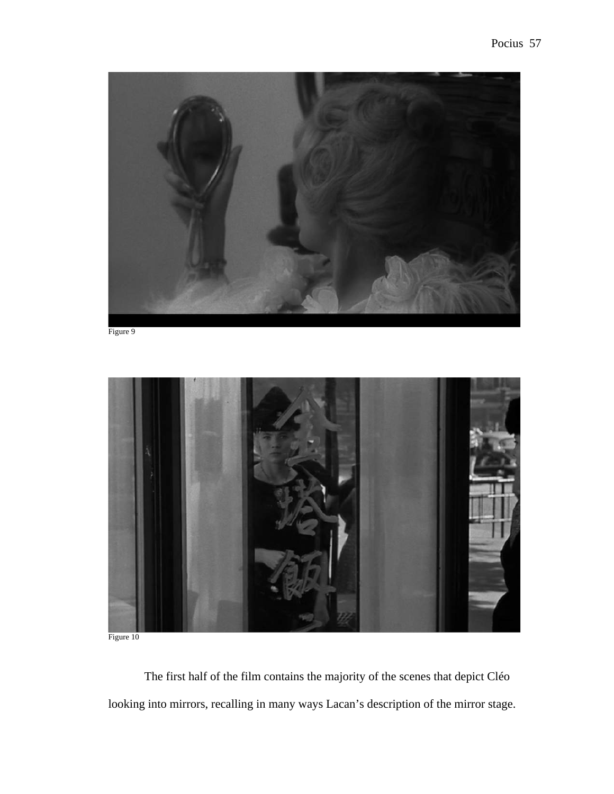



Figure 10

The first half of the film contains the majority of the scenes that depict Cléo looking into mirrors, recalling in many ways Lacan's description of the mirror stage.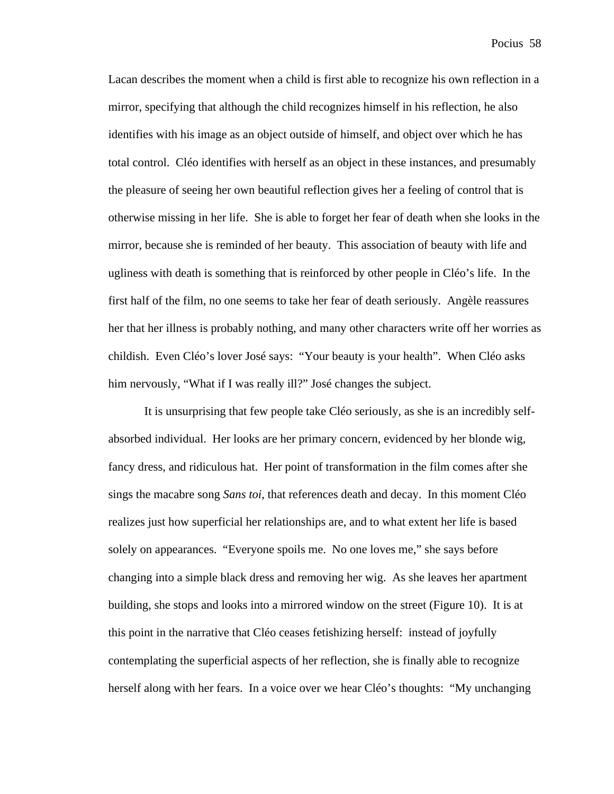Lacan describes the moment when a child is first able to recognize his own reflection in a mirror, specifying that although the child recognizes himself in his reflection, he also identifies with his image as an object outside of himself, and object over which he has total control. Cléo identifies with herself as an object in these instances, and presumably the pleasure of seeing her own beautiful reflection gives her a feeling of control that is otherwise missing in her life. She is able to forget her fear of death when she looks in the mirror, because she is reminded of her beauty. This association of beauty with life and ugliness with death is something that is reinforced by other people in Cléo's life. In the first half of the film, no one seems to take her fear of death seriously. Angèle reassures her that her illness is probably nothing, and many other characters write off her worries as childish. Even Cléo's lover José says: "Your beauty is your health". When Cléo asks him nervously, "What if I was really ill?" José changes the subject.

It is unsurprising that few people take Cléo seriously, as she is an incredibly selfabsorbed individual. Her looks are her primary concern, evidenced by her blonde wig, fancy dress, and ridiculous hat. Her point of transformation in the film comes after she sings the macabre song *Sans toi*, that references death and decay. In this moment Cléo realizes just how superficial her relationships are, and to what extent her life is based solely on appearances. "Everyone spoils me. No one loves me," she says before changing into a simple black dress and removing her wig. As she leaves her apartment building, she stops and looks into a mirrored window on the street (Figure 10). It is at this point in the narrative that Cléo ceases fetishizing herself: instead of joyfully contemplating the superficial aspects of her reflection, she is finally able to recognize herself along with her fears. In a voice over we hear Cléo's thoughts: "My unchanging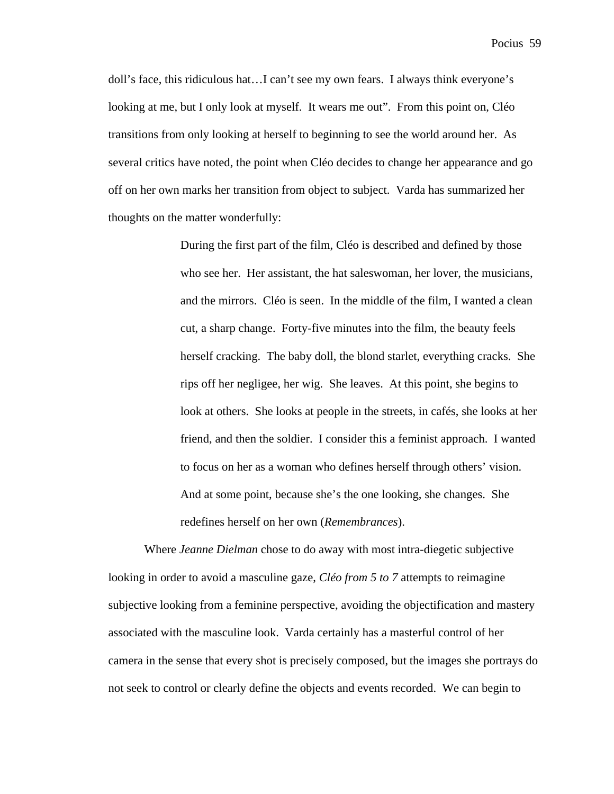doll's face, this ridiculous hat…I can't see my own fears. I always think everyone's looking at me, but I only look at myself. It wears me out". From this point on, Cléo transitions from only looking at herself to beginning to see the world around her. As several critics have noted, the point when Cléo decides to change her appearance and go off on her own marks her transition from object to subject. Varda has summarized her thoughts on the matter wonderfully:

> During the first part of the film, Cléo is described and defined by those who see her. Her assistant, the hat saleswoman, her lover, the musicians, and the mirrors. Cléo is seen. In the middle of the film, I wanted a clean cut, a sharp change. Forty-five minutes into the film, the beauty feels herself cracking. The baby doll, the blond starlet, everything cracks. She rips off her negligee, her wig. She leaves. At this point, she begins to look at others. She looks at people in the streets, in cafés, she looks at her friend, and then the soldier. I consider this a feminist approach. I wanted to focus on her as a woman who defines herself through others' vision. And at some point, because she's the one looking, she changes. She redefines herself on her own (*Remembrances*).

Where *Jeanne Dielman* chose to do away with most intra-diegetic subjective looking in order to avoid a masculine gaze, *Cléo from 5 to 7* attempts to reimagine subjective looking from a feminine perspective, avoiding the objectification and mastery associated with the masculine look. Varda certainly has a masterful control of her camera in the sense that every shot is precisely composed, but the images she portrays do not seek to control or clearly define the objects and events recorded. We can begin to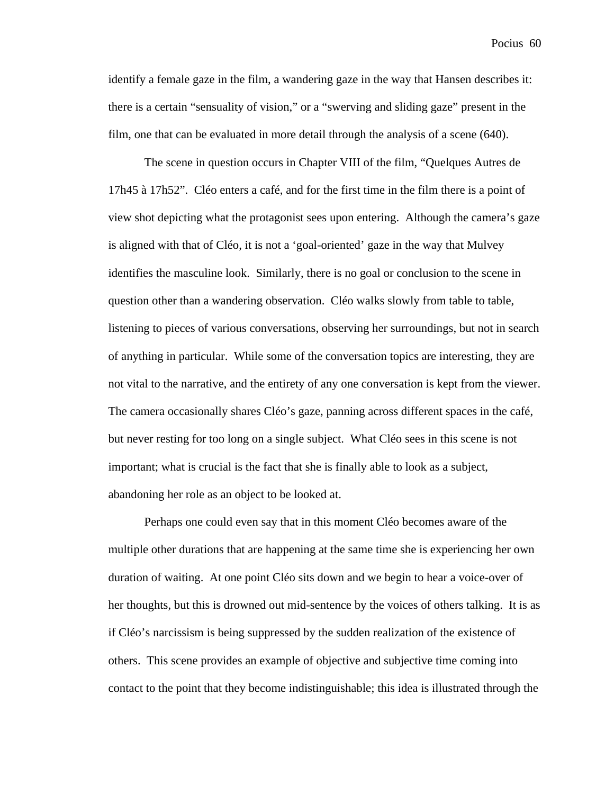identify a female gaze in the film, a wandering gaze in the way that Hansen describes it: there is a certain "sensuality of vision," or a "swerving and sliding gaze" present in the film, one that can be evaluated in more detail through the analysis of a scene (640).

The scene in question occurs in Chapter VIII of the film, "Quelques Autres de 17h45 à 17h52". Cléo enters a café, and for the first time in the film there is a point of view shot depicting what the protagonist sees upon entering. Although the camera's gaze is aligned with that of Cléo, it is not a 'goal-oriented' gaze in the way that Mulvey identifies the masculine look. Similarly, there is no goal or conclusion to the scene in question other than a wandering observation. Cléo walks slowly from table to table, listening to pieces of various conversations, observing her surroundings, but not in search of anything in particular. While some of the conversation topics are interesting, they are not vital to the narrative, and the entirety of any one conversation is kept from the viewer. The camera occasionally shares Cléo's gaze, panning across different spaces in the café, but never resting for too long on a single subject. What Cléo sees in this scene is not important; what is crucial is the fact that she is finally able to look as a subject, abandoning her role as an object to be looked at.

Perhaps one could even say that in this moment Cléo becomes aware of the multiple other durations that are happening at the same time she is experiencing her own duration of waiting. At one point Cléo sits down and we begin to hear a voice-over of her thoughts, but this is drowned out mid-sentence by the voices of others talking. It is as if Cléo's narcissism is being suppressed by the sudden realization of the existence of others. This scene provides an example of objective and subjective time coming into contact to the point that they become indistinguishable; this idea is illustrated through the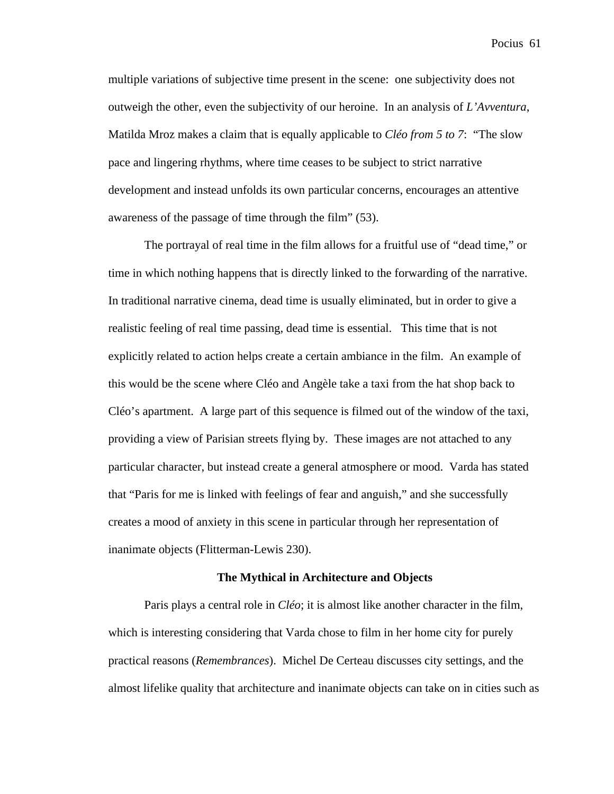multiple variations of subjective time present in the scene: one subjectivity does not outweigh the other, even the subjectivity of our heroine. In an analysis of *L'Avventura*, Matilda Mroz makes a claim that is equally applicable to *Cléo from 5 to 7*: "The slow pace and lingering rhythms, where time ceases to be subject to strict narrative development and instead unfolds its own particular concerns, encourages an attentive awareness of the passage of time through the film" (53).

The portrayal of real time in the film allows for a fruitful use of "dead time," or time in which nothing happens that is directly linked to the forwarding of the narrative. In traditional narrative cinema, dead time is usually eliminated, but in order to give a realistic feeling of real time passing, dead time is essential. This time that is not explicitly related to action helps create a certain ambiance in the film. An example of this would be the scene where Cléo and Angèle take a taxi from the hat shop back to Cléo's apartment. A large part of this sequence is filmed out of the window of the taxi, providing a view of Parisian streets flying by. These images are not attached to any particular character, but instead create a general atmosphere or mood. Varda has stated that "Paris for me is linked with feelings of fear and anguish," and she successfully creates a mood of anxiety in this scene in particular through her representation of inanimate objects (Flitterman-Lewis 230).

#### **The Mythical in Architecture and Objects**

Paris plays a central role in *Cléo*; it is almost like another character in the film, which is interesting considering that Varda chose to film in her home city for purely practical reasons (*Remembrances*). Michel De Certeau discusses city settings, and the almost lifelike quality that architecture and inanimate objects can take on in cities such as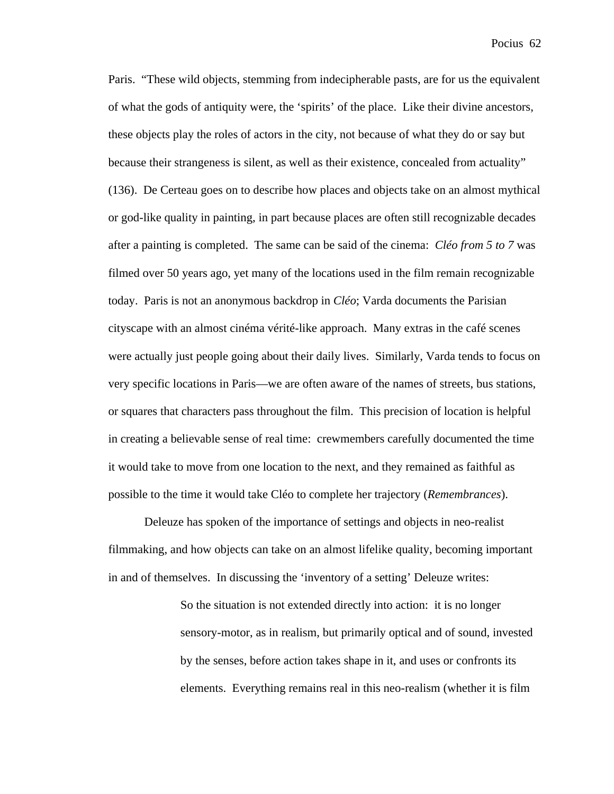Paris. "These wild objects, stemming from indecipherable pasts, are for us the equivalent of what the gods of antiquity were, the 'spirits' of the place. Like their divine ancestors, these objects play the roles of actors in the city, not because of what they do or say but because their strangeness is silent, as well as their existence, concealed from actuality" (136). De Certeau goes on to describe how places and objects take on an almost mythical or god-like quality in painting, in part because places are often still recognizable decades after a painting is completed. The same can be said of the cinema: *Cléo from 5 to 7* was filmed over 50 years ago, yet many of the locations used in the film remain recognizable today. Paris is not an anonymous backdrop in *Cléo*; Varda documents the Parisian cityscape with an almost cinéma vérité-like approach. Many extras in the café scenes were actually just people going about their daily lives. Similarly, Varda tends to focus on very specific locations in Paris—we are often aware of the names of streets, bus stations, or squares that characters pass throughout the film. This precision of location is helpful in creating a believable sense of real time: crewmembers carefully documented the time it would take to move from one location to the next, and they remained as faithful as possible to the time it would take Cléo to complete her trajectory (*Remembrances*).

Deleuze has spoken of the importance of settings and objects in neo-realist filmmaking, and how objects can take on an almost lifelike quality, becoming important in and of themselves. In discussing the 'inventory of a setting' Deleuze writes:

> So the situation is not extended directly into action: it is no longer sensory-motor, as in realism, but primarily optical and of sound, invested by the senses, before action takes shape in it, and uses or confronts its elements. Everything remains real in this neo-realism (whether it is film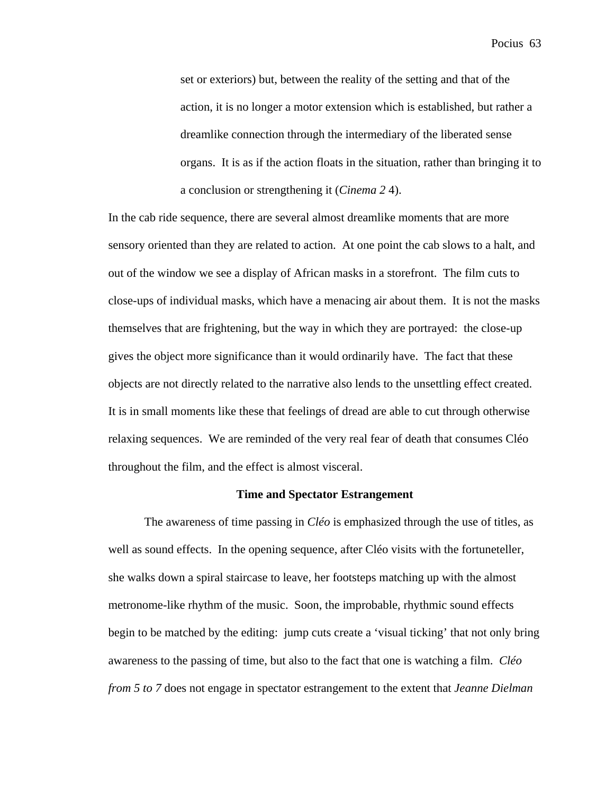set or exteriors) but, between the reality of the setting and that of the action, it is no longer a motor extension which is established, but rather a dreamlike connection through the intermediary of the liberated sense organs. It is as if the action floats in the situation, rather than bringing it to a conclusion or strengthening it (*Cinema 2* 4).

In the cab ride sequence, there are several almost dreamlike moments that are more sensory oriented than they are related to action. At one point the cab slows to a halt, and out of the window we see a display of African masks in a storefront. The film cuts to close-ups of individual masks, which have a menacing air about them. It is not the masks themselves that are frightening, but the way in which they are portrayed: the close-up gives the object more significance than it would ordinarily have. The fact that these objects are not directly related to the narrative also lends to the unsettling effect created. It is in small moments like these that feelings of dread are able to cut through otherwise relaxing sequences. We are reminded of the very real fear of death that consumes Cléo throughout the film, and the effect is almost visceral.

#### **Time and Spectator Estrangement**

The awareness of time passing in *Cléo* is emphasized through the use of titles, as well as sound effects. In the opening sequence, after Cléo visits with the fortuneteller, she walks down a spiral staircase to leave, her footsteps matching up with the almost metronome-like rhythm of the music. Soon, the improbable, rhythmic sound effects begin to be matched by the editing: jump cuts create a 'visual ticking' that not only bring awareness to the passing of time, but also to the fact that one is watching a film. *Cléo from 5 to 7* does not engage in spectator estrangement to the extent that *Jeanne Dielman*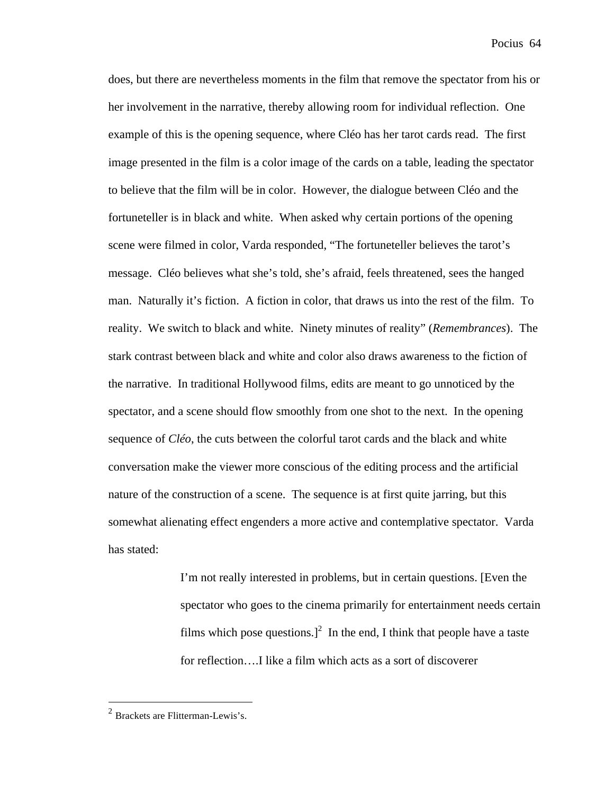does, but there are nevertheless moments in the film that remove the spectator from his or her involvement in the narrative, thereby allowing room for individual reflection. One example of this is the opening sequence, where Cléo has her tarot cards read. The first image presented in the film is a color image of the cards on a table, leading the spectator to believe that the film will be in color. However, the dialogue between Cléo and the fortuneteller is in black and white. When asked why certain portions of the opening scene were filmed in color, Varda responded, "The fortuneteller believes the tarot's message. Cléo believes what she's told, she's afraid, feels threatened, sees the hanged man. Naturally it's fiction. A fiction in color, that draws us into the rest of the film. To reality. We switch to black and white. Ninety minutes of reality" (*Remembrances*). The stark contrast between black and white and color also draws awareness to the fiction of the narrative. In traditional Hollywood films, edits are meant to go unnoticed by the spectator, and a scene should flow smoothly from one shot to the next. In the opening sequence of *Cléo*, the cuts between the colorful tarot cards and the black and white conversation make the viewer more conscious of the editing process and the artificial nature of the construction of a scene. The sequence is at first quite jarring, but this somewhat alienating effect engenders a more active and contemplative spectator. Varda has stated:

> I'm not really interested in problems, but in certain questions. [Even the spectator who goes to the cinema primarily for entertainment needs certain films which pose questions.]<sup>2</sup> In the end, I think that people have a taste for reflection….I like a film which acts as a sort of discoverer

<sup>&</sup>lt;sup>2</sup> Brackets are Flitterman-Lewis's.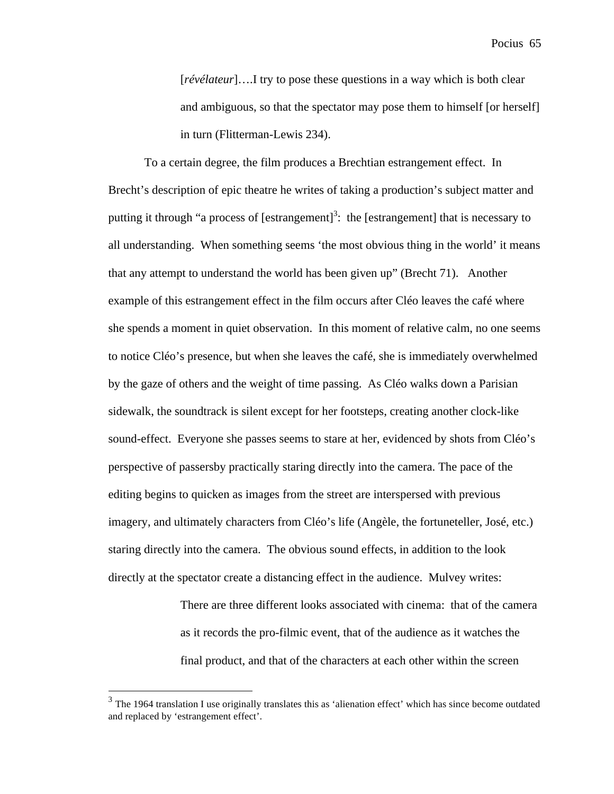[*révélateur*]….I try to pose these questions in a way which is both clear and ambiguous, so that the spectator may pose them to himself [or herself] in turn (Flitterman-Lewis 234).

To a certain degree, the film produces a Brechtian estrangement effect. In Brecht's description of epic theatre he writes of taking a production's subject matter and putting it through "a process of  $[est rangement]^3$ : the  $[est rangement]$  that is necessary to all understanding. When something seems 'the most obvious thing in the world' it means that any attempt to understand the world has been given up" (Brecht 71). Another example of this estrangement effect in the film occurs after Cléo leaves the café where she spends a moment in quiet observation. In this moment of relative calm, no one seems to notice Cléo's presence, but when she leaves the café, she is immediately overwhelmed by the gaze of others and the weight of time passing. As Cléo walks down a Parisian sidewalk, the soundtrack is silent except for her footsteps, creating another clock-like sound-effect. Everyone she passes seems to stare at her, evidenced by shots from Cléo's perspective of passersby practically staring directly into the camera. The pace of the editing begins to quicken as images from the street are interspersed with previous imagery, and ultimately characters from Cléo's life (Angèle, the fortuneteller, José, etc.) staring directly into the camera. The obvious sound effects, in addition to the look directly at the spectator create a distancing effect in the audience. Mulvey writes:

> There are three different looks associated with cinema: that of the camera as it records the pro-filmic event, that of the audience as it watches the final product, and that of the characters at each other within the screen

<sup>&</sup>lt;sup>3</sup> The 1964 translation I use originally translates this as 'alienation effect' which has since become outdated and replaced by 'estrangement effect'.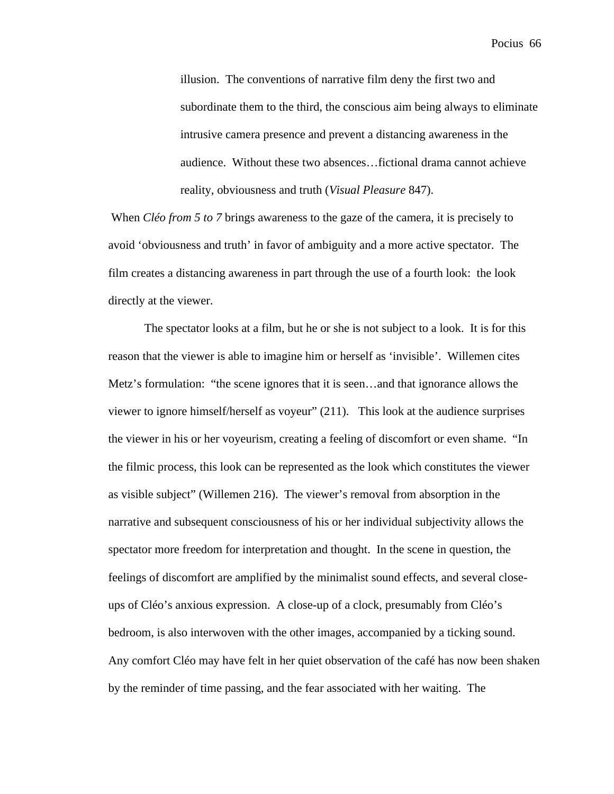illusion. The conventions of narrative film deny the first two and subordinate them to the third, the conscious aim being always to eliminate intrusive camera presence and prevent a distancing awareness in the audience. Without these two absences…fictional drama cannot achieve reality, obviousness and truth (*Visual Pleasure* 847).

When *Cléo from 5 to 7* brings awareness to the gaze of the camera, it is precisely to avoid 'obviousness and truth' in favor of ambiguity and a more active spectator. The film creates a distancing awareness in part through the use of a fourth look: the look directly at the viewer.

The spectator looks at a film, but he or she is not subject to a look. It is for this reason that the viewer is able to imagine him or herself as 'invisible'. Willemen cites Metz's formulation: "the scene ignores that it is seen…and that ignorance allows the viewer to ignore himself/herself as voyeur" (211). This look at the audience surprises the viewer in his or her voyeurism, creating a feeling of discomfort or even shame. "In the filmic process, this look can be represented as the look which constitutes the viewer as visible subject" (Willemen 216). The viewer's removal from absorption in the narrative and subsequent consciousness of his or her individual subjectivity allows the spectator more freedom for interpretation and thought. In the scene in question, the feelings of discomfort are amplified by the minimalist sound effects, and several closeups of Cléo's anxious expression. A close-up of a clock, presumably from Cléo's bedroom, is also interwoven with the other images, accompanied by a ticking sound. Any comfort Cléo may have felt in her quiet observation of the café has now been shaken by the reminder of time passing, and the fear associated with her waiting. The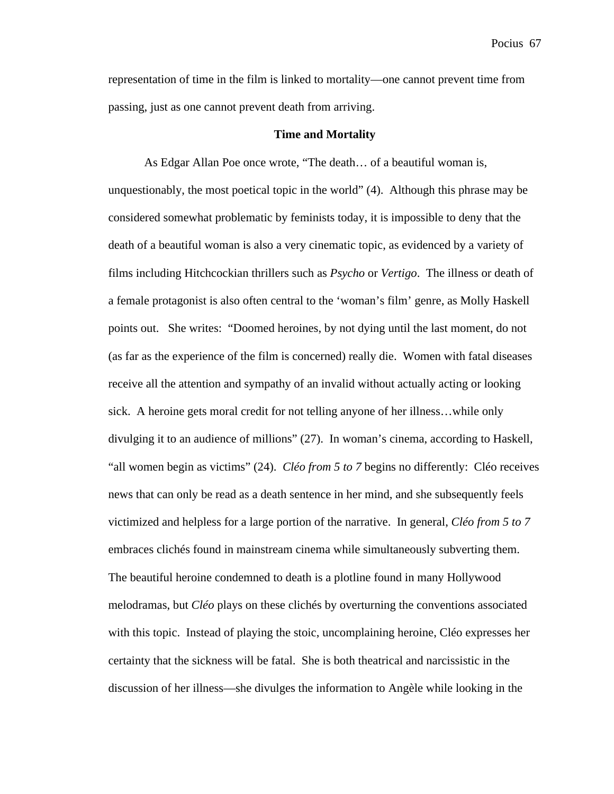representation of time in the film is linked to mortality—one cannot prevent time from passing, just as one cannot prevent death from arriving.

#### **Time and Mortality**

As Edgar Allan Poe once wrote, "The death… of a beautiful woman is, unquestionably, the most poetical topic in the world" (4). Although this phrase may be considered somewhat problematic by feminists today, it is impossible to deny that the death of a beautiful woman is also a very cinematic topic, as evidenced by a variety of films including Hitchcockian thrillers such as *Psycho* or *Vertigo*. The illness or death of a female protagonist is also often central to the 'woman's film' genre, as Molly Haskell points out. She writes: "Doomed heroines, by not dying until the last moment, do not (as far as the experience of the film is concerned) really die. Women with fatal diseases receive all the attention and sympathy of an invalid without actually acting or looking sick. A heroine gets moral credit for not telling anyone of her illness…while only divulging it to an audience of millions" (27). In woman's cinema, according to Haskell, "all women begin as victims" (24). *Cléo from 5 to 7* begins no differently: Cléo receives news that can only be read as a death sentence in her mind, and she subsequently feels victimized and helpless for a large portion of the narrative. In general, *Cléo from 5 to 7*  embraces clichés found in mainstream cinema while simultaneously subverting them. The beautiful heroine condemned to death is a plotline found in many Hollywood melodramas, but *Cléo* plays on these clichés by overturning the conventions associated with this topic. Instead of playing the stoic, uncomplaining heroine, Cléo expresses her certainty that the sickness will be fatal. She is both theatrical and narcissistic in the discussion of her illness—she divulges the information to Angèle while looking in the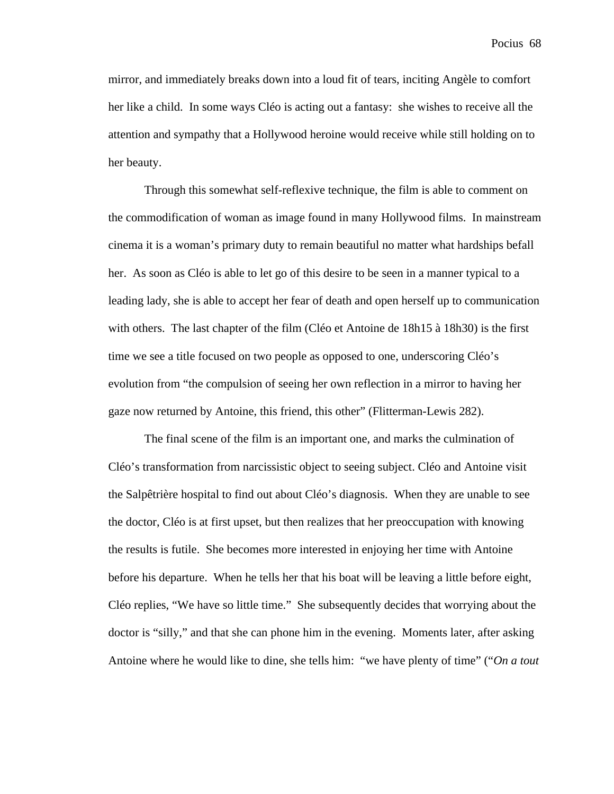mirror, and immediately breaks down into a loud fit of tears, inciting Angèle to comfort her like a child. In some ways Cléo is acting out a fantasy: she wishes to receive all the attention and sympathy that a Hollywood heroine would receive while still holding on to her beauty.

Through this somewhat self-reflexive technique, the film is able to comment on the commodification of woman as image found in many Hollywood films. In mainstream cinema it is a woman's primary duty to remain beautiful no matter what hardships befall her. As soon as Cléo is able to let go of this desire to be seen in a manner typical to a leading lady, she is able to accept her fear of death and open herself up to communication with others. The last chapter of the film (Cléo et Antoine de 18h15 à 18h30) is the first time we see a title focused on two people as opposed to one, underscoring Cléo's evolution from "the compulsion of seeing her own reflection in a mirror to having her gaze now returned by Antoine, this friend, this other" (Flitterman-Lewis 282).

The final scene of the film is an important one, and marks the culmination of Cléo's transformation from narcissistic object to seeing subject. Cléo and Antoine visit the Salpêtrière hospital to find out about Cléo's diagnosis. When they are unable to see the doctor, Cléo is at first upset, but then realizes that her preoccupation with knowing the results is futile. She becomes more interested in enjoying her time with Antoine before his departure. When he tells her that his boat will be leaving a little before eight, Cléo replies, "We have so little time." She subsequently decides that worrying about the doctor is "silly," and that she can phone him in the evening. Moments later, after asking Antoine where he would like to dine, she tells him: "we have plenty of time" ("*On a tout*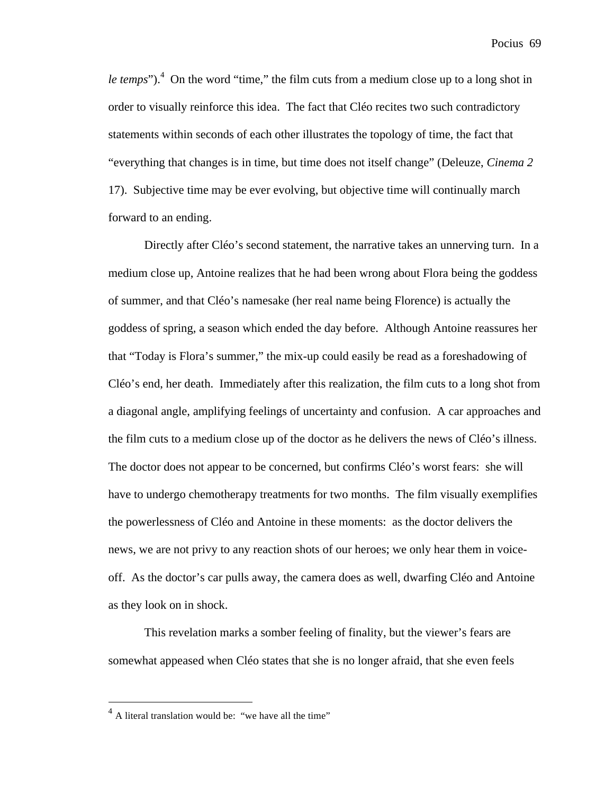le temps").<sup>4</sup> On the word "time," the film cuts from a medium close up to a long shot in order to visually reinforce this idea. The fact that Cléo recites two such contradictory statements within seconds of each other illustrates the topology of time, the fact that "everything that changes is in time, but time does not itself change" (Deleuze, *Cinema 2* 17). Subjective time may be ever evolving, but objective time will continually march forward to an ending.

Directly after Cléo's second statement, the narrative takes an unnerving turn. In a medium close up, Antoine realizes that he had been wrong about Flora being the goddess of summer, and that Cléo's namesake (her real name being Florence) is actually the goddess of spring, a season which ended the day before. Although Antoine reassures her that "Today is Flora's summer," the mix-up could easily be read as a foreshadowing of Cléo's end, her death. Immediately after this realization, the film cuts to a long shot from a diagonal angle, amplifying feelings of uncertainty and confusion. A car approaches and the film cuts to a medium close up of the doctor as he delivers the news of Cléo's illness. The doctor does not appear to be concerned, but confirms Cléo's worst fears: she will have to undergo chemotherapy treatments for two months. The film visually exemplifies the powerlessness of Cléo and Antoine in these moments: as the doctor delivers the news, we are not privy to any reaction shots of our heroes; we only hear them in voiceoff. As the doctor's car pulls away, the camera does as well, dwarfing Cléo and Antoine as they look on in shock.

This revelation marks a somber feeling of finality, but the viewer's fears are somewhat appeased when Cléo states that she is no longer afraid, that she even feels

 $<sup>4</sup>$  A literal translation would be: "we have all the time"</sup>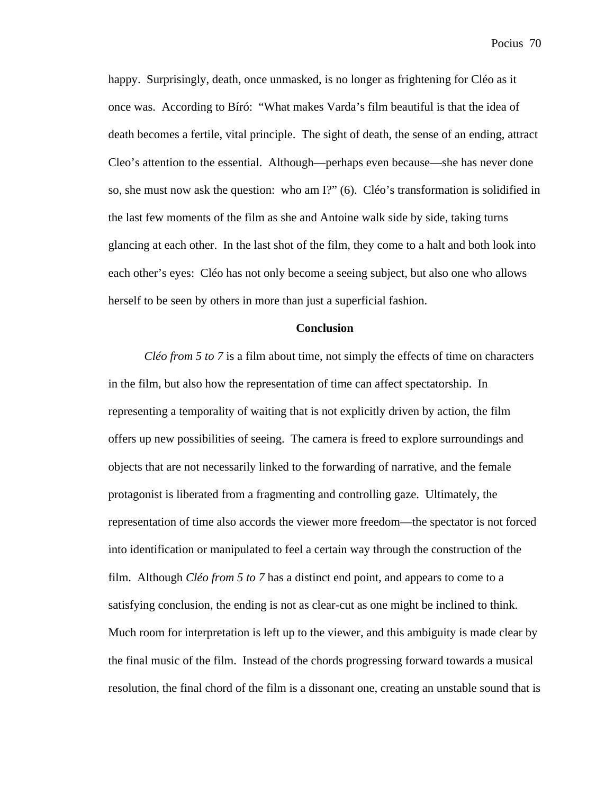happy. Surprisingly, death, once unmasked, is no longer as frightening for Cléo as it once was. According to Bíró: "What makes Varda's film beautiful is that the idea of death becomes a fertile, vital principle. The sight of death, the sense of an ending, attract Cleo's attention to the essential. Although—perhaps even because—she has never done so, she must now ask the question: who am I?" (6). Cléo's transformation is solidified in the last few moments of the film as she and Antoine walk side by side, taking turns glancing at each other. In the last shot of the film, they come to a halt and both look into each other's eyes: Cléo has not only become a seeing subject, but also one who allows herself to be seen by others in more than just a superficial fashion.

## **Conclusion**

*Cléo from 5 to 7* is a film about time, not simply the effects of time on characters in the film, but also how the representation of time can affect spectatorship. In representing a temporality of waiting that is not explicitly driven by action, the film offers up new possibilities of seeing. The camera is freed to explore surroundings and objects that are not necessarily linked to the forwarding of narrative, and the female protagonist is liberated from a fragmenting and controlling gaze. Ultimately, the representation of time also accords the viewer more freedom—the spectator is not forced into identification or manipulated to feel a certain way through the construction of the film. Although *Cléo from 5 to 7* has a distinct end point, and appears to come to a satisfying conclusion, the ending is not as clear-cut as one might be inclined to think. Much room for interpretation is left up to the viewer, and this ambiguity is made clear by the final music of the film. Instead of the chords progressing forward towards a musical resolution, the final chord of the film is a dissonant one, creating an unstable sound that is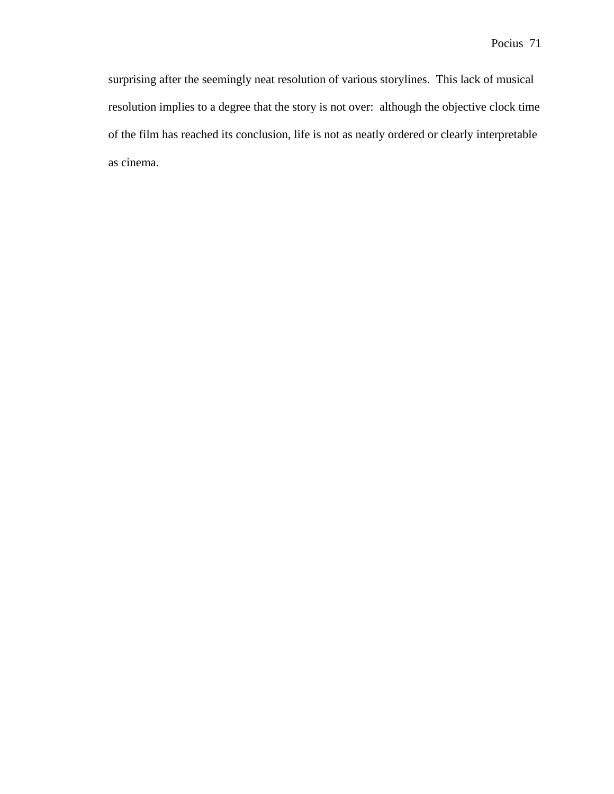surprising after the seemingly neat resolution of various storylines. This lack of musical resolution implies to a degree that the story is not over: although the objective clock time of the film has reached its conclusion, life is not as neatly ordered or clearly interpretable as cinema.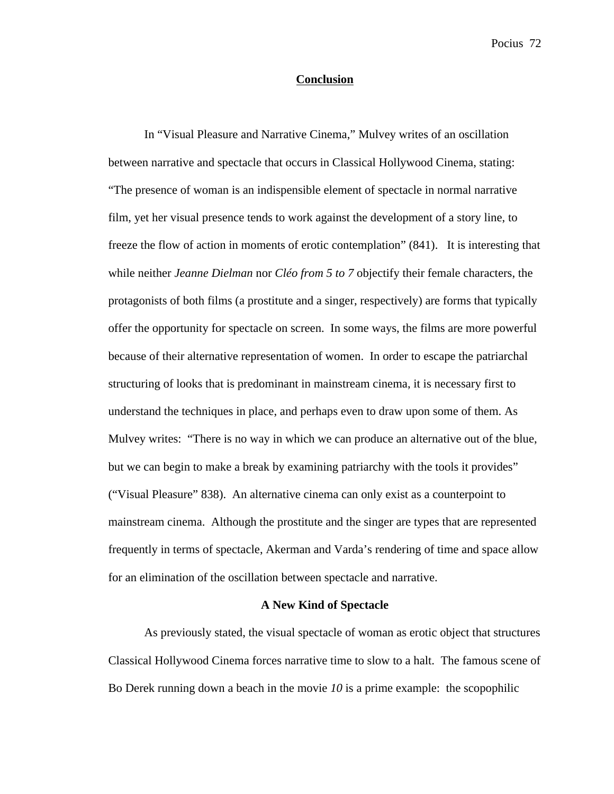## **Conclusion**

In "Visual Pleasure and Narrative Cinema," Mulvey writes of an oscillation between narrative and spectacle that occurs in Classical Hollywood Cinema, stating: "The presence of woman is an indispensible element of spectacle in normal narrative film, yet her visual presence tends to work against the development of a story line, to freeze the flow of action in moments of erotic contemplation" (841). It is interesting that while neither *Jeanne Dielman* nor *Cléo from 5 to 7* objectify their female characters, the protagonists of both films (a prostitute and a singer, respectively) are forms that typically offer the opportunity for spectacle on screen. In some ways, the films are more powerful because of their alternative representation of women. In order to escape the patriarchal structuring of looks that is predominant in mainstream cinema, it is necessary first to understand the techniques in place, and perhaps even to draw upon some of them. As Mulvey writes: "There is no way in which we can produce an alternative out of the blue, but we can begin to make a break by examining patriarchy with the tools it provides" ("Visual Pleasure" 838). An alternative cinema can only exist as a counterpoint to mainstream cinema. Although the prostitute and the singer are types that are represented frequently in terms of spectacle, Akerman and Varda's rendering of time and space allow for an elimination of the oscillation between spectacle and narrative.

### **A New Kind of Spectacle**

As previously stated, the visual spectacle of woman as erotic object that structures Classical Hollywood Cinema forces narrative time to slow to a halt. The famous scene of Bo Derek running down a beach in the movie *10* is a prime example: the scopophilic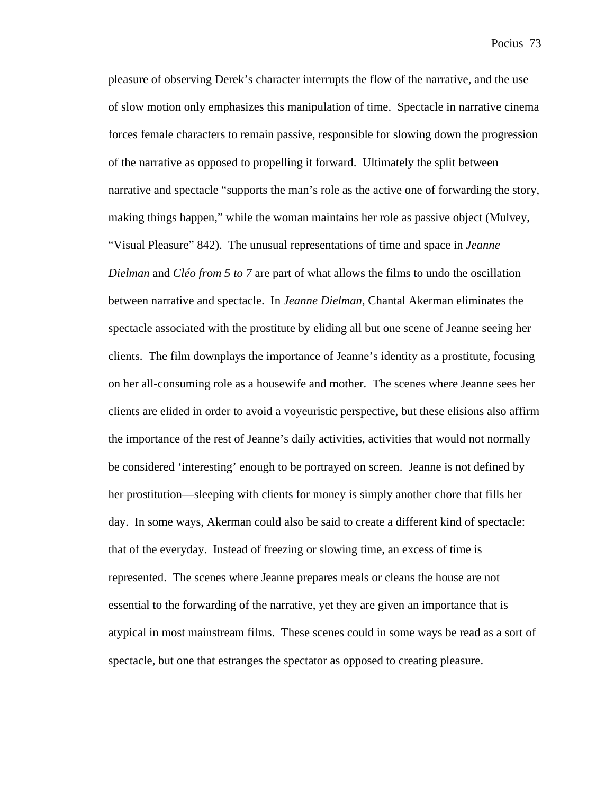pleasure of observing Derek's character interrupts the flow of the narrative, and the use of slow motion only emphasizes this manipulation of time. Spectacle in narrative cinema forces female characters to remain passive, responsible for slowing down the progression of the narrative as opposed to propelling it forward. Ultimately the split between narrative and spectacle "supports the man's role as the active one of forwarding the story, making things happen," while the woman maintains her role as passive object (Mulvey, "Visual Pleasure" 842). The unusual representations of time and space in *Jeanne Dielman* and *Cléo from 5 to 7* are part of what allows the films to undo the oscillation between narrative and spectacle. In *Jeanne Dielman*, Chantal Akerman eliminates the spectacle associated with the prostitute by eliding all but one scene of Jeanne seeing her clients. The film downplays the importance of Jeanne's identity as a prostitute, focusing on her all-consuming role as a housewife and mother. The scenes where Jeanne sees her clients are elided in order to avoid a voyeuristic perspective, but these elisions also affirm the importance of the rest of Jeanne's daily activities, activities that would not normally be considered 'interesting' enough to be portrayed on screen. Jeanne is not defined by her prostitution—sleeping with clients for money is simply another chore that fills her day. In some ways, Akerman could also be said to create a different kind of spectacle: that of the everyday. Instead of freezing or slowing time, an excess of time is represented. The scenes where Jeanne prepares meals or cleans the house are not essential to the forwarding of the narrative, yet they are given an importance that is atypical in most mainstream films. These scenes could in some ways be read as a sort of spectacle, but one that estranges the spectator as opposed to creating pleasure.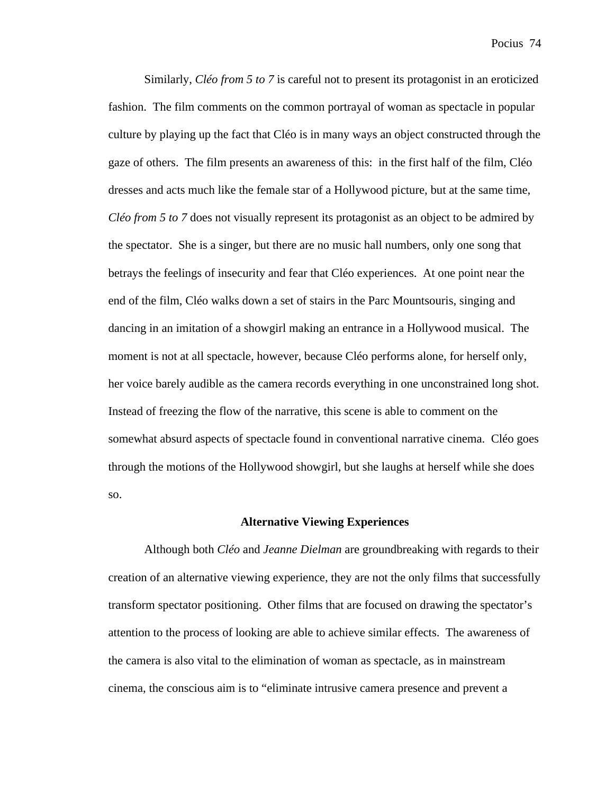Similarly, *Cléo from 5 to 7* is careful not to present its protagonist in an eroticized fashion. The film comments on the common portrayal of woman as spectacle in popular culture by playing up the fact that Cléo is in many ways an object constructed through the gaze of others. The film presents an awareness of this: in the first half of the film, Cléo dresses and acts much like the female star of a Hollywood picture, but at the same time, *Cléo from 5 to 7* does not visually represent its protagonist as an object to be admired by the spectator. She is a singer, but there are no music hall numbers, only one song that betrays the feelings of insecurity and fear that Cléo experiences. At one point near the end of the film, Cléo walks down a set of stairs in the Parc Mountsouris, singing and dancing in an imitation of a showgirl making an entrance in a Hollywood musical. The moment is not at all spectacle, however, because Cléo performs alone, for herself only, her voice barely audible as the camera records everything in one unconstrained long shot. Instead of freezing the flow of the narrative, this scene is able to comment on the somewhat absurd aspects of spectacle found in conventional narrative cinema. Cléo goes through the motions of the Hollywood showgirl, but she laughs at herself while she does so.

# **Alternative Viewing Experiences**

Although both *Cléo* and *Jeanne Dielman* are groundbreaking with regards to their creation of an alternative viewing experience, they are not the only films that successfully transform spectator positioning. Other films that are focused on drawing the spectator's attention to the process of looking are able to achieve similar effects. The awareness of the camera is also vital to the elimination of woman as spectacle, as in mainstream cinema, the conscious aim is to "eliminate intrusive camera presence and prevent a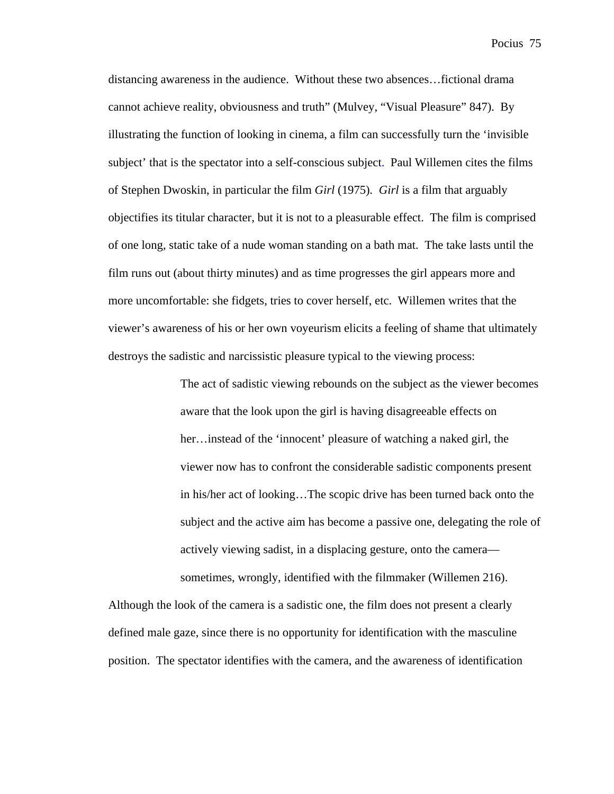distancing awareness in the audience. Without these two absences…fictional drama cannot achieve reality, obviousness and truth" (Mulvey, "Visual Pleasure" 847). By illustrating the function of looking in cinema, a film can successfully turn the 'invisible subject' that is the spectator into a self-conscious subject. Paul Willemen cites the films of Stephen Dwoskin, in particular the film *Girl* (1975)*. Girl* is a film that arguably objectifies its titular character, but it is not to a pleasurable effect. The film is comprised of one long, static take of a nude woman standing on a bath mat. The take lasts until the film runs out (about thirty minutes) and as time progresses the girl appears more and more uncomfortable: she fidgets, tries to cover herself, etc. Willemen writes that the viewer's awareness of his or her own voyeurism elicits a feeling of shame that ultimately destroys the sadistic and narcissistic pleasure typical to the viewing process:

> The act of sadistic viewing rebounds on the subject as the viewer becomes aware that the look upon the girl is having disagreeable effects on her…instead of the 'innocent' pleasure of watching a naked girl, the viewer now has to confront the considerable sadistic components present in his/her act of looking…The scopic drive has been turned back onto the subject and the active aim has become a passive one, delegating the role of actively viewing sadist, in a displacing gesture, onto the camera sometimes, wrongly, identified with the filmmaker (Willemen 216).

Although the look of the camera is a sadistic one, the film does not present a clearly defined male gaze, since there is no opportunity for identification with the masculine position. The spectator identifies with the camera, and the awareness of identification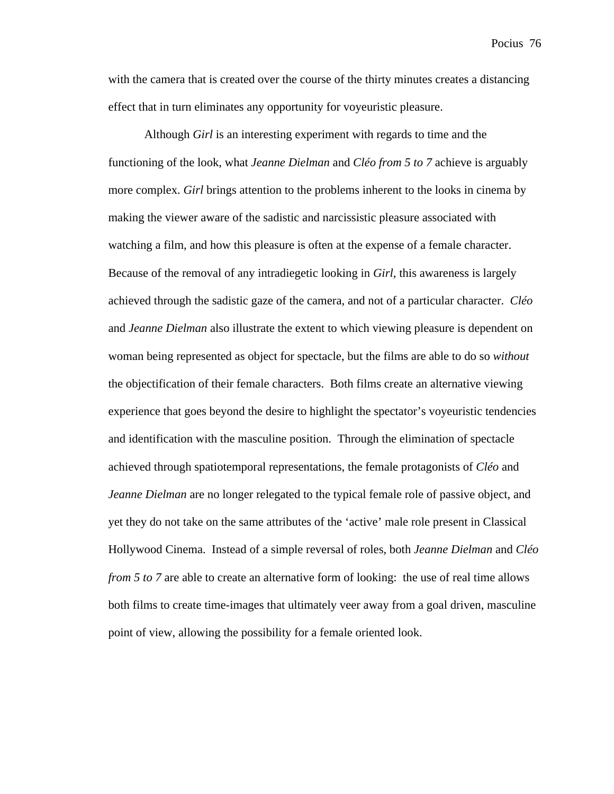with the camera that is created over the course of the thirty minutes creates a distancing effect that in turn eliminates any opportunity for voyeuristic pleasure.

Although *Girl* is an interesting experiment with regards to time and the functioning of the look, what *Jeanne Dielman* and *Cléo from 5 to 7* achieve is arguably more complex. *Girl* brings attention to the problems inherent to the looks in cinema by making the viewer aware of the sadistic and narcissistic pleasure associated with watching a film, and how this pleasure is often at the expense of a female character. Because of the removal of any intradiegetic looking in *Girl*, this awareness is largely achieved through the sadistic gaze of the camera, and not of a particular character. *Cléo*  and *Jeanne Dielman* also illustrate the extent to which viewing pleasure is dependent on woman being represented as object for spectacle, but the films are able to do so *without* the objectification of their female characters. Both films create an alternative viewing experience that goes beyond the desire to highlight the spectator's voyeuristic tendencies and identification with the masculine position. Through the elimination of spectacle achieved through spatiotemporal representations, the female protagonists of *Cléo* and *Jeanne Dielman* are no longer relegated to the typical female role of passive object, and yet they do not take on the same attributes of the 'active' male role present in Classical Hollywood Cinema. Instead of a simple reversal of roles, both *Jeanne Dielman* and *Cléo from 5 to 7* are able to create an alternative form of looking: the use of real time allows both films to create time-images that ultimately veer away from a goal driven, masculine point of view, allowing the possibility for a female oriented look.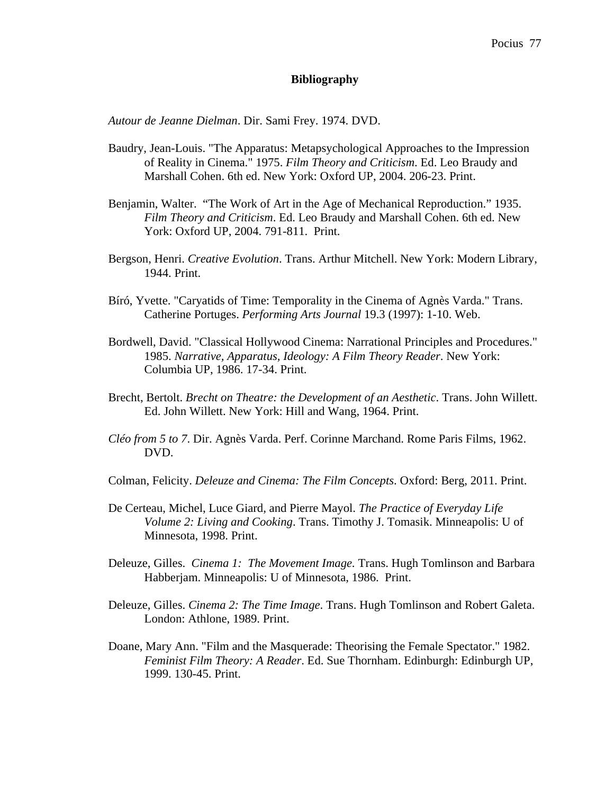# **Bibliography**

*Autour de Jeanne Dielman*. Dir. Sami Frey. 1974. DVD.

- Baudry, Jean-Louis. "The Apparatus: Metapsychological Approaches to the Impression of Reality in Cinema." 1975. *Film Theory and Criticism*. Ed. Leo Braudy and Marshall Cohen. 6th ed. New York: Oxford UP, 2004. 206-23. Print.
- Benjamin, Walter. "The Work of Art in the Age of Mechanical Reproduction." 1935. *Film Theory and Criticism*. Ed. Leo Braudy and Marshall Cohen. 6th ed. New York: Oxford UP, 2004. 791-811. Print.
- Bergson, Henri. *Creative Evolution*. Trans. Arthur Mitchell. New York: Modern Library, 1944. Print.
- Bíró, Yvette. "Caryatids of Time: Temporality in the Cinema of Agnès Varda." Trans. Catherine Portuges. *Performing Arts Journal* 19.3 (1997): 1-10. Web.
- Bordwell, David. "Classical Hollywood Cinema: Narrational Principles and Procedures." 1985. *Narrative, Apparatus, Ideology: A Film Theory Reader*. New York: Columbia UP, 1986. 17-34. Print.
- Brecht, Bertolt. *Brecht on Theatre: the Development of an Aesthetic*. Trans. John Willett. Ed. John Willett. New York: Hill and Wang, 1964. Print.
- *Cléo from 5 to 7*. Dir. Agnès Varda. Perf. Corinne Marchand. Rome Paris Films, 1962. DVD.
- Colman, Felicity. *Deleuze and Cinema: The Film Concepts*. Oxford: Berg, 2011. Print.
- De Certeau, Michel, Luce Giard, and Pierre Mayol. *The Practice of Everyday Life Volume 2: Living and Cooking*. Trans. Timothy J. Tomasik. Minneapolis: U of Minnesota, 1998. Print.
- Deleuze, Gilles. *Cinema 1: The Movement Image.* Trans. Hugh Tomlinson and Barbara Habberjam. Minneapolis: U of Minnesota, 1986. Print.
- Deleuze, Gilles. *Cinema 2: The Time Image*. Trans. Hugh Tomlinson and Robert Galeta. London: Athlone, 1989. Print.
- Doane, Mary Ann. "Film and the Masquerade: Theorising the Female Spectator." 1982. *Feminist Film Theory: A Reader*. Ed. Sue Thornham. Edinburgh: Edinburgh UP, 1999. 130-45. Print.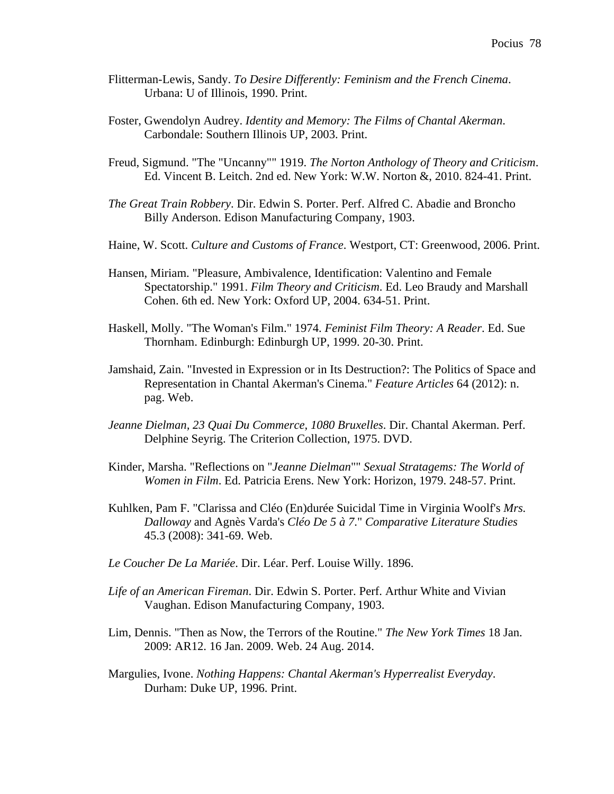- Flitterman-Lewis, Sandy. *To Desire Differently: Feminism and the French Cinema*. Urbana: U of Illinois, 1990. Print.
- Foster, Gwendolyn Audrey. *Identity and Memory: The Films of Chantal Akerman*. Carbondale: Southern Illinois UP, 2003. Print.
- Freud, Sigmund. "The "Uncanny"" 1919. *The Norton Anthology of Theory and Criticism*. Ed. Vincent B. Leitch. 2nd ed. New York: W.W. Norton &, 2010. 824-41. Print.
- *The Great Train Robbery*. Dir. Edwin S. Porter. Perf. Alfred C. Abadie and Broncho Billy Anderson. Edison Manufacturing Company, 1903.
- Haine, W. Scott. *Culture and Customs of France*. Westport, CT: Greenwood, 2006. Print.
- Hansen, Miriam. "Pleasure, Ambivalence, Identification: Valentino and Female Spectatorship." 1991. *Film Theory and Criticism*. Ed. Leo Braudy and Marshall Cohen. 6th ed. New York: Oxford UP, 2004. 634-51. Print.
- Haskell, Molly. "The Woman's Film." 1974. *Feminist Film Theory: A Reader*. Ed. Sue Thornham. Edinburgh: Edinburgh UP, 1999. 20-30. Print.
- Jamshaid, Zain. "Invested in Expression or in Its Destruction?: The Politics of Space and Representation in Chantal Akerman's Cinema." *Feature Articles* 64 (2012): n. pag. Web.
- *Jeanne Dielman, 23 Quai Du Commerce, 1080 Bruxelles*. Dir. Chantal Akerman. Perf. Delphine Seyrig. The Criterion Collection, 1975. DVD.
- Kinder, Marsha. "Reflections on "*Jeanne Dielman*"" *Sexual Stratagems: The World of Women in Film*. Ed. Patricia Erens. New York: Horizon, 1979. 248-57. Print.
- Kuhlken, Pam F. "Clarissa and Cléo (En)durée Suicidal Time in Virginia Woolf's *Mrs. Dalloway* and Agnès Varda's *Cléo De 5 à 7*." *Comparative Literature Studies* 45.3 (2008): 341-69. Web.
- *Le Coucher De La Mariée*. Dir. Léar. Perf. Louise Willy. 1896.
- *Life of an American Fireman*. Dir. Edwin S. Porter. Perf. Arthur White and Vivian Vaughan. Edison Manufacturing Company, 1903.
- Lim, Dennis. "Then as Now, the Terrors of the Routine." *The New York Times* 18 Jan. 2009: AR12. 16 Jan. 2009. Web. 24 Aug. 2014.
- Margulies, Ivone. *Nothing Happens: Chantal Akerman's Hyperrealist Everyday*. Durham: Duke UP, 1996. Print.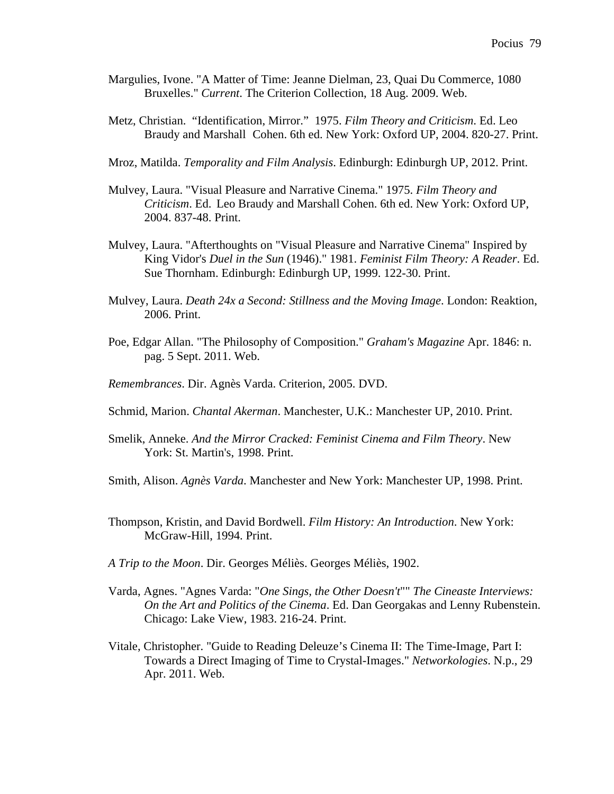- Margulies, Ivone. "A Matter of Time: Jeanne Dielman, 23, Quai Du Commerce, 1080 Bruxelles." *Current*. The Criterion Collection, 18 Aug. 2009. Web.
- Metz, Christian. "Identification, Mirror." 1975. *Film Theory and Criticism*. Ed. Leo Braudy and Marshall Cohen. 6th ed. New York: Oxford UP, 2004. 820-27. Print.
- Mroz, Matilda. *Temporality and Film Analysis*. Edinburgh: Edinburgh UP, 2012. Print.
- Mulvey, Laura. "Visual Pleasure and Narrative Cinema." 1975. *Film Theory and Criticism*. Ed. Leo Braudy and Marshall Cohen. 6th ed. New York: Oxford UP, 2004. 837-48. Print.
- Mulvey, Laura. "Afterthoughts on "Visual Pleasure and Narrative Cinema" Inspired by King Vidor's *Duel in the Sun* (1946)." 1981. *Feminist Film Theory: A Reader*. Ed. Sue Thornham. Edinburgh: Edinburgh UP, 1999. 122-30. Print.
- Mulvey, Laura. *Death 24x a Second: Stillness and the Moving Image*. London: Reaktion, 2006. Print.
- Poe, Edgar Allan. "The Philosophy of Composition." *Graham's Magazine* Apr. 1846: n. pag. 5 Sept. 2011. Web.
- *Remembrances*. Dir. Agnès Varda. Criterion, 2005. DVD.
- Schmid, Marion. *Chantal Akerman*. Manchester, U.K.: Manchester UP, 2010. Print.
- Smelik, Anneke. *And the Mirror Cracked: Feminist Cinema and Film Theory*. New York: St. Martin's, 1998. Print.
- Smith, Alison. *Agnès Varda*. Manchester and New York: Manchester UP, 1998. Print.
- Thompson, Kristin, and David Bordwell. *Film History: An Introduction*. New York: McGraw-Hill, 1994. Print.
- *A Trip to the Moon*. Dir. Georges Méliès. Georges Méliès, 1902.
- Varda, Agnes. "Agnes Varda: "*One Sings, the Other Doesn't*"" *The Cineaste Interviews: On the Art and Politics of the Cinema*. Ed. Dan Georgakas and Lenny Rubenstein. Chicago: Lake View, 1983. 216-24. Print.
- Vitale, Christopher. "Guide to Reading Deleuze's Cinema II: The Time-Image, Part I: Towards a Direct Imaging of Time to Crystal-Images." *Networkologies*. N.p., 29 Apr. 2011. Web.